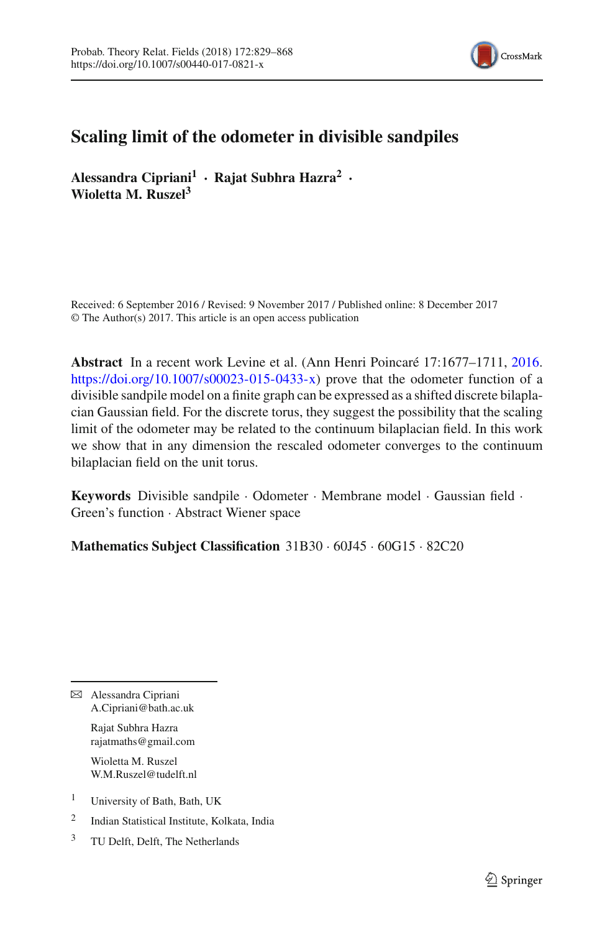

# **Scaling limit of the odometer in divisible sandpiles**

**Alessandra Cipriani<sup>1</sup> · Rajat Subhra Hazra<sup>2</sup> · Wioletta M. Ruszel<sup>3</sup>**

Received: 6 September 2016 / Revised: 9 November 2017 / Published online: 8 December 2017 © The Author(s) 2017. This article is an open access publication

**Abstract** In a recent work Levine et al. (Ann Henri Poincaré 17:1677–1711, [2016.](#page-38-0) [https://doi.org/10.1007/s00023-015-0433-x\)](https://doi.org/10.1007/s00023-015-0433-x) prove that the odometer function of a divisible sandpile model on a finite graph can be expressed as a shifted discrete bilaplacian Gaussian field. For the discrete torus, they suggest the possibility that the scaling limit of the odometer may be related to the continuum bilaplacian field. In this work we show that in any dimension the rescaled odometer converges to the continuum bilaplacian field on the unit torus.

**Keywords** Divisible sandpile · Odometer · Membrane model · Gaussian field · Green's function · Abstract Wiener space

**Mathematics Subject Classification** 31B30 · 60J45 · 60G15 · 82C20

B Alessandra Cipriani A.Cipriani@bath.ac.uk

> Rajat Subhra Hazra rajatmaths@gmail.com

> Wioletta M. Ruszel W.M.Ruszel@tudelft.nl

<sup>1</sup> University of Bath, Bath, UK

<sup>2</sup> Indian Statistical Institute, Kolkata, India

<sup>3</sup> TU Delft, Delft, The Netherlands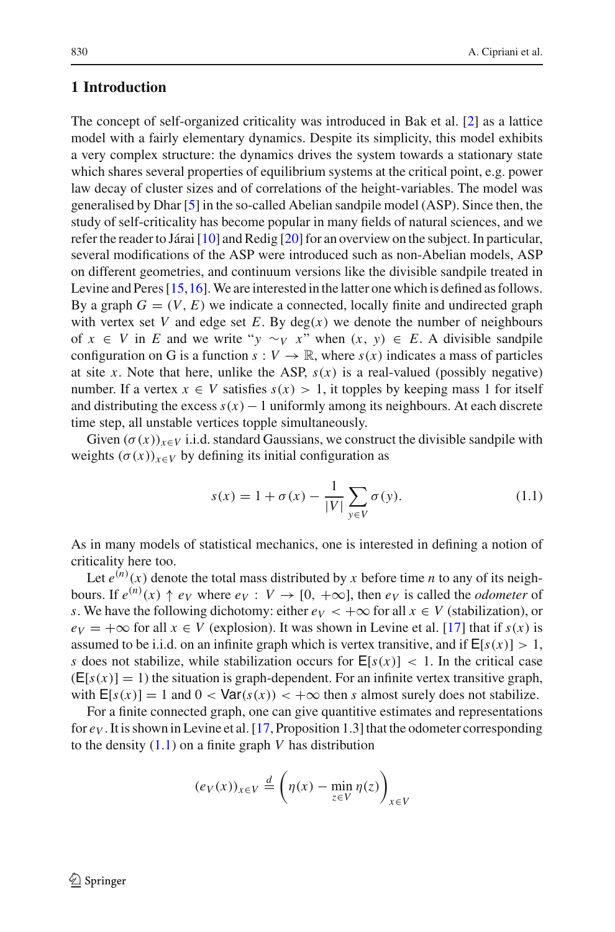# **1 Introduction**

The concept of self-organized criticality was introduced in Bak et al. [\[2](#page-38-1)] as a lattice model with a fairly elementary dynamics. Despite its simplicity, this model exhibits a very complex structure: the dynamics drives the system towards a stationary state which shares several properties of equilibrium systems at the critical point, e.g. power law decay of cluster sizes and of correlations of the height-variables. The model was generalised by Dhar [\[5\]](#page-38-2) in the so-called Abelian sandpile model (ASP). Since then, the study of self-criticality has become popular in many fields of natural sciences, and we refer the reader to Járai [\[10](#page-38-3)] and Redig [\[20](#page-38-4)] for an overview on the subject. In particular, several modifications of the ASP were introduced such as non-Abelian models, ASP on different geometries, and continuum versions like the divisible sandpile treated in Levine and Peres [\[15](#page-38-5)[,16](#page-38-6)].We are interested in the latter one which is defined as follows. By a graph  $G = (V, E)$  we indicate a connected, locally finite and undirected graph with vertex set *V* and edge set *E*. By  $deg(x)$  we denote the number of neighbours of *x* ∈ *V* in *E* and we write "*y* ∼*y x*" when  $(x, y) \in E$ . A divisible sandpile configuration on G is a function  $s: V \to \mathbb{R}$ , where  $s(x)$  indicates a mass of particles at site *x*. Note that here, unlike the ASP,  $s(x)$  is a real-valued (possibly negative) number. If a vertex  $x \in V$  satisfies  $s(x) > 1$ , it topples by keeping mass 1 for itself and distributing the excess *s*(*x*)−1 uniformly among its neighbours. At each discrete time step, all unstable vertices topple simultaneously.

Given  $(\sigma(x))_{x \in V}$  i.i.d. standard Gaussians, we construct the divisible sandpile with weights  $(\sigma(x))_{x \in V}$  by defining its initial configuration as

<span id="page-1-0"></span>
$$
s(x) = 1 + \sigma(x) - \frac{1}{|V|} \sum_{y \in V} \sigma(y).
$$
 (1.1)

As in many models of statistical mechanics, one is interested in defining a notion of criticality here too.

Let  $e^{(n)}(x)$  denote the total mass distributed by x before time *n* to any of its neighbours. If  $e^{(n)}(x) \uparrow e_V$  where  $e_V: V \rightarrow [0, +\infty]$ , then  $e_V$  is called the *odometer* of *s*. We have the following dichotomy: either  $e_V < +\infty$  for all  $x \in V$  (stabilization), or  $e_V = +\infty$  for all  $x \in V$  (explosion). It was shown in Levine et al. [\[17\]](#page-38-0) that if  $s(x)$  is assumed to be i.i.d. on an infinite graph which is vertex transitive, and if  $E[s(x)] > 1$ , *s* does not stabilize, while stabilization occurs for  $E[s(x)] < 1$ . In the critical case  $(E[s(x)] = 1)$  the situation is graph-dependent. For an infinite vertex transitive graph, with  $E[s(x)] = 1$  and  $0 < \text{Var}(s(x)) < +\infty$  then *s* almost surely does not stabilize.

For a finite connected graph, one can give quantitive estimates and representations for *eV* . It is shown in Levine et al. [\[17](#page-38-0), Proposition 1.3] that the odometer corresponding to the density [\(1.1\)](#page-1-0) on a finite graph *V* has distribution

$$
(e_V(x))_{x \in V} \stackrel{d}{=} \left(\eta(x) - \min_{z \in V} \eta(z)\right)_{x \in V}
$$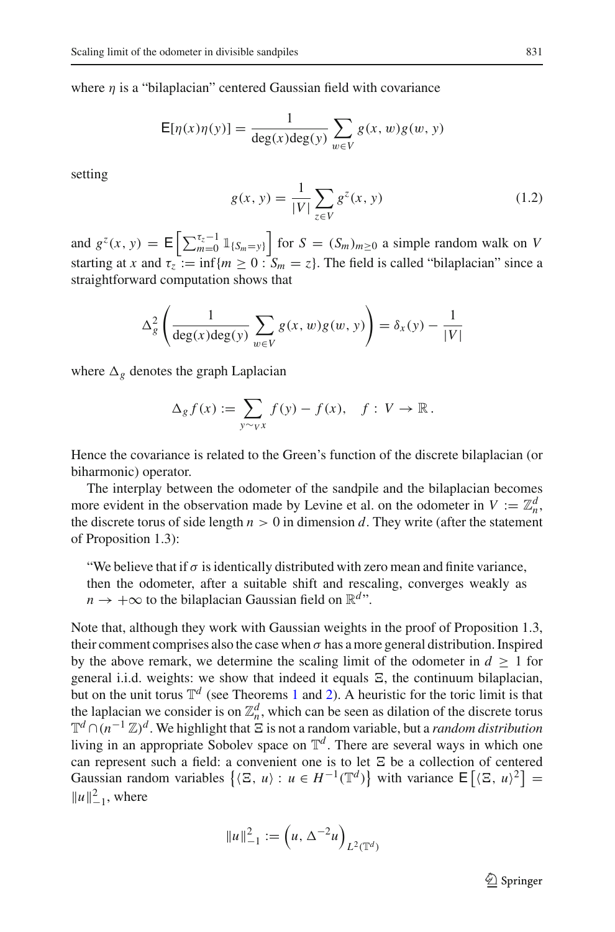where  $\eta$  is a "bilaplacian" centered Gaussian field with covariance

$$
E[\eta(x)\eta(y)] = \frac{1}{\deg(x)\deg(y)}\sum_{w \in V} g(x, w)g(w, y)
$$

setting

<span id="page-2-0"></span>
$$
g(x, y) = \frac{1}{|V|} \sum_{z \in V} g^{z}(x, y)
$$
 (1.2)

and  $g^z(x, y) = \mathbb{E}\left[\sum_{m=0}^{\tau_z-1} \mathbb{1}_{\{S_m = y\}}\right]$  for  $S = (S_m)_{m \geq 0}$  a simple random walk on *V* starting at *x* and  $\tau_z := \inf\{m \geq 0 : S_m = z\}$ . The field is called "bilaplacian" since a straightforward computation shows that

$$
\Delta_g^2 \left( \frac{1}{\deg(x) \deg(y)} \sum_{w \in V} g(x, w) g(w, y) \right) = \delta_x(y) - \frac{1}{|V|}
$$

where  $\Delta_{\varrho}$  denotes the graph Laplacian

$$
\Delta_g f(x) := \sum_{y \sim_V x} f(y) - f(x), \quad f: V \to \mathbb{R}.
$$

Hence the covariance is related to the Green's function of the discrete bilaplacian (or biharmonic) operator.

The interplay between the odometer of the sandpile and the bilaplacian becomes more evident in the observation made by Levine et al. on the odometer in  $V := \mathbb{Z}_n^d$ , the discrete torus of side length  $n > 0$  in dimension d. They write (after the statement of Proposition 1.3):

"We believe that if  $\sigma$  is identically distributed with zero mean and finite variance, then the odometer, after a suitable shift and rescaling, converges weakly as  $n \to +\infty$  to the bilaplacian Gaussian field on  $\mathbb{R}^{d}$ ".

Note that, although they work with Gaussian weights in the proof of Proposition 1.3, their comment comprises also the case when  $\sigma$  has a more general distribution. Inspired by the above remark, we determine the scaling limit of the odometer in  $d \geq 1$  for general i.i.d. weights: we show that indeed it equals  $\Xi$ , the continuum bilaplacian, but on the unit torus  $\mathbb{T}^d$  (see Theorems [1](#page-4-0) and [2\)](#page-4-1). A heuristic for the toric limit is that the laplacian we consider is on  $\mathbb{Z}_n^d$ , which can be seen as dilation of the discrete torus T<sup>*d*</sup> ∩ $(n^{-1} \mathbb{Z})$ <sup>*d*</sup>. We highlight that  $\Xi$  is not a random variable, but a *random distribution* living in an appropriate Sobolev space on  $\mathbb{T}^d$ . There are several ways in which one can represent such a field: a convenient one is to let  $\Xi$  be a collection of centered Gaussian random variables  $\{(\Xi, u) : u \in H^{-1}(\mathbb{T}^d)\}\$  with variance  $\mathsf{E}[(\Xi, u)^2] =$  $||u||_{-1}^{2}$ , where

$$
||u||_{-1}^{2} := (u, \Delta^{-2}u)_{L^{2}(\mathbb{T}^{d})}
$$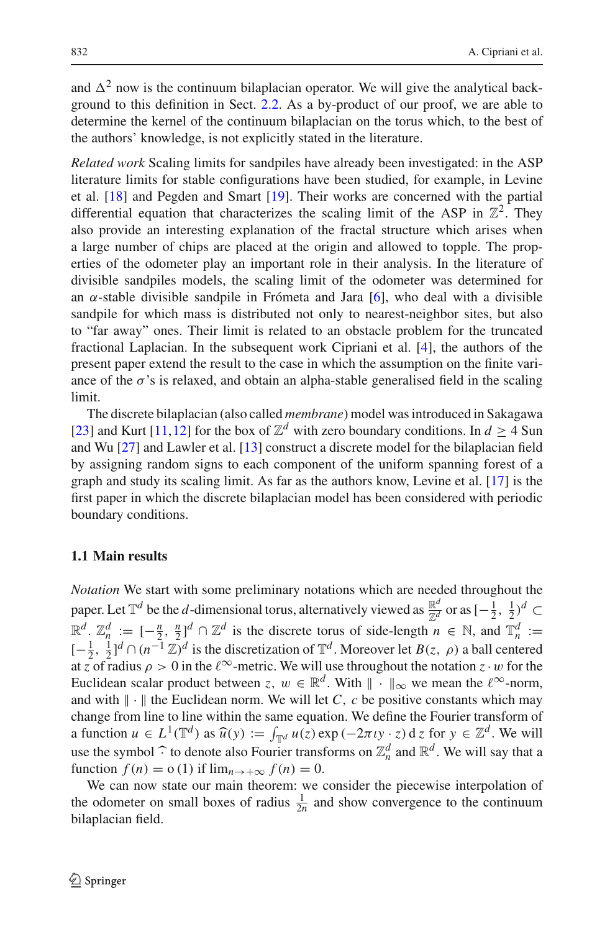and  $\Delta^2$  now is the continuum bilaplacian operator. We will give the analytical background to this definition in Sect. [2.2.](#page-6-0) As a by-product of our proof, we are able to determine the kernel of the continuum bilaplacian on the torus which, to the best of the authors' knowledge, is not explicitly stated in the literature.

*Related work* Scaling limits for sandpiles have already been investigated: in the ASP literature limits for stable configurations have been studied, for example, in Levine et al. [\[18\]](#page-38-7) and Pegden and Smart [\[19\]](#page-38-8). Their works are concerned with the partial differential equation that characterizes the scaling limit of the ASP in  $\mathbb{Z}^2$ . They also provide an interesting explanation of the fractal structure which arises when a large number of chips are placed at the origin and allowed to topple. The properties of the odometer play an important role in their analysis. In the literature of divisible sandpiles models, the scaling limit of the odometer was determined for an  $\alpha$ -stable divisible sandpile in Frómeta and Jara [\[6](#page-38-9)], who deal with a divisible sandpile for which mass is distributed not only to nearest-neighbor sites, but also to "far away" ones. Their limit is related to an obstacle problem for the truncated fractional Laplacian. In the subsequent work Cipriani et al. [\[4\]](#page-38-10), the authors of the present paper extend the result to the case in which the assumption on the finite variance of the  $\sigma$ 's is relaxed, and obtain an alpha-stable generalised field in the scaling limit.

The discrete bilaplacian (also called *membrane*) model was introduced in Sakagawa [\[23](#page-38-11)] and Kurt [\[11](#page-38-12),[12](#page-38-13)] for the box of  $\mathbb{Z}^d$  with zero boundary conditions. In  $d \geq 4$  Sun and Wu [\[27\]](#page-39-0) and Lawler et al. [\[13](#page-38-14)] construct a discrete model for the bilaplacian field by assigning random signs to each component of the uniform spanning forest of a graph and study its scaling limit. As far as the authors know, Levine et al. [\[17\]](#page-38-0) is the first paper in which the discrete bilaplacian model has been considered with periodic boundary conditions.

# **1.1 Main results**

*Notation* We start with some preliminary notations which are needed throughout the paper. Let  $\mathbb{T}^d$  be the *d*-dimensional torus, alternatively viewed as  $\frac{\mathbb{R}^d}{\mathbb{Z}^d}$  or as  $[-\frac{1}{2}, \frac{1}{2})^d \subset$  $\mathbb{R}^d$ .  $\mathbb{Z}_n^d := \left[-\frac{n}{2}, \frac{n}{2}\right]^d \cap \mathbb{Z}^d$  is the discrete torus of side-length  $n \in \mathbb{N}$ , and  $\mathbb{T}_n^d :=$  $[-\frac{1}{2}, \frac{1}{2}]$ <sup>*d*</sup> ∩ (*n*<sup>−1</sup> ℤ)<sup>*d*</sup> is the discretization of  $\mathbb{T}^d$ . Moreover let *B*(*z*, *ρ*) a ball centered at *z* of radius  $\rho > 0$  in the  $\ell^{\infty}$ -metric. We will use throughout the notation  $z \cdot w$  for the Euclidean scalar product between  $z, w \in \mathbb{R}^d$ . With  $\|\cdot\|_{\infty}$  we mean the  $\ell^{\infty}$ -norm, and with  $\|\cdot\|$  the Euclidean norm. We will let *C*, *c* be positive constants which may change from line to line within the same equation. We define the Fourier transform of a function  $u \in L^1(\mathbb{T}^d)$  as  $\widehat{u}(y) := \int_{\mathbb{T}^d} u(z) \exp(-2\pi i y \cdot z) dz$  for  $y \in \mathbb{Z}^d$ . We will use the symbol  $\hat{\cdot}$  to denote also Fourier transforms on  $\mathbb{Z}_n^d$  and  $\mathbb{R}^d$ . We will say that a function  $f(n) = o(1)$  if  $\lim_{n \to \infty} f(n) = 0$ function  $f(n) = o(1)$  if  $\lim_{n \to +\infty} f(n) = 0$ .

We can now state our main theorem: we consider the piecewise interpolation of the odometer on small boxes of radius  $\frac{1}{2n}$  and show convergence to the continuum bilaplacian field.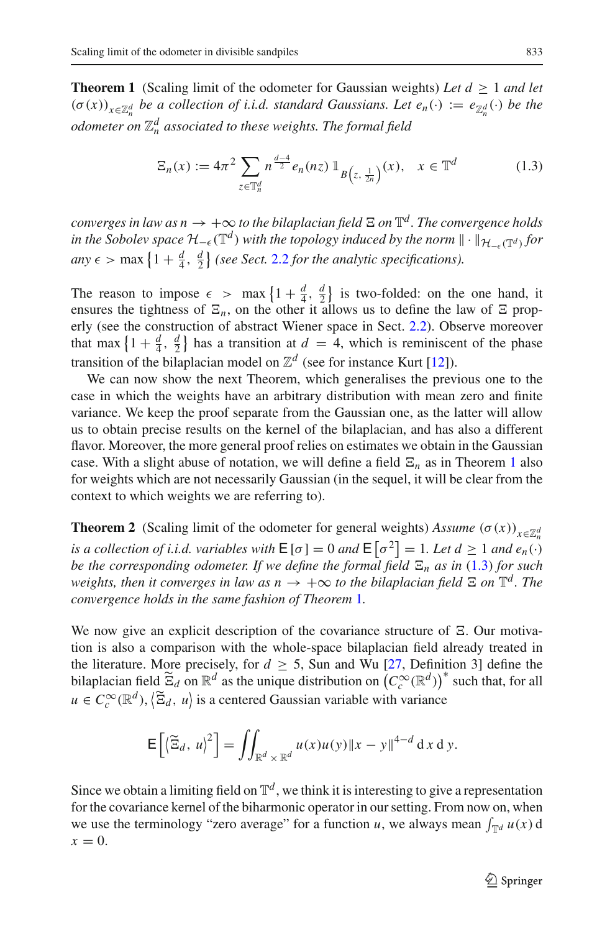<span id="page-4-0"></span>**Theorem 1** (Scaling limit of the odometer for Gaussian weights) Let  $d \geq 1$  and let  $(\sigma(x))_{x \in \mathbb{Z}_n^d}$  *be a collection of i.i.d. standard Gaussians. Let*  $e_n(\cdot) := e_{\mathbb{Z}_n^d}(\cdot)$  *be the odometer on* Z*<sup>d</sup> <sup>n</sup> associated to these weights. The formal field*

<span id="page-4-2"></span>
$$
\Xi_n(x) := 4\pi^2 \sum_{z \in \mathbb{T}_n^d} n^{\frac{d-4}{2}} e_n(nz) \mathbb{1}_{B\left(z, \frac{1}{2n}\right)}(x), \quad x \in \mathbb{T}^d \tag{1.3}
$$

*converges in law as n*  $\rightarrow +\infty$  *to the bilaplacian field*  $\Xi$  *on*  $\mathbb{T}^d$ *. The convergence holds in the Sobolev space*  $H_{-\epsilon}(\mathbb{T}^d)$  *with the topology induced by the norm*  $\|\cdot\|_{\mathcal{H}_{-\epsilon}(\mathbb{T}^d)}$  *for any*  $\epsilon$  > max  $\left\{1 + \frac{d}{4}, \frac{d}{2}\right\}$  (see Sect. [2.2](#page-6-0) *for the analytic specifications*).

The reason to impose  $\epsilon > \max\left\{1 + \frac{d}{4}, \frac{d}{2}\right\}$  is two-folded: on the one hand, it ensures the tightness of  $\Xi_n$ , on the other it allows us to define the law of  $\Xi$  properly (see the construction of abstract Wiener space in Sect. [2.2\)](#page-6-0). Observe moreover that max  $\left\{1 + \frac{d}{4}, \frac{d}{2}\right\}$  has a transition at  $d = 4$ , which is reminiscent of the phase transition of the bilaplacian model on  $\mathbb{Z}^d$  (see for instance Kurt [\[12](#page-38-13)]).

We can now show the next Theorem, which generalises the previous one to the case in which the weights have an arbitrary distribution with mean zero and finite variance. We keep the proof separate from the Gaussian one, as the latter will allow us to obtain precise results on the kernel of the bilaplacian, and has also a different flavor. Moreover, the more general proof relies on estimates we obtain in the Gaussian case. With a slight abuse of notation, we will define a field  $\Xi_n$  as in Theorem [1](#page-4-0) also for weights which are not necessarily Gaussian (in the sequel, it will be clear from the context to which weights we are referring to).

<span id="page-4-1"></span>**Theorem 2** (Scaling limit of the odometer for general weights) *Assume*  $(\sigma(x))_{x \in \mathbb{Z}_n^d}$ *is a collection of i.i.d. variables with*  $\mathsf{E}[\sigma] = 0$  *and*  $\mathsf{E}[\sigma^2] = 1$ *. Let*  $d \geq 1$  *and*  $e_n(\cdot)$ *be the corresponding odometer. If we define the formal field*  $\Xi_n$  *as in* [\(1.3\)](#page-4-2) *for such weights, then it converges in law as*  $n \to +\infty$  *to the bilaplacian field*  $\Xi$  *on*  $\mathbb{T}^d$ *. The convergence holds in the same fashion of Theorem* [1](#page-4-0)*.*

We now give an explicit description of the covariance structure of  $\Xi$ . Our motivation is also a comparison with the whole-space bilaplacian field already treated in the literature. More precisely, for  $d \geq 5$ , Sun and Wu [\[27](#page-39-0), Definition 3] define the bilaplacian field  $\tilde{\Xi}_d$  on  $\mathbb{R}^d$  as the unique distribution on  $(C_c^{\infty}(\mathbb{R}^d))^*$  such that, for all  $u \in C_c^{\infty}(\mathbb{R}^d)$ ,  $\langle \tilde{\Xi}_d, u \rangle$  is a centered Gaussian variable with variance

$$
\mathsf{E}\left[\left\langle \widetilde{\Xi}_d, u\right\rangle^2\right] = \iint_{\mathbb{R}^d \times \mathbb{R}^d} u(x)u(y) \|x - y\|^{4-d} \, \mathrm{d}x \, \mathrm{d}y.
$$

<span id="page-4-3"></span>Since we obtain a limiting field on  $\mathbb{T}^d$ , we think it is interesting to give a representation for the covariance kernel of the biharmonic operator in our setting. From now on, when we use the terminology "zero average" for a function *u*, we always mean  $\int_{\mathbb{T}^d} u(x) dx$  $x=0$ .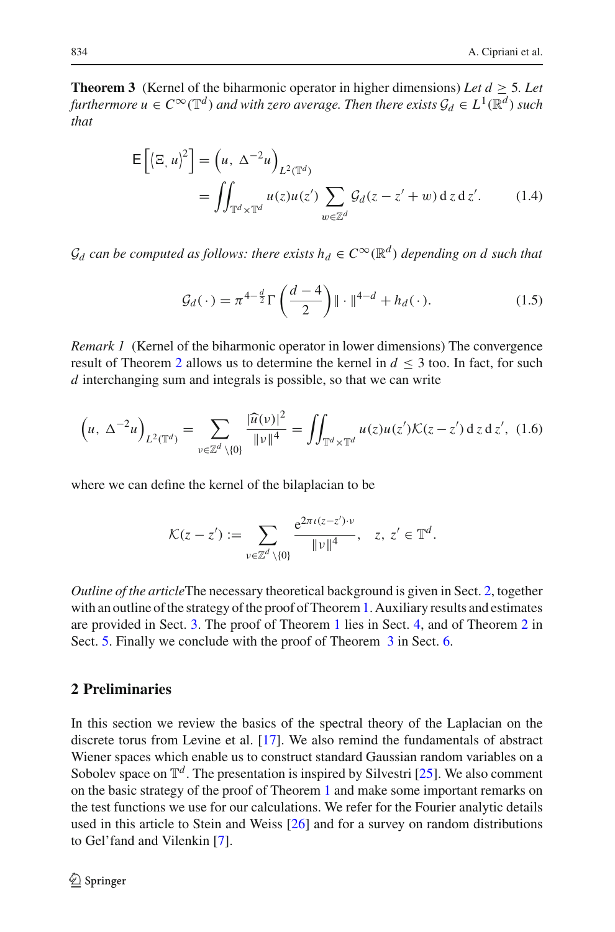**Theorem 3** (Kernel of the biharmonic operator in higher dimensions) *Let*  $d \ge 5$ *. Let furthermore*  $u \in C^{\infty}(\mathbb{T}^d)$  *and with zero average. Then there exists*  $\mathcal{G}_d \in L^1(\mathbb{R}^d)$  *such that*

$$
\mathsf{E}\left[\left\langle \Xi, u\right\rangle^2\right] = \left(u, \Delta^{-2}u\right)_{L^2(\mathbb{T}^d)}
$$
  
= 
$$
\iint_{\mathbb{T}^d \times \mathbb{T}^d} u(z)u(z') \sum_{w \in \mathbb{Z}^d} \mathcal{G}_d(z - z' + w) \, dz \, dz'.
$$
 (1.4)

 $\mathcal{G}_d$  *can be computed as follows: there exists*  $h_d \in C^\infty(\mathbb{R}^d)$  *depending on d such that* 

<span id="page-5-2"></span><span id="page-5-1"></span>
$$
\mathcal{G}_d(\cdot) = \pi^{4-\frac{d}{2}} \Gamma\left(\frac{d-4}{2}\right) \|\cdot\|^{4-d} + h_d(\cdot). \tag{1.5}
$$

*Remark 1* (Kernel of the biharmonic operator in lower dimensions) The convergence result of Theorem [2](#page-4-1) allows us to determine the kernel in  $d \leq 3$  too. In fact, for such *d* interchanging sum and integrals is possible, so that we can write

$$
\left(u, \Delta^{-2}u\right)_{L^{2}(\mathbb{T}^{d})} = \sum_{v \in \mathbb{Z}^{d} \setminus\{0\}} \frac{|\widehat{u}(v)|^{2}}{\|v\|^{4}} = \iint_{\mathbb{T}^{d} \times \mathbb{T}^{d}} u(z)u(z')\mathcal{K}(z-z') \,dz \,dz', \tag{1.6}
$$

where we can define the kernel of the bilaplacian to be

$$
\mathcal{K}(z-z') := \sum_{\nu \in \mathbb{Z}^d \setminus \{0\}} \frac{e^{2\pi \iota (z-z') \cdot \nu}}{\|\nu\|^4}, \quad z, z' \in \mathbb{T}^d.
$$

*Outline of the article*The necessary theoretical background is given in Sect. [2,](#page-5-0) together with an outline of the strategy of the proof of Theorem [1.](#page-4-0) Auxiliary results and estimates are provided in Sect. [3.](#page-9-0) The proof of Theorem [1](#page-4-0) lies in Sect. [4,](#page-10-0) and of Theorem [2](#page-4-1) in Sect. [5.](#page-23-0) Finally we conclude with the proof of Theorem  $\overline{3}$  $\overline{3}$  $\overline{3}$  in Sect. [6.](#page-34-0)

# <span id="page-5-0"></span>**2 Preliminaries**

In this section we review the basics of the spectral theory of the Laplacian on the discrete torus from Levine et al. [\[17\]](#page-38-0). We also remind the fundamentals of abstract Wiener spaces which enable us to construct standard Gaussian random variables on a Sobolev space on  $\mathbb{T}^d$ . The presentation is inspired by Silvestri [\[25\]](#page-39-1). We also comment on the basic strategy of the proof of Theorem [1](#page-4-0) and make some important remarks on the test functions we use for our calculations. We refer for the Fourier analytic details used in this article to Stein and Weiss [\[26](#page-39-2)] and for a survey on random distributions to Gel'fand and Vilenkin [\[7\]](#page-38-15).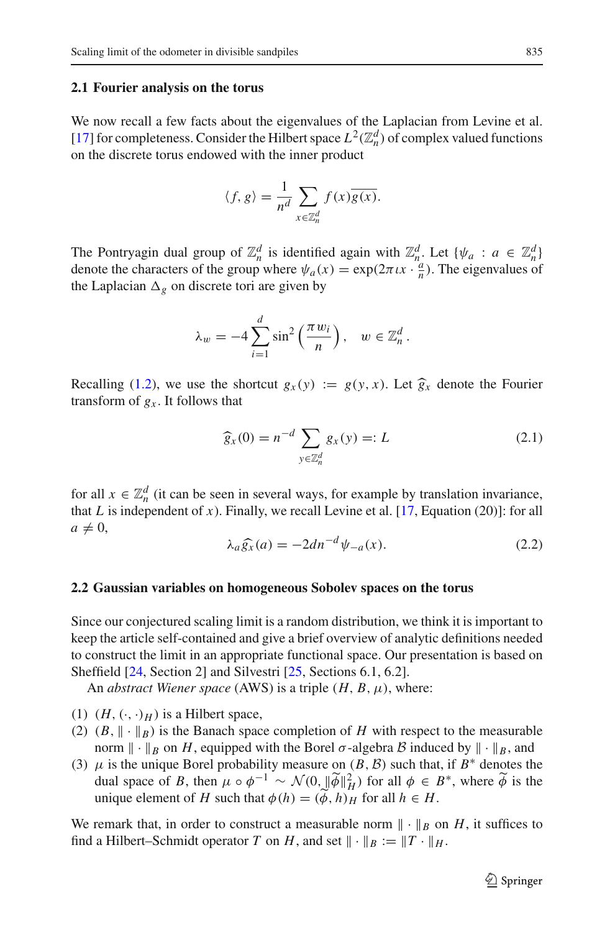#### **2.1 Fourier analysis on the torus**

We now recall a few facts about the eigenvalues of the Laplacian from Levine et al. [\[17](#page-38-0)] for completeness. Consider the Hilbert space  $L^2(\mathbb{Z}_n^d)$  of complex valued functions on the discrete torus endowed with the inner product

$$
\langle f, g \rangle = \frac{1}{n^d} \sum_{x \in \mathbb{Z}_n^d} f(x) \overline{g(x)}.
$$

The Pontryagin dual group of  $\mathbb{Z}_n^d$  is identified again with  $\mathbb{Z}_n^d$ . Let  $\{\psi_a : a \in \mathbb{Z}_n^d\}$ denote the characters of the group where  $\psi_a(x) = \exp(2\pi i x \cdot \frac{a}{n})$ . The eigenvalues of the Laplacian  $\Delta_g$  on discrete tori are given by

$$
\lambda_w = -4 \sum_{i=1}^d \sin^2 \left( \frac{\pi w_i}{n} \right), \quad w \in \mathbb{Z}_n^d.
$$

Recalling [\(1.2\)](#page-2-0), we use the shortcut  $g_x(y) := g(y, x)$ . Let  $\widehat{g}_x$  denote the Fourier transform of  $g_x$ . It follows that

<span id="page-6-1"></span>
$$
\widehat{g}_x(0) = n^{-d} \sum_{y \in \mathbb{Z}_n^d} g_x(y) =: L \tag{2.1}
$$

for all  $x \in \mathbb{Z}_n^d$  (it can be seen in several ways, for example by translation invariance, that  $L$  is independent of  $x$ ). Finally, we recall Levine et al.  $[17, Equation (20)]$  $[17, Equation (20)]$ : for all  $a \neq 0$ ,

<span id="page-6-2"></span>
$$
\lambda_a \widehat{g}_x(a) = -2dn^{-d}\psi_{-a}(x). \tag{2.2}
$$

#### <span id="page-6-0"></span>**2.2 Gaussian variables on homogeneous Sobolev spaces on the torus**

Since our conjectured scaling limit is a random distribution, we think it is important to keep the article self-contained and give a brief overview of analytic definitions needed to construct the limit in an appropriate functional space. Our presentation is based on Sheffield [\[24](#page-39-3), Section 2] and Silvestri [\[25](#page-39-1), Sections 6.1, 6.2].

An *abstract Wiener space* (AWS) is a triple  $(H, B, \mu)$ , where:

- (1)  $(H, (\cdot, \cdot)_H)$  is a Hilbert space,
- (2)  $(B, \|\cdot\|_B)$  is the Banach space completion of *H* with respect to the measurable norm  $\|\cdot\|_B$  on *H*, equipped with the Borel  $\sigma$ -algebra *B* induced by  $\|\cdot\|_B$ , and
- (3)  $\mu$  is the unique Borel probability measure on (*B*, *B*) such that, if *B*<sup>\*</sup> denotes the dual space of *B*, then  $\mu \circ \phi^{-1} \sim \mathcal{N}(0, ||\widetilde{\phi}||_H^2)$  for all  $\phi \in B^*$ , where  $\widetilde{\phi}$  is the unique element of *H* such that  $\phi(h) = (\phi, h)$ <sup>H</sup> for all  $h \in H$ .

We remark that, in order to construct a measurable norm  $\|\cdot\|_B$  on *H*, it suffices to find a Hilbert–Schmidt operator *T* on *H*, and set  $\|\cdot\|_B := \|T \cdot\|_H$ .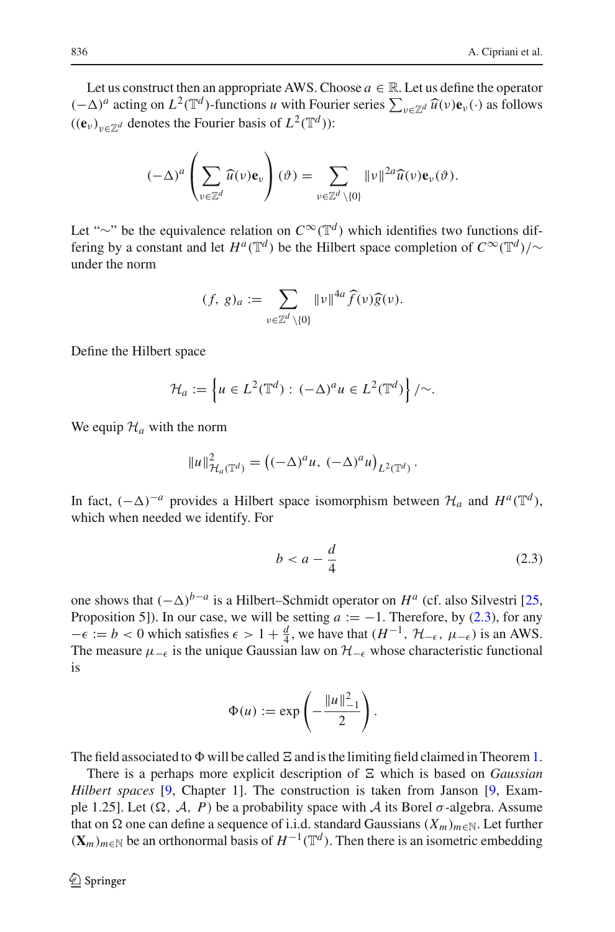Let us construct then an appropriate AWS. Choose  $a \in \mathbb{R}$ . Let us define the operator  $(-\Delta)^a$  acting on  $L^2(\mathbb{T}^d)$ -functions *u* with Fourier series  $\sum_{v \in \mathbb{Z}^d} \widehat{u}(v) \mathbf{e}_v(\cdot)$  as follows  $(u \bullet)$  $((e_v)_{v \in \mathbb{Z}^d}$  denotes the Fourier basis of  $L^2(\mathbb{T}^d)$ :

$$
(-\Delta)^a \left(\sum_{\nu \in \mathbb{Z}^d} \widehat{u}(\nu) \mathbf{e}_{\nu}\right) (\vartheta) = \sum_{\nu \in \mathbb{Z}^d \setminus \{0\}} \|\nu\|^{2a} \widehat{u}(\nu) \mathbf{e}_{\nu}(\vartheta).
$$

Let "∼" be the equivalence relation on *<sup>C</sup>*∞(T*<sup>d</sup>* ) which identifies two functions differing by a constant and let  $H^a(\mathbb{T}^d)$  be the Hilbert space completion of  $C^{\infty}(\mathbb{T}^d)/\sim$ under the norm

$$
(f, g)_a := \sum_{\nu \in \mathbb{Z}^d \setminus \{0\}} ||\nu||^{4a} \widehat{f}(\nu) \widehat{g}(\nu).
$$

Define the Hilbert space

$$
\mathcal{H}_a := \left\{ u \in L^2(\mathbb{T}^d) : (-\Delta)^a u \in L^2(\mathbb{T}^d) \right\} / \sim.
$$

We equip  $\mathcal{H}_a$  with the norm

$$
||u||^2_{\mathcal{H}_a(\mathbb{T}^d)} = ((-\Delta)^a u, (-\Delta)^a u)_{L^2(\mathbb{T}^d)}.
$$

In fact,  $(-\Delta)^{-a}$  provides a Hilbert space isomorphism between  $\mathcal{H}_a$  and  $H^a(\mathbb{T}^d)$ , which when needed we identify. For

<span id="page-7-0"></span>
$$
b < a - \frac{d}{4} \tag{2.3}
$$

one shows that  $(-\Delta)^{b-a}$  is a Hilbert–Schmidt operator on  $H^a$  (cf. also Silvestri [\[25,](#page-39-1) Proposition 5]). In our case, we will be setting  $a := -1$ . Therefore, by [\(2.3\)](#page-7-0), for any  $-\epsilon := b < 0$  which satisfies  $\epsilon > 1 + \frac{d}{4}$ , we have that  $(H^{-1}, \mathcal{H}_{-\epsilon}, \mu_{-\epsilon})$  is an AWS. The measure  $\mu_{-\epsilon}$  is the unique Gaussian law on  $\mathcal{H}_{-\epsilon}$  whose characteristic functional is

$$
\Phi(u) := \exp\left(-\frac{\|u\|_{-1}^2}{2}\right).
$$

The field associated to  $\Phi$  will be called  $\Xi$  and is the limiting field claimed in Theorem [1.](#page-4-0)

There is a perhaps more explicit description of  $\Xi$  which is based on *Gaussian Hilbert spaces* [\[9](#page-38-16), Chapter 1]. The construction is taken from Janson [\[9,](#page-38-16) Example 1.25]. Let  $(\Omega, \mathcal{A}, P)$  be a probability space with  $\mathcal{A}$  its Borel  $\sigma$ -algebra. Assume that on  $\Omega$  one can define a sequence of i.i.d. standard Gaussians  $(X_m)_{m \in \mathbb{N}}$ . Let further  $({\bf X}_m)_{m\in\mathbb{N}}$  be an orthonormal basis of  $H^{-1}(\mathbb{T}^d)$ . Then there is an isometric embedding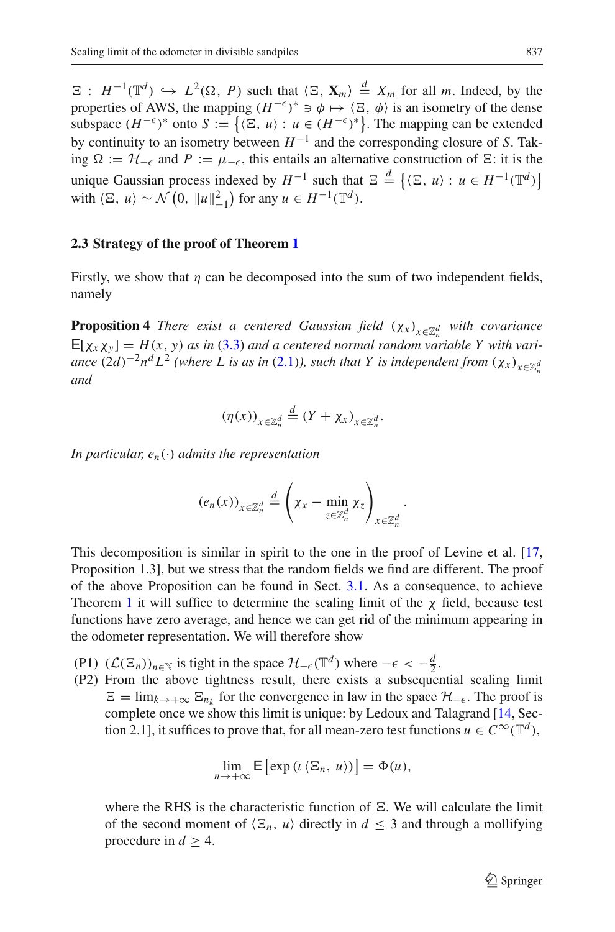$\Xi$ :  $H^{-1}(\mathbb{T}^d) \hookrightarrow L^2(\Omega, P)$  such that  $\langle \Xi, \mathbf{X}_m \rangle \stackrel{d}{=} X_m$  for all *m*. Indeed, by the properties of AWS, the mapping  $(H^{-\epsilon})^* \ni \phi \mapsto \langle \Xi, \phi \rangle$  is an isometry of the dense subspace  $(H^{-\epsilon})^*$  onto  $S := \{ \langle \Xi, u \rangle : u \in (H^{-\epsilon})^* \}$ . The mapping can be extended by continuity to an isometry between  $H^{-1}$  and the corresponding closure of *S*. Taking  $\Omega := \mathcal{H}_{-\epsilon}$  and  $P := \mu_{-\epsilon}$ , this entails an alternative construction of  $\Xi$ : it is the unique Gaussian process indexed by  $H^{-1}$  such that  $\Xi \stackrel{d}{=} \{ \langle \Xi, u \rangle : u \in H^{-1}(\mathbb{T}^d) \}$ with  $\langle \Xi, u \rangle \sim \mathcal{N}\left(0, ||u||_{-1}^2\right)$  for any  $u \in H^{-1}(\mathbb{T}^d)$ .

#### **2.3 Strategy of the proof of Theorem [1](#page-4-0)**

<span id="page-8-0"></span>Firstly, we show that  $\eta$  can be decomposed into the sum of two independent fields, namely

**Proposition 4** *There exist a centered Gaussian field*  $(χ<sub>x</sub>)<sub>x∈Z<sub>n</sub><sup>d</sup></sub>$  *with covariance*  $E[\chi_x \chi_y] = H(x, y)$  *as in* [\(3.3\)](#page-10-1) *and a centered normal random variable Y with variance*  $(2d)^{-2}n^dL^2$  *(where L* is as in  $(2.1)$ *), such that Y* is independent from  $(\chi_x)_{x \in \mathbb{Z}_n^d}$ *and*

$$
(\eta(x))_{x \in \mathbb{Z}_n^d} \stackrel{d}{=} (Y + \chi_x)_{x \in \mathbb{Z}_n^d}.
$$

*In particular,*  $e_n(\cdot)$  *admits the representation* 

$$
(e_n(x))_{x \in \mathbb{Z}_n^d} \stackrel{d}{=} \left(\chi_x - \min_{z \in \mathbb{Z}_n^d} \chi_z\right)_{x \in \mathbb{Z}_n^d}.
$$

This decomposition is similar in spirit to the one in the proof of Levine et al. [\[17,](#page-38-0) Proposition 1.3], but we stress that the random fields we find are different. The proof of the above Proposition can be found in Sect. [3.1.](#page-9-1) As a consequence, to achieve Theorem [1](#page-4-0) it will suffice to determine the scaling limit of the  $\chi$  field, because test functions have zero average, and hence we can get rid of the minimum appearing in the odometer representation. We will therefore show

- (P1)  $(L(\Xi_n))_{n \in \mathbb{N}}$  is tight in the space  $\mathcal{H}_{-\epsilon}(\mathbb{T}^d)$  where  $-\epsilon < -\frac{d}{2}$ .
- (P2) From the above tightness result, there exists a subsequential scaling limit  $E = \lim_{k \to +\infty} E_{n_k}$  for the convergence in law in the space  $\mathcal{H}_{-\epsilon}$ . The proof is complete once we show this limit is unique: by Ledoux and Talagrand [\[14,](#page-38-17) Section 2.1], it suffices to prove that, for all mean-zero test functions  $u \in C^{\infty}(\mathbb{T}^d)$ ,

$$
\lim_{n\to+\infty} \mathsf{E}\left[\exp\left(\iota\left\langle \Xi_n,\,u\right\rangle\right)\right] = \Phi(u),
$$

where the RHS is the characteristic function of  $\Xi$ . We will calculate the limit of the second moment of  $\langle \Xi_n, u \rangle$  directly in  $d \leq 3$  and through a mollifying procedure in  $d \geq 4$ .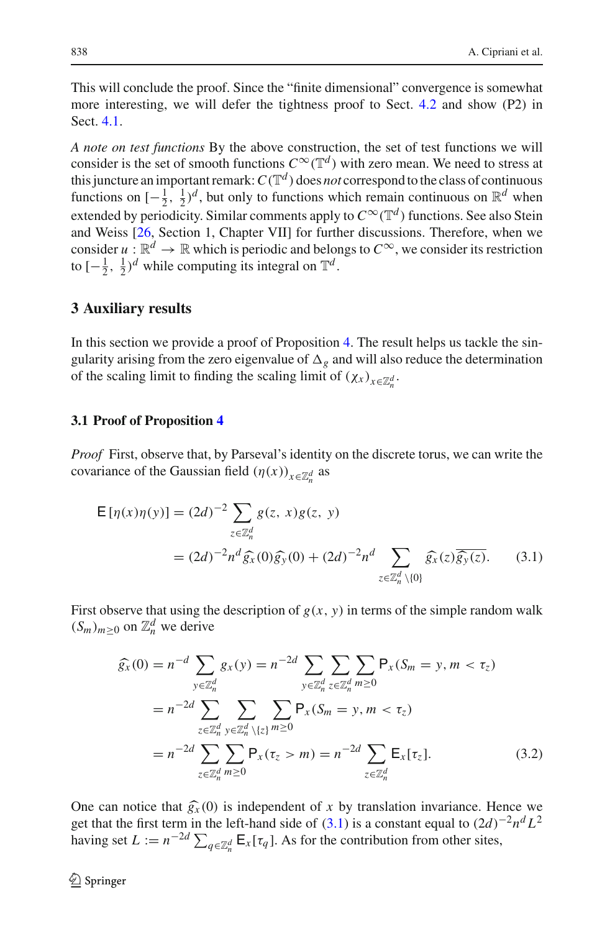This will conclude the proof. Since the "finite dimensional" convergence is somewhat more interesting, we will defer the tightness proof to Sect. [4.2](#page-18-0) and show (P2) in Sect. [4.1.](#page-11-0)

*A note on test functions* By the above construction, the set of test functions we will consider is the set of smooth functions  $C^{\infty}(\mathbb{T}^d)$  with zero mean. We need to stress at this juncture an important remark:  $C(\mathbb{T}^d)$  does *not* correspond to the class of continuous functions on  $[-\frac{1}{2}, \frac{1}{2})^d$ , but only to functions which remain continuous on  $\mathbb{R}^d$  when extended by periodicity. Similar comments apply to  $C^{\infty}(\mathbb{T}^d)$  functions. See also Stein and Weiss [\[26,](#page-39-2) Section 1, Chapter VII] for further discussions. Therefore, when we consider  $u : \mathbb{R}^d \to \mathbb{R}$  which is periodic and belongs to  $C^\infty$ , we consider its restriction to  $\left[-\frac{1}{2}, \frac{1}{2}\right)^d$  while computing its integral on  $\mathbb{T}^d$ .

## <span id="page-9-0"></span>**3 Auxiliary results**

In this section we provide a proof of Proposition [4.](#page-8-0) The result helps us tackle the singularity arising from the zero eigenvalue of  $\Delta_g$  and will also reduce the determination of the scaling limit to finding the scaling limit of  $(\chi_x)_{x \in \mathbb{Z}_n^d}$ .

#### <span id="page-9-1"></span>**3.1 Proof of Proposition [4](#page-8-0)**

*Proof* First, observe that, by Parseval's identity on the discrete torus, we can write the covariance of the Gaussian field  $(\eta(x))_{x \in \mathbb{Z}_n^d}$  as

$$
\mathsf{E}[\eta(x)\eta(y)] = (2d)^{-2} \sum_{z \in \mathbb{Z}_n^d} g(z, x)g(z, y)
$$
  
=  $(2d)^{-2} n^d \widehat{g}_x(0)\widehat{g}_y(0) + (2d)^{-2} n^d \sum_{z \in \mathbb{Z}_n^d \setminus \{0\}} \widehat{g}_x(z)\overline{\widehat{g}_y(z)}.$  (3.1)

First observe that using the description of  $g(x, y)$  in terms of the simple random walk  $(S_m)_{m \geq 0}$  on  $\mathbb{Z}_n^d$  we derive

<span id="page-9-3"></span><span id="page-9-2"></span>
$$
\widehat{g}_x(0) = n^{-d} \sum_{y \in \mathbb{Z}_n^d} g_x(y) = n^{-2d} \sum_{y \in \mathbb{Z}_n^d} \sum_{z \in \mathbb{Z}_n^d} \sum_{m \ge 0} P_x(S_m = y, m < \tau_z)
$$
\n
$$
= n^{-2d} \sum_{z \in \mathbb{Z}_n^d} \sum_{y \in \mathbb{Z}_n^d} \sum_{\setminus \{z\}} P_x(S_m = y, m < \tau_z)
$$
\n
$$
= n^{-2d} \sum_{z \in \mathbb{Z}_n^d} \sum_{m \ge 0} P_x(\tau_z > m) = n^{-2d} \sum_{z \in \mathbb{Z}_n^d} \mathbb{E}_x[\tau_z]. \tag{3.2}
$$

One can notice that  $\hat{g}_x(0)$  is independent of x by translation invariance. Hence we get that the first term in the left-hand side of  $(3.1)$  is a constant equal to  $(2d)^{-2}n^dL^2$ having set  $L := n^{-2d} \sum_{q \in \mathbb{Z}_n^d} \mathbb{E}_x[\tau_q]$ . As for the contribution from other sites,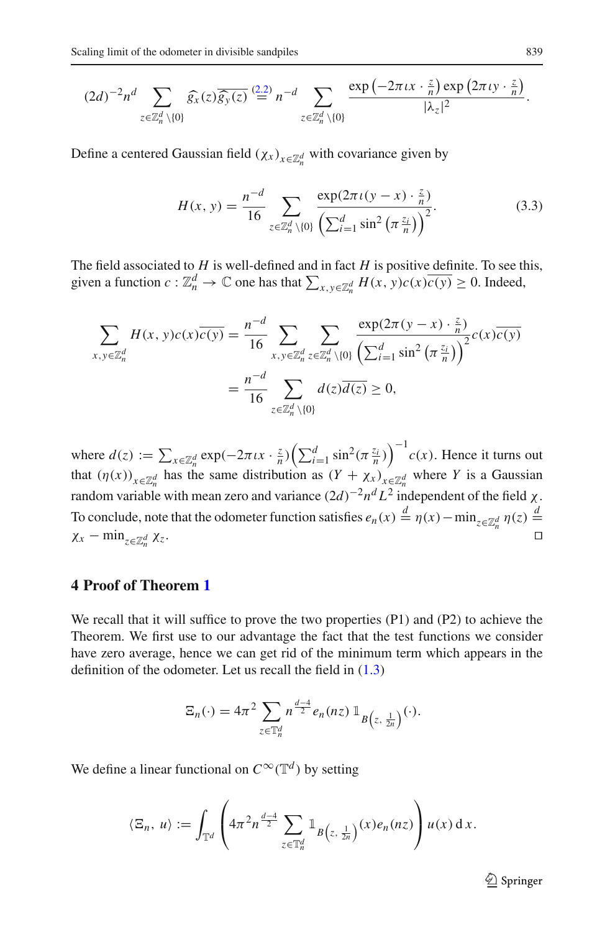$$
(2d)^{-2}n^d \sum_{z \in \mathbb{Z}_n^d \setminus \{0\}} \widehat{g_x}(z) \overline{\widehat{g_y}(z)} \stackrel{(2.2)}{=} n^{-d} \sum_{z \in \mathbb{Z}_n^d \setminus \{0\}} \frac{\exp(-2\pi \iota x \cdot \frac{z}{n}) \exp(2\pi \iota y \cdot \frac{z}{n})}{|\lambda_z|^2}.
$$

Define a centered Gaussian field  $(\chi_x)_{x \in \mathbb{Z}_n^d}$  with covariance given by

<span id="page-10-1"></span>
$$
H(x, y) = \frac{n^{-d}}{16} \sum_{z \in \mathbb{Z}_n^d \setminus \{0\}} \frac{\exp(2\pi \iota(y - x) \cdot \frac{z}{n})}{\left(\sum_{i=1}^d \sin^2\left(\pi \frac{z_i}{n}\right)\right)^2}.
$$
 (3.3)

The field associated to *H* is well-defined and in fact *H* is positive definite. To see this, given a function  $c: \mathbb{Z}_n^d \to \mathbb{C}$  one has that  $\sum_{x, y \in \mathbb{Z}_n^d} H(x, y)c(x)\overline{c(y)} \ge 0$ . Indeed,

$$
\sum_{x,y \in \mathbb{Z}_n^d} H(x,y)c(x)\overline{c(y)} = \frac{n^{-d}}{16} \sum_{x,y \in \mathbb{Z}_n^d} \sum_{z \in \mathbb{Z}_n^d \setminus \{0\}} \frac{\exp(2\pi(y-x) \cdot \frac{z}{n})}{\left(\sum_{i=1}^d \sin^2\left(\pi \frac{z_i}{n}\right)\right)^2} c(x)\overline{c(y)}
$$

$$
= \frac{n^{-d}}{16} \sum_{z \in \mathbb{Z}_n^d \setminus \{0\}} d(z)\overline{d(z)} \ge 0,
$$

where  $d(z) := \sum_{x \in \mathbb{Z}_n^d} \exp(-2\pi \iota x \cdot \frac{z}{n}) \left( \sum_{i=1}^d \sin^2(\pi \frac{z_i}{n}) \right)^{-1} c(x)$ . Hence it turns out that  $(\eta(x))_{x \in \mathbb{Z}_n^d}$  has the same distribution as  $(Y + \chi_x)_{x \in \mathbb{Z}_n^d}$  where *Y* is a Gaussian random variable with mean zero and variance  $(2d)^{-2}n^d L^2$  independent of the field  $\chi$ . To conclude, note that the odometer function satisfies  $e_n(x) \stackrel{d}{=} \eta(x) - \min_{z \in \mathbb{Z}_n^d} \eta(z) \stackrel{d}{=}$  $\chi_x$  – min<sub>z∈Z</sub>*d*</sup>  $\chi_z$ .  $\int_{n}^{d} \chi_{z}$ .

#### <span id="page-10-0"></span>**4 Proof of Theorem [1](#page-4-0)**

We recall that it will suffice to prove the two properties (P1) and (P2) to achieve the Theorem. We first use to our advantage the fact that the test functions we consider have zero average, hence we can get rid of the minimum term which appears in the definition of the odometer. Let us recall the field in [\(1.3\)](#page-4-2)

$$
\Xi_n(\cdot) = 4\pi^2 \sum_{z \in \mathbb{T}_n^d} n^{\frac{d-4}{2}} e_n(nz) \mathbb{1}_{B\left(z, \frac{1}{2n}\right)}(\cdot).
$$

We define a linear functional on  $C^{\infty}(\mathbb{T}^d)$  by setting

$$
\langle \Xi_n, u \rangle := \int_{\mathbb{T}^d} \left( 4\pi^2 n^{\frac{d-4}{2}} \sum_{z \in \mathbb{T}_n^d} \mathbb{1}_{B(z, \frac{1}{2n})}(x) e_n(nz) \right) u(x) dx.
$$

 $\mathcal{D}$  Springer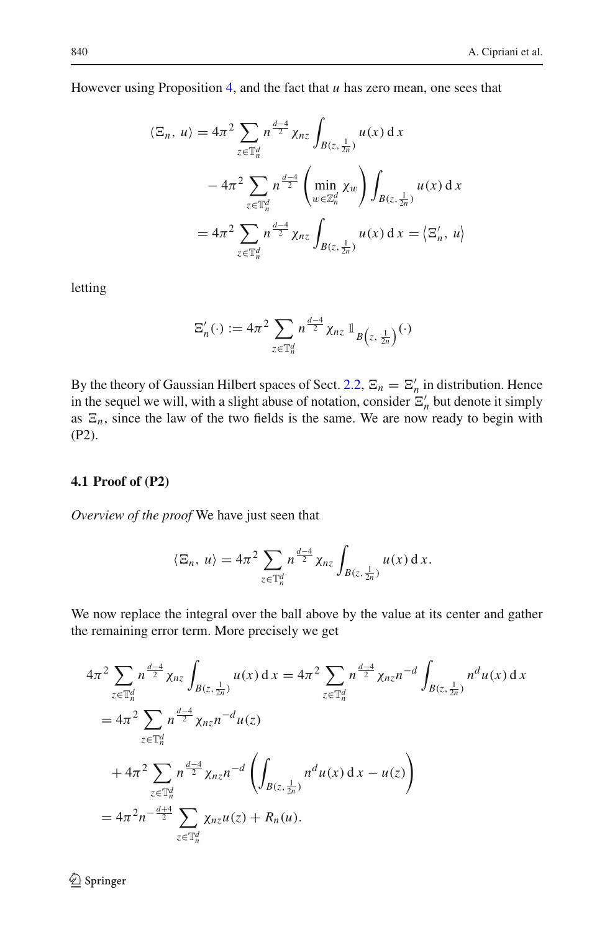However using Proposition [4,](#page-8-0) and the fact that *u* has zero mean, one sees that

$$
\langle \Xi_n, u \rangle = 4\pi^2 \sum_{z \in \mathbb{T}_n^d} n^{\frac{d-4}{2}} \chi_{nz} \int_{B(z, \frac{1}{2n})} u(x) dx
$$
  

$$
- 4\pi^2 \sum_{z \in \mathbb{T}_n^d} n^{\frac{d-4}{2}} \left( \min_{w \in \mathbb{Z}_n^d} \chi_w \right) \int_{B(z, \frac{1}{2n})} u(x) dx
$$
  

$$
= 4\pi^2 \sum_{z \in \mathbb{T}_n^d} n^{\frac{d-4}{2}} \chi_{nz} \int_{B(z, \frac{1}{2n})} u(x) dx = \langle \Xi'_n, u \rangle
$$

letting

$$
\Xi'_n(\cdot) := 4\pi^2 \sum_{z \in \mathbb{T}_n^d} n^{\frac{d-4}{2}} \chi_{nz} \mathbb{1}_{B(z, \frac{1}{2n})}(\cdot)
$$

By the theory of Gaussian Hilbert spaces of Sect. [2.2,](#page-6-0)  $\Xi_n = \Xi'_n$  in distribution. Hence in the sequel we will, with a slight abuse of notation, consider  $\Xi'_n$  but denote it simply as  $E_n$ , since the law of the two fields is the same. We are now ready to begin with (P2).

## <span id="page-11-0"></span>**4.1 Proof of (P2)**

*Overview of the proof* We have just seen that

$$
\langle \Xi_n, u \rangle = 4\pi^2 \sum_{z \in \mathbb{T}_n^d} n^{\frac{d-4}{2}} \chi_{nz} \int_{B(z, \frac{1}{2n})} u(x) \, \mathrm{d} \, x.
$$

We now replace the integral over the ball above by the value at its center and gather the remaining error term. More precisely we get

$$
4\pi^2 \sum_{z \in \mathbb{T}_n^d} n^{\frac{d-4}{2}} \chi_{nz} \int_{B(z, \frac{1}{2n})} u(x) dx = 4\pi^2 \sum_{z \in \mathbb{T}_n^d} n^{\frac{d-4}{2}} \chi_{nz} n^{-d} \int_{B(z, \frac{1}{2n})} n^d u(x) dx
$$
  
\n
$$
= 4\pi^2 \sum_{z \in \mathbb{T}_n^d} n^{\frac{d-4}{2}} \chi_{nz} n^{-d} u(z)
$$
  
\n
$$
+ 4\pi^2 \sum_{z \in \mathbb{T}_n^d} n^{\frac{d-4}{2}} \chi_{nz} n^{-d} \left( \int_{B(z, \frac{1}{2n})} n^d u(x) dx - u(z) \right)
$$
  
\n
$$
= 4\pi^2 n^{-\frac{d+4}{2}} \sum_{z \in \mathbb{T}_n^d} \chi_{nz} u(z) + R_n(u).
$$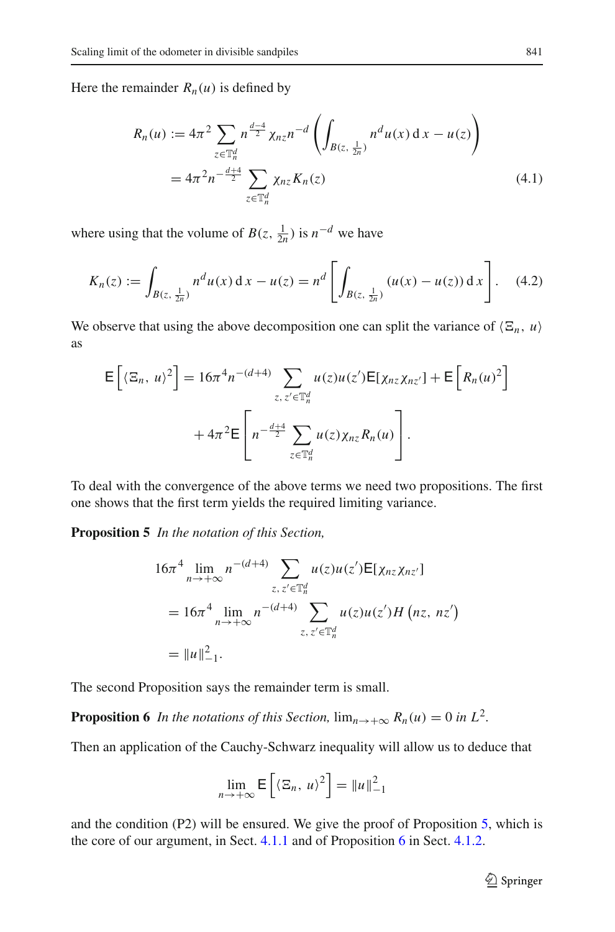Here the remainder  $R_n(u)$  is defined by

<span id="page-12-2"></span>
$$
R_n(u) := 4\pi^2 \sum_{z \in \mathbb{T}_n^d} n^{\frac{d-4}{2}} \chi_{nz} n^{-d} \left( \int_{B(z, \frac{1}{2n})} n^d u(x) dx - u(z) \right)
$$
  
=  $4\pi^2 n^{-\frac{d+4}{2}} \sum_{z \in \mathbb{T}_n^d} \chi_{nz} K_n(z)$  (4.1)

where using that the volume of  $B(z, \frac{1}{2n})$  is  $n^{-d}$  we have

<span id="page-12-3"></span>
$$
K_n(z) := \int_{B(z, \frac{1}{2n})} n^d u(x) dx - u(z) = n^d \left[ \int_{B(z, \frac{1}{2n})} (u(x) - u(z)) dx \right].
$$
 (4.2)

We observe that using the above decomposition one can split the variance of  $\langle \Xi_n, u \rangle$ as

$$
\mathsf{E}\left[\langle \Xi_n, u \rangle^2\right] = 16\pi^4 n^{-(d+4)} \sum_{z, z' \in \mathbb{T}_n^d} u(z) u(z') \mathsf{E}[\chi_{nz} \chi_{nz'}] + \mathsf{E}\left[R_n(u)^2\right] + 4\pi^2 \mathsf{E}\left[n^{-\frac{d+4}{2}} \sum_{z \in \mathbb{T}_n^d} u(z) \chi_{nz} R_n(u)\right].
$$

<span id="page-12-0"></span>To deal with the convergence of the above terms we need two propositions. The first one shows that the first term yields the required limiting variance.

**Proposition 5** *In the notation of this Section,*

$$
16\pi^{4} \lim_{n \to +\infty} n^{-(d+4)} \sum_{z, z' \in \mathbb{T}_{n}^{d}} u(z)u(z') \mathsf{E}[\chi_{nz}\chi_{nz'}]
$$
  
=  $16\pi^{4} \lim_{n \to +\infty} n^{-(d+4)} \sum_{z, z' \in \mathbb{T}_{n}^{d}} u(z)u(z')H(nz, nz')$   
=  $||u||_{-1}^{2}$ .

<span id="page-12-1"></span>The second Proposition says the remainder term is small.

**Proposition 6** *In the notations of this Section,*  $\lim_{n \to +\infty} R_n(u) = 0$  *in*  $L^2$ *.* 

Then an application of the Cauchy-Schwarz inequality will allow us to deduce that

$$
\lim_{n \to +\infty} \mathsf{E}\left[\langle \Xi_n, u \rangle^2\right] = \|u\|_{-1}^2
$$

and the condition (P2) will be ensured. We give the proof of Proposition [5,](#page-12-0) which is the core of our argument, in Sect. [4.1.1](#page-13-0) and of Proposition [6](#page-12-1) in Sect. [4.1.2.](#page-17-0)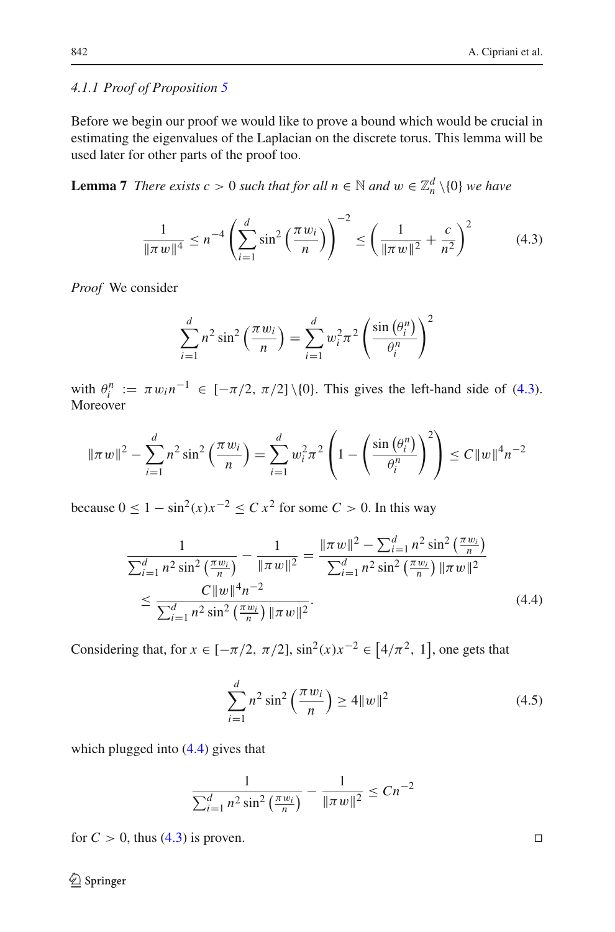## <span id="page-13-0"></span>*4.1.1 Proof of Proposition [5](#page-12-0)*

Before we begin our proof we would like to prove a bound which would be crucial in estimating the eigenvalues of the Laplacian on the discrete torus. This lemma will be used later for other parts of the proof too.

**Lemma 7** *There exists c* > 0 *such that for all*  $n \in \mathbb{N}$  *and*  $w \in \mathbb{Z}_n^d \setminus \{0\}$  *we have* 

$$
\frac{1}{\|\pi w\|^4} \le n^{-4} \left(\sum_{i=1}^d \sin^2\left(\frac{\pi w_i}{n}\right)\right)^{-2} \le \left(\frac{1}{\|\pi w\|^2} + \frac{c}{n^2}\right)^2 \tag{4.3}
$$

*Proof* We consider

<span id="page-13-1"></span>
$$
\sum_{i=1}^{d} n^2 \sin^2\left(\frac{\pi w_i}{n}\right) = \sum_{i=1}^{d} w_i^2 \pi^2 \left(\frac{\sin\left(\theta_i^n\right)}{\theta_i^n}\right)^2
$$

with  $\theta_i^n := \pi w_i n^{-1} \in [-\pi/2, \pi/2] \setminus \{0\}$ . This gives the left-hand side of [\(4.3\)](#page-13-1). Moreover

$$
\|\pi w\|^2 - \sum_{i=1}^d n^2 \sin^2\left(\frac{\pi w_i}{n}\right) = \sum_{i=1}^d w_i^2 \pi^2 \left(1 - \left(\frac{\sin\left(\theta_i^n\right)}{\theta_i^n}\right)^2\right) \le C \|w\|^4 n^{-2}
$$

because  $0 \le 1 - \sin^2(x)x^{-2} \le C x^2$  for some  $C > 0$ . In this way

$$
\frac{1}{\sum_{i=1}^{d} n^{2} \sin^{2} \left(\frac{\pi w_{i}}{n}\right)} - \frac{1}{\|\pi w\|^{2}} = \frac{\|\pi w\|^{2} - \sum_{i=1}^{d} n^{2} \sin^{2} \left(\frac{\pi w_{i}}{n}\right)}{\sum_{i=1}^{d} n^{2} \sin^{2} \left(\frac{\pi w_{i}}{n}\right) \|\pi w\|^{2}}
$$
\n
$$
\leq \frac{C \|w\|^{4} n^{-2}}{\sum_{i=1}^{d} n^{2} \sin^{2} \left(\frac{\pi w_{i}}{n}\right) \|\pi w\|^{2}}.
$$
\n(4.4)

Considering that, for  $x \in [-\pi/2, \pi/2]$ ,  $\sin^2(x)x^{-2} \in [4/\pi^2, 1]$ , one gets that

<span id="page-13-3"></span>
$$
\sum_{i=1}^{d} n^2 \sin^2 \left(\frac{\pi w_i}{n}\right) \ge 4 \|w\|^2 \tag{4.5}
$$

which plugged into [\(4.4\)](#page-13-2) gives that

$$
\frac{1}{\sum_{i=1}^{d} n^2 \sin^2\left(\frac{\pi w_i}{n}\right)} - \frac{1}{\|\pi w\|^2} \le Cn^{-2}
$$

for  $C > 0$ , thus [\(4.3\)](#page-13-1) is proven.

<span id="page-13-2"></span>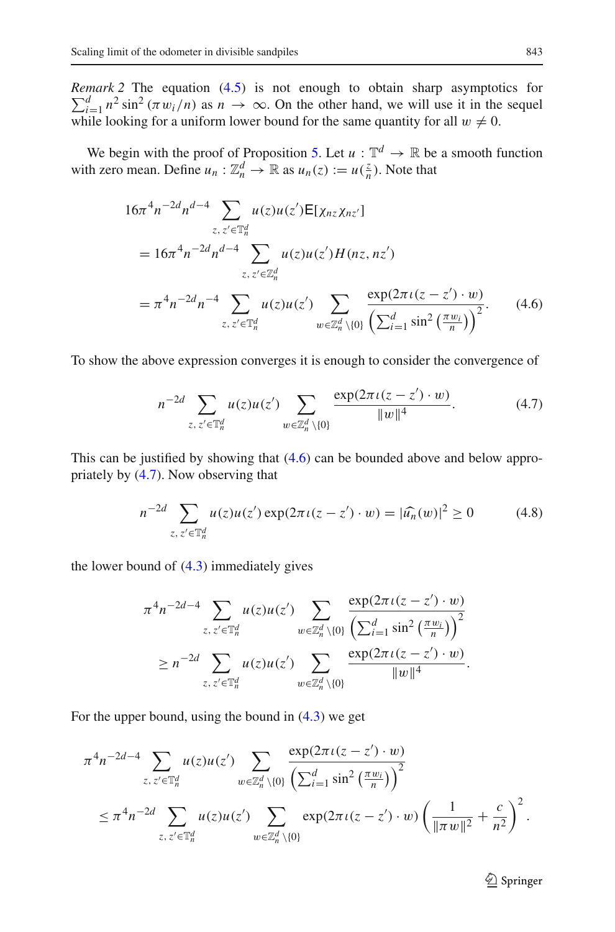*Remark 2* The equation [\(4.5\)](#page-13-3) is not enough to obtain sharp asymptotics for  $\sum_{i=1}^d n^2 \sin^2 (\pi w_i/n)$  as  $n \to \infty$ . On the other hand, we will use it in the sequel while looking for a uniform lower bound for the same quantity for all  $w \neq 0$ .

We begin with the proof of Proposition [5.](#page-12-0) Let  $u : \mathbb{T}^d \to \mathbb{R}$  be a smooth function with zero mean. Define  $u_n : \mathbb{Z}_n^d \to \mathbb{R}$  as  $u_n(z) := u(\frac{z}{n})$ . Note that

$$
16\pi^{4}n^{-2d}n^{d-4} \sum_{z,\,z'\in\mathbb{T}_{n}^{d}} u(z)u(z')\mathsf{E}[\chi_{nz}\chi_{nz'}]
$$
  
=  $16\pi^{4}n^{-2d}n^{d-4} \sum_{z,\,z'\in\mathbb{Z}_{n}^{d}} u(z)u(z')H(nz, nz')$   
=  $\pi^{4}n^{-2d}n^{-4} \sum_{z,\,z'\in\mathbb{T}_{n}^{d}} u(z)u(z') \sum_{w\in\mathbb{Z}_{n}^{d}\setminus\{0\}} \frac{\exp(2\pi\iota(z-z')\cdot w)}{\left(\sum_{i=1}^{d}\sin^{2}\left(\frac{\pi w_{i}}{n}\right)\right)^{2}}.$  (4.6)

To show the above expression converges it is enough to consider the convergence of

<span id="page-14-1"></span><span id="page-14-0"></span>
$$
n^{-2d} \sum_{z, z' \in \mathbb{T}_n^d} u(z) u(z') \sum_{w \in \mathbb{Z}_n^d \setminus \{0\}} \frac{\exp(2\pi \iota(z - z') \cdot w)}{\|w\|^4}.
$$
 (4.7)

This can be justified by showing that [\(4.6\)](#page-14-0) can be bounded above and below appropriately by [\(4.7\)](#page-14-1). Now observing that

<span id="page-14-2"></span>
$$
n^{-2d} \sum_{z, z' \in \mathbb{T}_n^d} u(z)u(z') \exp(2\pi \iota(z - z') \cdot w) = |\widehat{u_n}(w)|^2 \ge 0 \tag{4.8}
$$

the lower bound of [\(4.3\)](#page-13-1) immediately gives

$$
\pi^{4}n^{-2d-4}\sum_{z,\,z'\in\mathbb{T}_{n}^{d}}u(z)u(z')\sum_{w\in\mathbb{Z}_{n}^{d}\setminus\{0\}}\frac{\exp(2\pi\iota(z-z')\cdot w)}{\left(\sum_{i=1}^{d}\sin^{2}\left(\frac{\pi w_{i}}{n}\right)\right)^{2}}\geq n^{-2d}\sum_{z,\,z'\in\mathbb{T}_{n}^{d}}u(z)u(z')\sum_{w\in\mathbb{Z}_{n}^{d}\setminus\{0\}}\frac{\exp(2\pi\iota(z-z')\cdot w)}{\|w\|^{4}}.
$$

For the upper bound, using the bound in  $(4.3)$  we get

$$
\pi^{4} n^{-2d-4} \sum_{z, z' \in \mathbb{T}_{n}^{d}} u(z) u(z') \sum_{w \in \mathbb{Z}_{n}^{d} \setminus \{0\}} \frac{\exp(2\pi \iota(z - z') \cdot w)}{\left(\sum_{i=1}^{d} \sin^{2} \left(\frac{\pi w_{i}}{n}\right)\right)^{2}} \leq \pi^{4} n^{-2d} \sum_{z, z' \in \mathbb{T}_{n}^{d}} u(z) u(z') \sum_{w \in \mathbb{Z}_{n}^{d} \setminus \{0\}} \exp(2\pi \iota(z - z') \cdot w) \left(\frac{1}{\|\pi w\|^{2}} + \frac{c}{n^{2}}\right)^{2}.
$$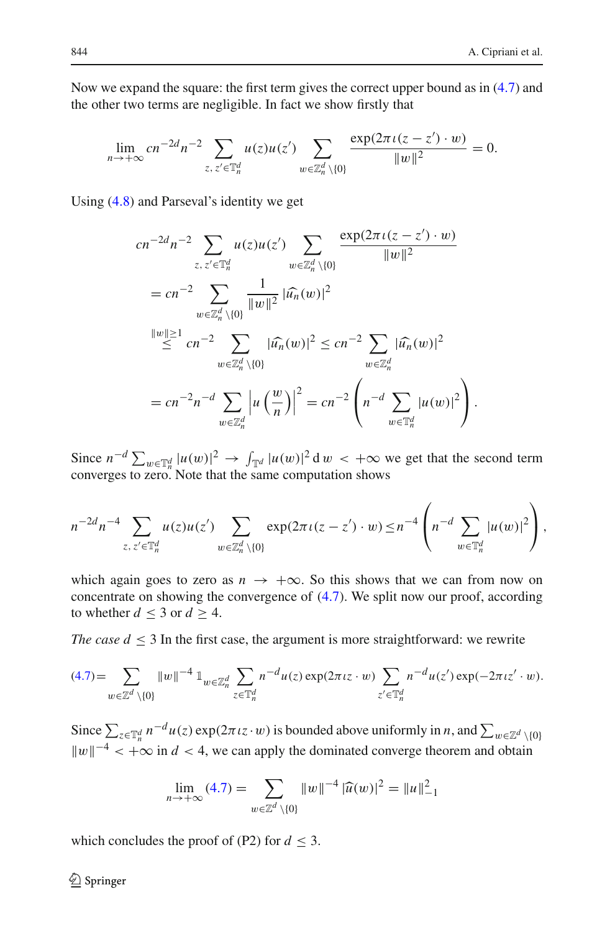Now we expand the square: the first term gives the correct upper bound as in [\(4.7\)](#page-14-1) and the other two terms are negligible. In fact we show firstly that

$$
\lim_{n \to +\infty} cn^{-2d} n^{-2} \sum_{z, z' \in \mathbb{T}_n^d} u(z) u(z') \sum_{w \in \mathbb{Z}_n^d \setminus \{0\}} \frac{\exp(2\pi \iota(z - z') \cdot w)}{\|w\|^2} = 0.
$$

Using [\(4.8\)](#page-14-2) and Parseval's identity we get

$$
cn^{-2d}n^{-2} \sum_{z, z' \in \mathbb{T}_n^d} u(z)u(z') \sum_{w \in \mathbb{Z}_n^d \setminus \{0\}} \frac{\exp(2\pi \iota(z - z') \cdot w)}{\|w\|^2}
$$
  
=  $cn^{-2} \sum_{w \in \mathbb{Z}_n^d \setminus \{0\}} \frac{1}{\|w\|^2} |\widehat{u_n}(w)|^2$   

$$
\stackrel{\|w\| \ge 1}{\le} cn^{-2} \sum_{w \in \mathbb{Z}_n^d \setminus \{0\}} |\widehat{u_n}(w)|^2 \le cn^{-2} \sum_{w \in \mathbb{Z}_n^d} |\widehat{u_n}(w)|^2
$$
  
=  $cn^{-2}n^{-d} \sum_{w \in \mathbb{Z}_n^d} |u\left(\frac{w}{n}\right)|^2 = cn^{-2} \left(n^{-d} \sum_{w \in \mathbb{T}_n^d} |u(w)|^2\right).$ 

Since  $n^{-d} \sum_{w \in \mathbb{T}_n^d} |u(w)|^2 \to \int_{\mathbb{T}^d} |u(w)|^2 \, \mathrm{d}w < +\infty$  we get that the second term converges to zero. Note that the same computation shows

$$
n^{-2d}n^{-4}\sum_{z,\,z'\in\mathbb{T}_n^d}u(z)u(z')\sum_{w\in\mathbb{Z}_n^d\setminus\{0\}}\exp(2\pi\iota(z-z')\cdot w)\le n^{-4}\left(n^{-d}\sum_{w\in\mathbb{T}_n^d}|u(w)|^2\right),
$$

which again goes to zero as  $n \to +\infty$ . So this shows that we can from now on concentrate on showing the convergence of [\(4.7\)](#page-14-1). We split now our proof, according to whether  $d \leq 3$  or  $d \geq 4$ .

*The case*  $d \leq 3$  *In the first case, the argument is more straightforward: we rewrite* 

$$
(4.7)=\sum_{w\in\mathbb{Z}^d\setminus\{0\}}\|w\|^{-4}\mathbb{1}_{w\in\mathbb{Z}_n^d}\sum_{z\in\mathbb{T}_n^d}n^{-d}u(z)\exp(2\pi\iota z\cdot w)\sum_{z'\in\mathbb{Y}_n^d}n^{-d}u(z')\exp(-2\pi\iota z'\cdot w).
$$

Since  $\sum_{z \in \mathbb{T}_n^d} n^{-d} u(z) \exp(2\pi i z \cdot w)$  is bounded above uniformly in *n*, and  $\sum_{w \in \mathbb{Z}^d} \chi_{\{0\}}$  $||w||^{-4} < +\infty$  in  $d < 4$ , we can apply the dominated converge theorem and obtain

$$
\lim_{n \to +\infty} (4.7) = \sum_{w \in \mathbb{Z}^d \setminus \{0\}} \|w\|^{-4} |\widehat{u}(w)|^2 = \|u\|_{-1}^2
$$

which concludes the proof of (P2) for  $d \leq 3$ .

 $\bigcircled{2}$  Springer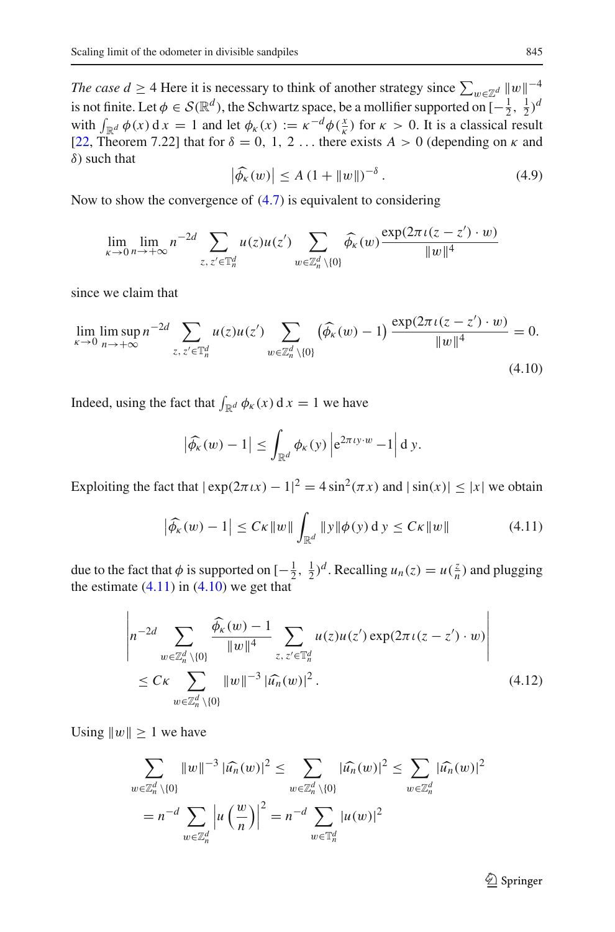*The case d* ≥ 4 Here it is necessary to think of another strategy since  $\sum_{w \in \mathbb{Z}^d} ||w||^{-4}$ is not finite. Let  $\phi \in \mathcal{S}(\mathbb{R}^d)$ , the Schwartz space, be a mollifier supported on  $[-\frac{1}{2}, \frac{1}{2})^d$ with  $\int_{\mathbb{R}^d} \phi(x) dx = 1$  and let  $\phi_k(x) := \kappa^{-d} \phi(\frac{x}{\kappa})$  for  $\kappa > 0$ . It is a classical result [\[22](#page-38-18), Theorem 7.22] that for  $\delta = 0, 1, 2, \ldots$  there exists  $A > 0$  (depending on  $\kappa$  and  $\delta$ ) such that

<span id="page-16-2"></span>
$$
\left|\widehat{\phi_{\kappa}}(w)\right| \le A \left(1 + \|w\|\right)^{-\delta}.
$$
\n(4.9)

Now to show the convergence of [\(4.7\)](#page-14-1) is equivalent to considering

$$
\lim_{\kappa \to 0} \lim_{n \to +\infty} n^{-2d} \sum_{z, z' \in \mathbb{T}_n^d} u(z) u(z') \sum_{w \in \mathbb{Z}_n^d \setminus \{0\}} \widehat{\phi_{\kappa}}(w) \frac{\exp(2\pi \iota(z - z') \cdot w)}{\|w\|^4}
$$

since we claim that

$$
\lim_{\kappa \to 0} \limsup_{n \to +\infty} n^{-2d} \sum_{z, z' \in \mathbb{T}_n^d} u(z) u(z') \sum_{w \in \mathbb{Z}_n^d \setminus \{0\}} (\widehat{\phi_{\kappa}}(w) - 1) \frac{\exp(2\pi \iota (z - z') \cdot w)}{\|w\|^4} = 0.
$$
\n(4.10)

Indeed, using the fact that  $\int_{\mathbb{R}^d} \phi_{\kappa}(x) dx = 1$  we have

<span id="page-16-1"></span><span id="page-16-0"></span>
$$
\left|\widehat{\phi_{\kappa}}(w)-1\right| \leq \int_{\mathbb{R}^d} \phi_{\kappa}(y) \left| \mathrm{e}^{2\pi \iota y \cdot w} - 1 \right| \mathrm{d} y.
$$

Exploiting the fact that  $|\exp(2\pi \iota x) - 1|^2 = 4 \sin^2(\pi x)$  and  $|\sin(x)| \le |x|$  we obtain

$$
\left| \widehat{\phi_{\kappa}}(w) - 1 \right| \le C\kappa \|w\| \int_{\mathbb{R}^d} \|y\| \phi(y) \, \mathrm{d} \, y \le C\kappa \|w\| \tag{4.11}
$$

due to the fact that  $\phi$  is supported on  $[-\frac{1}{2}, \frac{1}{2})^d$ . Recalling  $u_n(z) = u(\frac{z}{n})$  and plugging the estimate  $(4.11)$  in  $(4.10)$  we get that

$$
\left| n^{-2d} \sum_{w \in \mathbb{Z}_n^d \setminus \{0\}} \frac{\widehat{\phi_{\kappa}}(w) - 1}{\|w\|^4} \sum_{z, z' \in \mathbb{T}_n^d} u(z) u(z') \exp(2\pi \iota(z - z') \cdot w) \right|
$$
  
 
$$
\leq C\kappa \sum_{w \in \mathbb{Z}_n^d \setminus \{0\}} \|w\|^{-3} |\widehat{u_n}(w)|^2.
$$
 (4.12)

Using  $||w|| \ge 1$  we have

$$
\sum_{w \in \mathbb{Z}_n^d \setminus \{0\}} \|w\|^{-3} |\widehat{u_n}(w)|^2 \le \sum_{w \in \mathbb{Z}_n^d \setminus \{0\}} |\widehat{u_n}(w)|^2 \le \sum_{w \in \mathbb{Z}_n^d} |\widehat{u_n}(w)|^2
$$
  
=  $n^{-d} \sum_{w \in \mathbb{Z}_n^d} \left| u\left(\frac{w}{n}\right) \right|^2 = n^{-d} \sum_{w \in \mathbb{T}_n^d} |u(w)|^2$ 

 $\mathcal{D}$  Springer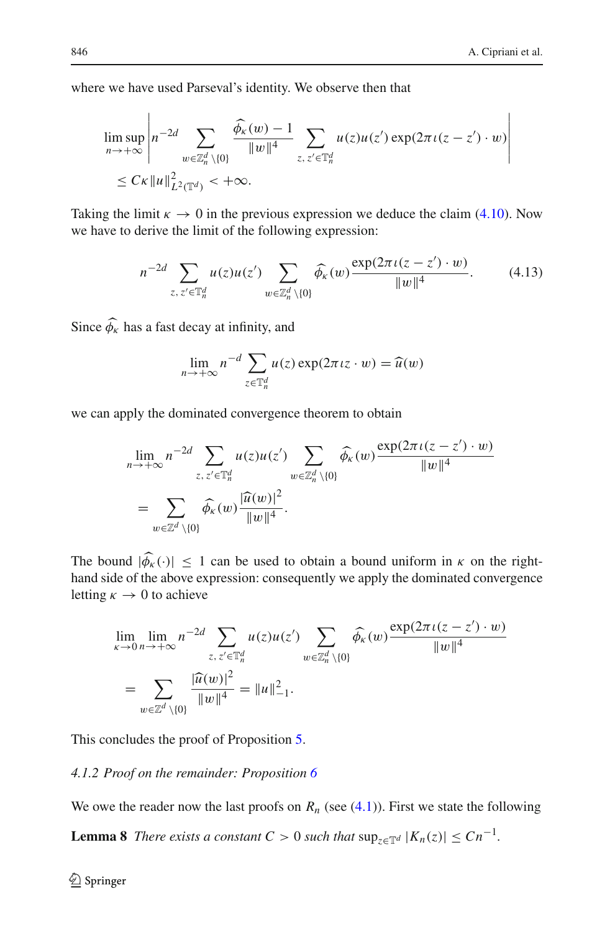where we have used Parseval's identity. We observe then that

$$
\limsup_{n \to +\infty} \left| n^{-2d} \sum_{w \in \mathbb{Z}_n^d \setminus \{0\}} \frac{\widehat{\phi_{\kappa}}(w) - 1}{\|w\|^4} \sum_{z, z' \in \mathbb{T}_n^d} u(z) u(z') \exp(2\pi \iota(z - z') \cdot w) \right|
$$
  
\n
$$
\leq C\kappa \|u\|_{L^2(\mathbb{T}^d)}^2 < +\infty.
$$

Taking the limit  $\kappa \to 0$  in the previous expression we deduce the claim [\(4.10\)](#page-16-1). Now we have to derive the limit of the following expression:

$$
n^{-2d} \sum_{z, z' \in \mathbb{T}_n^d} u(z) u(z') \sum_{w \in \mathbb{Z}_n^d \setminus \{0\}} \widehat{\phi_{\kappa}}(w) \frac{\exp(2\pi \iota(z - z') \cdot w)}{\|w\|^4}.
$$
 (4.13)

Since  $\phi_{\kappa}$  has a fast decay at infinity, and

<span id="page-17-2"></span>
$$
\lim_{n \to +\infty} n^{-d} \sum_{z \in \mathbb{T}_n^d} u(z) \exp(2\pi i z \cdot w) = \widehat{u}(w)
$$

we can apply the dominated convergence theorem to obtain

$$
\lim_{n \to +\infty} n^{-2d} \sum_{z, z' \in \mathbb{T}_n^d} u(z)u(z') \sum_{w \in \mathbb{Z}_n^d \setminus \{0\}} \widehat{\phi_{\kappa}}(w) \frac{\exp(2\pi \iota(z-z') \cdot w)}{\|w\|^4}
$$
  
= 
$$
\sum_{w \in \mathbb{Z}^d \setminus \{0\}} \widehat{\phi_{\kappa}}(w) \frac{|\widehat{u}(w)|^2}{\|w\|^4}.
$$

The bound  $|\phi_{\kappa}(\cdot)| \leq 1$  can be used to obtain a bound uniform in  $\kappa$  on the righthand side of the above expression: consequently we apply the dominated convergence letting  $\kappa \to 0$  to achieve

$$
\lim_{\kappa \to 0} \lim_{n \to +\infty} n^{-2d} \sum_{z, z' \in \mathbb{T}_n^d} u(z) u(z') \sum_{w \in \mathbb{Z}_n^d \setminus \{0\}} \widehat{\phi_{\kappa}}(w) \frac{\exp(2\pi \iota(z - z') \cdot w)}{\|w\|^4}
$$
\n
$$
= \sum_{w \in \mathbb{Z}^d \setminus \{0\}} \frac{|\widehat{u}(w)|^2}{\|w\|^4} = \|u\|_{-1}^2.
$$

This concludes the proof of Proposition [5.](#page-12-0)

## <span id="page-17-0"></span>*4.1.2 Proof on the remainder: Proposition [6](#page-12-1)*

<span id="page-17-1"></span>We owe the reader now the last proofs on  $R_n$  (see  $(4.1)$ ). First we state the following

**Lemma 8** *There exists a constant*  $C > 0$  *such that*  $\sup_{z \in \mathbb{T}^d} |K_n(z)| \leq Cn^{-1}$ *.*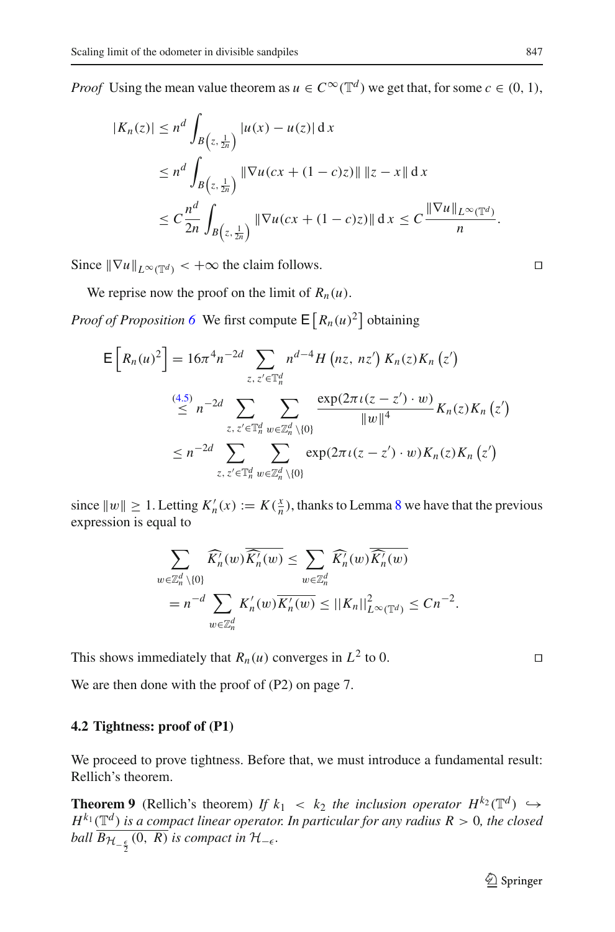*Proof* Using the mean value theorem as  $u \in C^{\infty}(\mathbb{T}^d)$  we get that, for some  $c \in (0, 1)$ ,

$$
|K_n(z)| \le n^d \int_{B\left(z, \frac{1}{2n}\right)} |u(x) - u(z)| dx
$$
  
\n
$$
\le n^d \int_{B\left(z, \frac{1}{2n}\right)} \|\nabla u(cx + (1-c)z)\| \|z - x\| dx
$$
  
\n
$$
\le C \frac{n^d}{2n} \int_{B\left(z, \frac{1}{2n}\right)} \|\nabla u(cx + (1-c)z)\| dx \le C \frac{\|\nabla u\|_{L^{\infty}(\mathbb{T}^d)}}{n}.
$$

Since  $\|\nabla u\|_{L^{\infty}(\mathbb{T}^d)} < +\infty$  the claim follows.

We reprise now the proof on the limit of  $R_n(u)$ .

*Proof of Proposition* [6](#page-12-1) We first compute  $E[R_n(u)^2]$  obtaining

$$
E\left[R_n(u)^2\right] = 16\pi^4 n^{-2d} \sum_{z, z' \in \mathbb{T}_n^d} n^{d-4} H\left(nz, nz'\right) K_n(z) K_n\left(z'\right)
$$
  
\n
$$
\leq n^{-2d} \sum_{z, z' \in \mathbb{T}_n^d} \sum_{w \in \mathbb{Z}_n^d \setminus \{0\}} \frac{\exp(2\pi \iota(z - z') \cdot w)}{\|w\|^4} K_n(z) K_n\left(z'\right)
$$
  
\n
$$
\leq n^{-2d} \sum_{z, z' \in \mathbb{T}_n^d} \sum_{w \in \mathbb{Z}_n^d \setminus \{0\}} \exp(2\pi \iota(z - z') \cdot w) K_n(z) K_n\left(z'\right)
$$

since  $||w|| \ge 1$ . Letting  $K'_n(x) := K(\frac{x}{n})$ , thanks to Lemma [8](#page-17-1) we have that the previous expression is equal to

$$
\sum_{w \in \mathbb{Z}_n^d \setminus \{0\}} \widehat{K_n^{\prime}(w)} \overline{\widehat{K_n^{\prime}(w)}} \leq \sum_{w \in \mathbb{Z}_n^d} \widehat{K_n^{\prime}(w)} \overline{\widehat{K_n^{\prime}(w)}} \n= n^{-d} \sum_{w \in \mathbb{Z}_n^d} K_n^{\prime}(w) \overline{K_n^{\prime}(w)} \leq ||K_n||^2_{L^{\infty}(\mathbb{T}^d)} \leq Cn^{-2}.
$$

This shows immediately that  $R_n(u)$  converges in  $L^2$  to 0.

We are then done with the proof of  $(P2)$  on page 7.

#### <span id="page-18-0"></span>**4.2 Tightness: proof of (P1)**

We proceed to prove tightness. Before that, we must introduce a fundamental result: Rellich's theorem.

**Theorem 9** (Rellich's theorem) *If*  $k_1 < k_2$  *the inclusion operator*  $H^{k_2}(\mathbb{T}^d) \hookrightarrow$  $H^{k_1}(\mathbb{T}^d)$  *is a compact linear operator. In particular for any radius*  $R > 0$ *, the closed ball*  $B_{\mathcal{H}_{-\frac{\epsilon}{2}}}(0, R)$  *is compact in*  $\mathcal{H}_{-\epsilon}$ *.* 

$$
f_{\rm{max}}
$$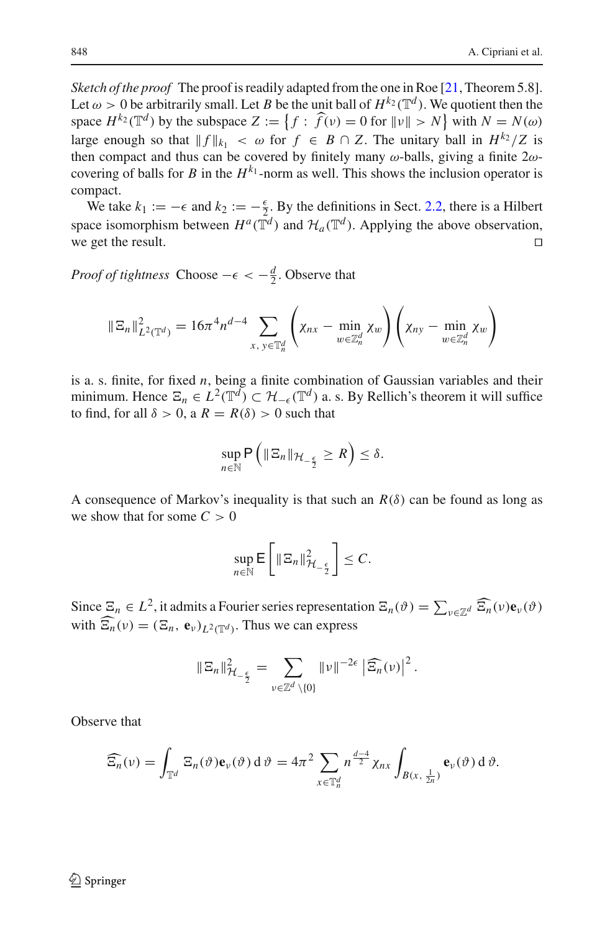*Sketch of the proof* The proof is readily adapted from the one in Roe [\[21](#page-38-19), Theorem 5.8]. Let  $\omega > 0$  be arbitrarily small. Let *B* be the unit ball of  $H^{k_2}(\mathbb{T}^d)$ . We quotient then the space  $H^{k_2}(\mathbb{T}^d)$  by the subspace  $Z := \{f : \widehat{f}(v) = 0 \text{ for } ||v|| > N\}$  with  $N = N(\omega)$ large enough so that  $|| f ||_{k_1} < \omega$  for  $f \in B \cap Z$ . The unitary ball in  $H^{k_2}/Z$  is then compact and thus can be covered by finitely many  $\omega$ -balls, giving a finite  $2\omega$ covering of balls for *B* in the  $H^{k_1}$ -norm as well. This shows the inclusion operator is compact.

We take  $k_1 := -\epsilon$  and  $k_2 := -\frac{\epsilon}{2}$ . By the definitions in Sect. [2.2,](#page-6-0) there is a Hilbert space isomorphism between  $H^a(\tilde{\mathbb{T}}^d)$  and  $\mathcal{H}_a(\mathbb{T}^d)$ . Applying the above observation, we get the result we get the result.

*Proof of tightness* Choose  $-\epsilon < -\frac{d}{2}$ . Observe that

$$
\|\Xi_n\|_{L^2(\mathbb{T}^d)}^2 = 16\pi^4 n^{d-4} \sum_{x, y \in \mathbb{T}_n^d} \left( \chi_{nx} - \min_{w \in \mathbb{Z}_n^d} \chi_w \right) \left( \chi_{ny} - \min_{w \in \mathbb{Z}_n^d} \chi_w \right)
$$

is a. s. finite, for fixed *n*, being a finite combination of Gaussian variables and their minimum. Hence  $\Xi_n \in L^2(\mathbb{T}^d) \subset \mathcal{H}_{-\epsilon}(\mathbb{T}^d)$  a. s. By Rellich's theorem it will suffice to find, for all  $\delta > 0$ , a  $R = R(\delta) > 0$  such that

$$
\sup_{n\in\mathbb{N}}\mathsf{P}\left(\|\Xi_n\|_{\mathcal{H}_{-\frac{\epsilon}{2}}}\geq R\right)\leq\delta.
$$

A consequence of Markov's inequality is that such an  $R(\delta)$  can be found as long as we show that for some  $C > 0$ 

$$
\sup_{n\in\mathbb{N}}\mathsf{E}\left[\|\Xi_n\|_{\mathcal{H}_{-\frac{\epsilon}{2}}}^2\right]\leq C.
$$

Since  $\Xi_n \in L^2$ , it admits a Fourier series representation  $\Xi_n(\vartheta) = \sum_{v \in \mathbb{Z}^d} \widehat{\Xi_n}(v) \mathbf{e}_v(\vartheta)$ with  $\Xi_n(v) = (\Xi_n, e_v)_{L^2(\mathbb{T}^d)}$ . Thus we can express

$$
\|\Xi_n\|_{\mathcal{H}_{-\frac{\epsilon}{2}}}^2 = \sum_{\nu \in \mathbb{Z}^d \setminus \{0\}} \|\nu\|^{-2\epsilon} \left|\widehat{\Xi_n}(\nu)\right|^2.
$$

Observe that

$$
\widehat{\Xi_n}(\nu) = \int_{\mathbb{T}^d} \Xi_n(\vartheta) \mathbf{e}_{\nu}(\vartheta) d\vartheta = 4\pi^2 \sum_{x \in \mathbb{T}_n^d} n^{\frac{d-4}{2}} \chi_{nx} \int_{B(x, \frac{1}{2n})} \mathbf{e}_{\nu}(\vartheta) d\vartheta.
$$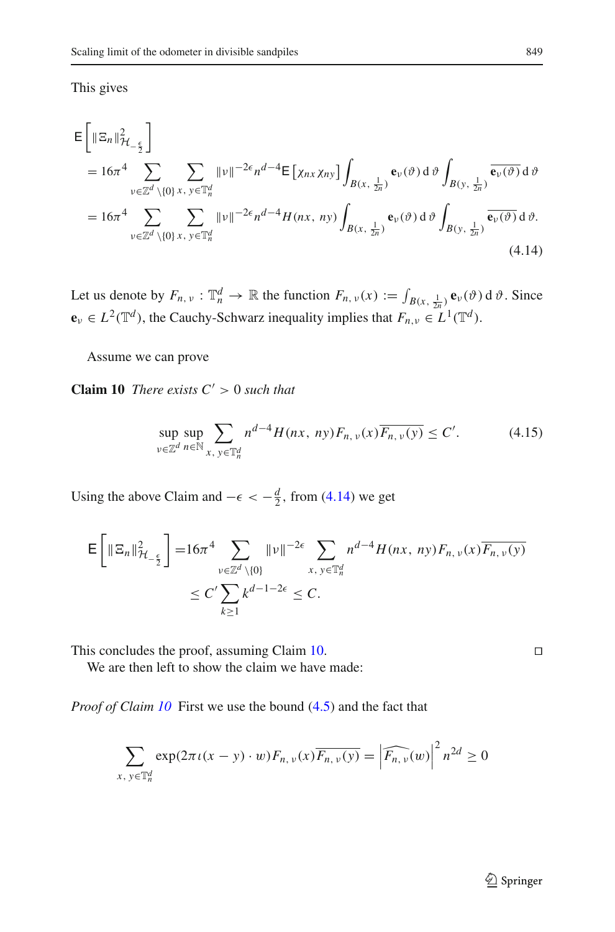This gives

$$
\mathsf{E}\left[\|\Xi_{n}\|_{\mathcal{H}_{-\frac{\epsilon}{2}}}^{2}\right]
$$
\n
$$
= 16\pi^{4} \sum_{\substack{\nu \in \mathbb{Z}^{d} \setminus\{0\} \, x, \, y \in \mathbb{T}_{n}^{d}}} \sum_{\substack{\nu \in \mathbb{Z}^{d} \setminus\{0\} \, x, \, y \in \mathbb{T}_{n}^{d}}} \|\nu\|^{-2\epsilon} n^{d-4} \mathsf{E}\left[\chi_{nx}\chi_{ny}\right] \int_{B(x,\frac{1}{2n})} \mathbf{e}_{\nu}(\vartheta) \,d\vartheta \int_{B(y,\frac{1}{2n})} \overline{\mathbf{e}_{\nu}(\vartheta)} \,d\vartheta
$$
\n
$$
= 16\pi^{4} \sum_{\substack{\nu \in \mathbb{Z}^{d} \setminus\{0\} \, x, \, y \in \mathbb{T}_{n}^{d}}} \sum_{\substack{\nu \in \mathbb{Z}^{d} \setminus\{0\} \, x, \, y \in \mathbb{T}_{n}^{d}}} \|\nu\|^{-2\epsilon} n^{d-4} H(nx, \, ny) \int_{B(x,\frac{1}{2n})} \mathbf{e}_{\nu}(\vartheta) \,d\vartheta \int_{B(y,\frac{1}{2n})} \overline{\mathbf{e}_{\nu}(\vartheta)} \,d\vartheta.
$$
\n(4.14)

Let us denote by  $F_{n,\nu} : \mathbb{T}_n^d \to \mathbb{R}$  the function  $F_{n,\nu}(x) := \int_{B(x, \frac{1}{2n})} \mathbf{e}_{\nu}(\vartheta) d\vartheta$ . Since  $\mathbf{e}_v \in L^2(\mathbb{T}^d)$ , the Cauchy-Schwarz inequality implies that  $F_{n,v} \in L^1(\mathbb{T}^d)$ .

Assume we can prove

**Claim 10** *There exists*  $C' > 0$  *such that* 

<span id="page-20-2"></span><span id="page-20-1"></span><span id="page-20-0"></span>
$$
\sup_{v \in \mathbb{Z}^d} \sup_{n \in \mathbb{N}} \sum_{x, y \in \mathbb{T}_n^d} n^{d-4} H(nx, ny) F_{n, v}(x) \overline{F_{n, v}(y)} \le C'. \tag{4.15}
$$

Using the above Claim and  $-\epsilon < -\frac{d}{2}$ , from [\(4.14\)](#page-20-0) we get

$$
\mathsf{E}\left[\|\Xi_n\|_{\mathcal{H}_{-\frac{\epsilon}{2}}}^2\right] = 16\pi^4 \sum_{\substack{\nu \in \mathbb{Z}^d \setminus \{0\} \\ \leq C' \sum_{k \geq 1} k^{d-1-2\epsilon} \leq C}} \|\nu\|^{-2\epsilon} \sum_{x, y \in \mathbb{T}_n^d} n^{d-4} H(nx, \, ny) F_{n, \, \nu}(x) \overline{F_{n, \, \nu}(y)}
$$

This concludes the proof, assuming Claim  $10$ .

We are then left to show the claim we have made:

*Proof of Claim [10](#page-20-1)* First we use the bound [\(4.5\)](#page-13-3) and the fact that

$$
\sum_{x, y \in \mathbb{T}_n^d} \exp(2\pi \iota(x - y) \cdot w) F_{n, \nu}(x) \overline{F_{n, \nu}(y)} = \left| \widehat{F_{n, \nu}(w)} \right|^2 n^{2d} \ge 0
$$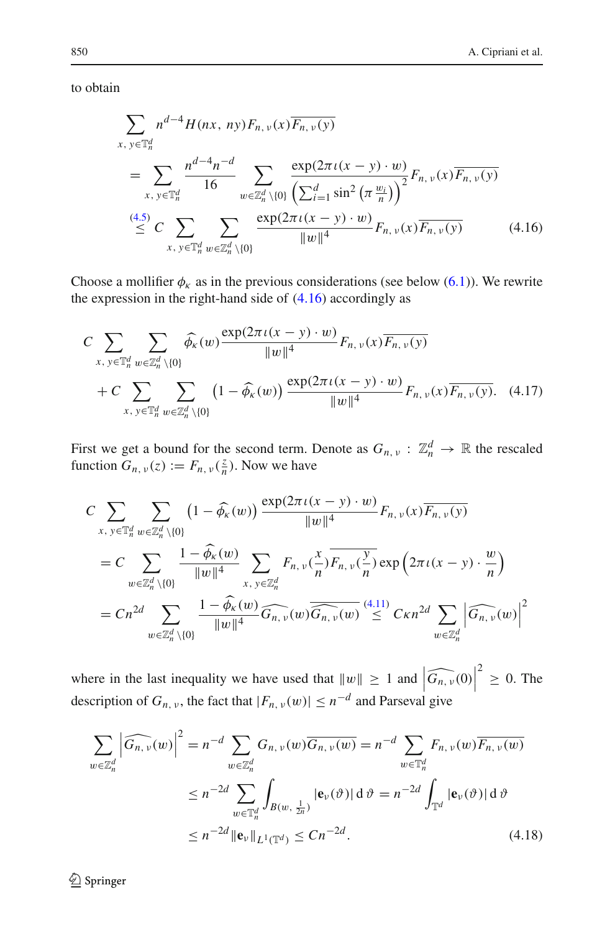to obtain

<span id="page-21-0"></span>
$$
\sum_{x, y \in \mathbb{T}_n^d} n^{d-4} H(nx, ny) F_{n, v}(x) \overline{F_{n, v}(y)}
$$
\n
$$
= \sum_{x, y \in \mathbb{T}_n^d} \frac{n^{d-4} n^{-d}}{16} \sum_{w \in \mathbb{Z}_n^d \setminus \{0\}} \frac{\exp(2\pi \iota (x - y) \cdot w)}{\left(\sum_{i=1}^d \sin^2 \left(\pi \frac{w_i}{n}\right)\right)^2} F_{n, v}(x) \overline{F_{n, v}(y)}
$$
\n
$$
\stackrel{(4.5)}{\leq} C \sum_{x, y \in \mathbb{T}_n^d} \sum_{w \in \mathbb{Z}_n^d \setminus \{0\}} \frac{\exp(2\pi \iota (x - y) \cdot w)}{\|w\|^4} F_{n, v}(x) \overline{F_{n, v}(y)} \tag{4.16}
$$

Choose a mollifier  $\phi_k$  as in the previous considerations (see below [\(6.1\)](#page-34-1)). We rewrite the expression in the right-hand side of  $(4.16)$  accordingly as

<span id="page-21-2"></span>
$$
C \sum_{x, y \in \mathbb{T}_n^d} \sum_{w \in \mathbb{Z}_n^d \setminus \{0\}} \widehat{\phi_{\kappa}}(w) \frac{\exp(2\pi \iota(x - y) \cdot w)}{\|w\|^4} F_{n, v}(x) \overline{F_{n, v}(y)}
$$
  
+ 
$$
C \sum_{x, y \in \mathbb{T}_n^d} \sum_{w \in \mathbb{Z}_n^d \setminus \{0\}} \left(1 - \widehat{\phi_{\kappa}}(w)\right) \frac{\exp(2\pi \iota(x - y) \cdot w)}{\|w\|^4} F_{n, v}(x) \overline{F_{n, v}(y)}. \quad (4.17)
$$

First we get a bound for the second term. Denote as  $G_{n, \nu} : \mathbb{Z}_n^d \to \mathbb{R}$  the rescaled function  $G_{n, v}(z) := F_{n, v}(\frac{z}{n})$ . Now we have

$$
C \sum_{x, y \in \mathbb{T}_n^d} \sum_{w \in \mathbb{Z}_n^d \setminus \{0\}} \left(1 - \widehat{\phi_{\kappa}}(w)\right) \frac{\exp(2\pi \iota(x - y) \cdot w)}{\|w\|^4} F_{n, v}(x) \overline{F_{n, v}(y)}
$$
  
\n
$$
= C \sum_{w \in \mathbb{Z}_n^d \setminus \{0\}} \frac{1 - \widehat{\phi_{\kappa}}(w)}{\|w\|^4} \sum_{x, y \in \mathbb{Z}_n^d} F_{n, v}(\frac{x}{n}) \overline{F_{n, v}(\frac{y}{n})} \exp\left(2\pi \iota(x - y) \cdot \frac{w}{n}\right)
$$
  
\n
$$
= C n^{2d} \sum_{w \in \mathbb{Z}_n^d \setminus \{0\}} \frac{1 - \widehat{\phi_{\kappa}}(w)}{\|w\|^4} \overline{G_{n, v}(w)} \overline{\widehat{G_{n, v}(w)}} \frac{(4.11)}{\sqrt{G_{n, v}(w)}} C \kappa n^{2d} \sum_{w \in \mathbb{Z}_n^d} \left|\widehat{G_{n, v}(w)}\right|^2
$$

where in the last inequality we have used that  $||w|| \ge 1$  and  $|\widehat{G_{n,\nu}(0)}|$ description of  $G_{n, v}$ , the fact that  $|F_{n, v}(w)| \leq n^{-d}$  and Parseval give  $2^2 \geq 0$ . The

<span id="page-21-1"></span>
$$
\sum_{w \in \mathbb{Z}_n^d} \left| \widehat{G_{n,\nu}}(w) \right|^2 = n^{-d} \sum_{w \in \mathbb{Z}_n^d} G_{n,\nu}(w) \overline{G_{n,\nu}(w)} = n^{-d} \sum_{w \in \mathbb{T}_n^d} F_{n,\nu}(w) \overline{F_{n,\nu}(w)}
$$
  

$$
\leq n^{-2d} \sum_{w \in \mathbb{T}_n^d} \int_{B(w, \frac{1}{2n})} |\mathbf{e}_{\nu}(\vartheta)| d\vartheta = n^{-2d} \int_{\mathbb{T}^d} |\mathbf{e}_{\nu}(\vartheta)| d\vartheta
$$
  

$$
\leq n^{-2d} ||\mathbf{e}_{\nu}||_{L^1(\mathbb{T}^d)} \leq Cn^{-2d}.
$$
 (4.18)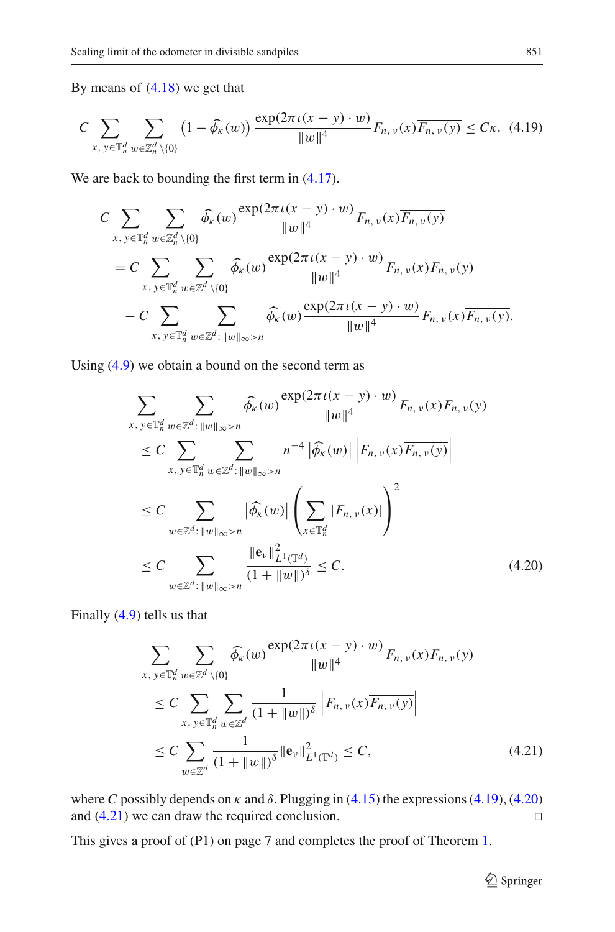By means of [\(4.18\)](#page-21-1) we get that

<span id="page-22-0"></span>
$$
C \sum_{x, y \in \mathbb{T}_n^d} \sum_{w \in \mathbb{Z}_n^d \setminus \{0\}} \left(1 - \widehat{\phi_{\kappa}}(w)\right) \frac{\exp(2\pi \iota(x - y) \cdot w)}{\|w\|^4} F_{n, v}(x) \overline{F_{n, v}(y)} \leq C\kappa. \tag{4.19}
$$

We are back to bounding the first term in  $(4.17)$ .

$$
C \sum_{x, y \in \mathbb{T}_n^d} \sum_{w \in \mathbb{Z}_n^d \setminus \{0\}} \widehat{\phi_{\kappa}}(w) \frac{\exp(2\pi \iota(x - y) \cdot w)}{\|w\|^4} F_{n, v}(x) \overline{F_{n, v}(y)}
$$
  
= 
$$
C \sum_{x, y \in \mathbb{T}_n^d} \sum_{w \in \mathbb{Z}^d \setminus \{0\}} \widehat{\phi_{\kappa}}(w) \frac{\exp(2\pi \iota(x - y) \cdot w)}{\|w\|^4} F_{n, v}(x) \overline{F_{n, v}(y)}
$$
  

$$
- C \sum_{x, y \in \mathbb{T}_n^d} \sum_{w \in \mathbb{Z}^d : \|w\|_{\infty} > n} \widehat{\phi_{\kappa}}(w) \frac{\exp(2\pi \iota(x - y) \cdot w)}{\|w\|^4} F_{n, v}(x) \overline{F_{n, v}(y)}.
$$

Using [\(4.9\)](#page-16-2) we obtain a bound on the second term as

$$
\sum_{x, y \in \mathbb{T}_n^d} \sum_{w \in \mathbb{Z}^d : ||w||_{\infty} > n} \widehat{\phi}_{\kappa}(w) \frac{\exp(2\pi \iota(x - y) \cdot w)}{||w||^4} F_{n, v}(x) \overline{F_{n, v}(y)}
$$
\n
$$
\leq C \sum_{x, y \in \mathbb{T}_n^d} \sum_{w \in \mathbb{Z}^d : ||w||_{\infty} > n} n^{-4} |\widehat{\phi}_{\kappa}(w)| \left| F_{n, v}(x) \overline{F_{n, v}(y)} \right|
$$
\n
$$
\leq C \sum_{w \in \mathbb{Z}^d : ||w||_{\infty} > n} |\widehat{\phi}_{\kappa}(w)| \left( \sum_{x \in \mathbb{T}_n^d} |F_{n, v}(x)| \right)^2
$$
\n
$$
\leq C \sum_{w \in \mathbb{Z}^d : ||w||_{\infty} > n} \frac{||e_v||_{L^1(\mathbb{T}^d)}^2}{(1 + ||w||)^{\delta}} \leq C. \tag{4.20}
$$

Finally [\(4.9\)](#page-16-2) tells us that

$$
\sum_{x, y \in \mathbb{T}_n^d} \sum_{w \in \mathbb{Z}^d \setminus \{0\}} \widehat{\phi_{\kappa}}(w) \frac{\exp(2\pi \iota (x - y) \cdot w)}{\|w\|^4} F_{n, v}(x) \overline{F_{n, v}(y)}
$$
\n
$$
\leq C \sum_{x, y \in \mathbb{T}_n^d} \sum_{w \in \mathbb{Z}^d} \frac{1}{(1 + \|w\|)^{\delta}} \left| F_{n, v}(x) \overline{F_{n, v}(y)} \right|
$$
\n
$$
\leq C \sum_{w \in \mathbb{Z}^d} \frac{1}{(1 + \|w\|)^{\delta}} \|\mathbf{e}_v\|_{L^1(\mathbb{T}^d)}^2 \leq C,
$$
\n(4.21)

where *C* possibly depends on  $\kappa$  and  $\delta$ . Plugging in [\(4.15\)](#page-20-2) the expressions [\(4.19\)](#page-22-0), [\(4.20\)](#page-22-1) and  $(4.21)$  we can draw the required conclusion.

This gives a proof of (P1) on page 7 and completes the proof of Theorem [1.](#page-4-0)

<span id="page-22-2"></span><span id="page-22-1"></span> $\mathcal{D}$  Springer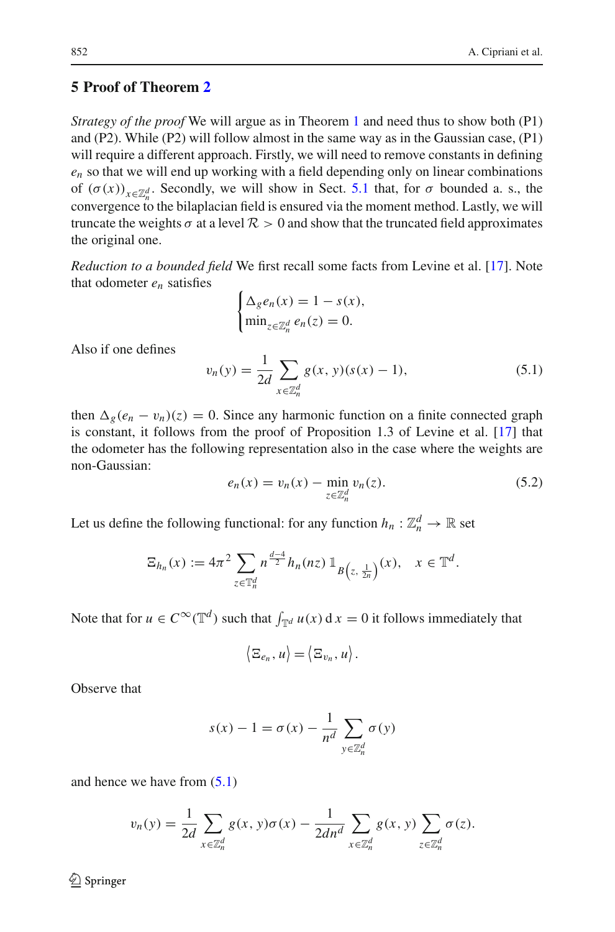# <span id="page-23-0"></span>**5 Proof of Theorem [2](#page-4-1)**

*Strategy of the proof* We will argue as in Theorem [1](#page-4-0) and need thus to show both (P1) and (P2). While (P2) will follow almost in the same way as in the Gaussian case, (P1) will require a different approach. Firstly, we will need to remove constants in defining *en* so that we will end up working with a field depending only on linear combinations of  $(\sigma(x))_{x \in \mathbb{Z}_n^d}$ . Secondly, we will show in Sect. [5.1](#page-24-0) that, for  $\sigma$  bounded a. s., the convergence to the bilaplacian field is ensured via the moment method. Lastly, we will truncate the weights  $\sigma$  at a level  $\mathcal{R} > 0$  and show that the truncated field approximates the original one.

*Reduction to a bounded field* We first recall some facts from Levine et al. [\[17](#page-38-0)]. Note that odometer *en* satisfies

$$
\begin{cases} \Delta_g e_n(x) = 1 - s(x), \\ \min_{z \in \mathbb{Z}_n^d} e_n(z) = 0. \end{cases}
$$

Also if one defines

<span id="page-23-1"></span>
$$
v_n(y) = \frac{1}{2d} \sum_{x \in \mathbb{Z}_n^d} g(x, y)(s(x) - 1),
$$
\n(5.1)

then  $\Delta_g(e_n - v_n)(z) = 0$ . Since any harmonic function on a finite connected graph is constant, it follows from the proof of Proposition 1.3 of Levine et al. [\[17](#page-38-0)] that the odometer has the following representation also in the case where the weights are non-Gaussian:

$$
e_n(x) = v_n(x) - \min_{z \in \mathbb{Z}_n^d} v_n(z).
$$
 (5.2)

Let us define the following functional: for any function  $h_n : \mathbb{Z}_n^d \to \mathbb{R}$  set

$$
\Xi_{h_n}(x) := 4\pi^2 \sum_{z \in \mathbb{T}_n^d} n^{\frac{d-4}{2}} h_n(nz) \mathbb{1}_{B(z, \frac{1}{2n})}(x), \quad x \in \mathbb{T}^d.
$$

Note that for  $u \in C^{\infty}(\mathbb{T}^d)$  such that  $\int_{\mathbb{T}^d} u(x) dx = 0$  it follows immediately that

$$
\langle \Xi_{e_n}, u \rangle = \langle \Xi_{v_n}, u \rangle.
$$

Observe that

$$
s(x) - 1 = \sigma(x) - \frac{1}{n^d} \sum_{y \in \mathbb{Z}_n^d} \sigma(y)
$$

and hence we have from [\(5.1\)](#page-23-1)

$$
v_n(y) = \frac{1}{2d} \sum_{x \in \mathbb{Z}_n^d} g(x, y) \sigma(x) - \frac{1}{2dn^d} \sum_{x \in \mathbb{Z}_n^d} g(x, y) \sum_{z \in \mathbb{Z}_n^d} \sigma(z).
$$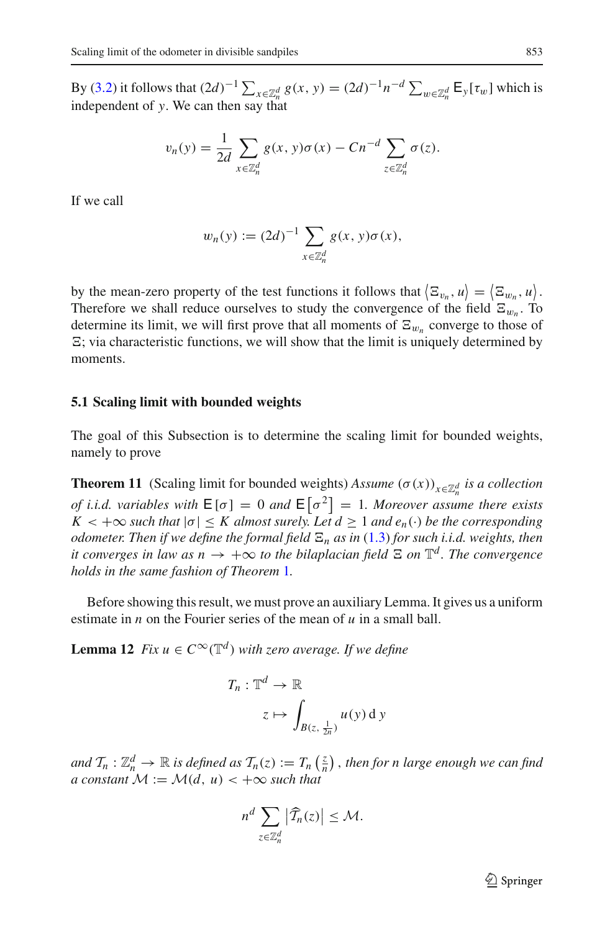By [\(3.2\)](#page-9-3) it follows that  $(2d)^{-1} \sum_{x \in \mathbb{Z}_n^d} g(x, y) = (2d)^{-1} n^{-d} \sum_{w \in \mathbb{Z}_n^d} \mathsf{E}_y[\tau_w]$  which is independent of *y*. We can then say that

$$
v_n(y) = \frac{1}{2d} \sum_{x \in \mathbb{Z}_n^d} g(x, y) \sigma(x) - Cn^{-d} \sum_{z \in \mathbb{Z}_n^d} \sigma(z).
$$

If we call

$$
w_n(y) := (2d)^{-1} \sum_{x \in \mathbb{Z}_n^d} g(x, y) \sigma(x),
$$

by the mean-zero property of the test functions it follows that  $\langle \Xi_{v_n}, u \rangle = \langle \Xi_{w_n}, u \rangle$ . Therefore we shall reduce ourselves to study the convergence of the field  $\Xi_{w_n}$ . To determine its limit, we will first prove that all moments of  $\Xi_{w_n}$  converge to those of  $\Xi$ ; via characteristic functions, we will show that the limit is uniquely determined by moments.

#### <span id="page-24-0"></span>**5.1 Scaling limit with bounded weights**

The goal of this Subsection is to determine the scaling limit for bounded weights, namely to prove

**Theorem 11** (Scaling limit for bounded weights) *Assume*  $(\sigma(x))_{x \in \mathbb{Z}_n^d}$  *is a collection of i.i.d. variables with*  $E[\sigma] = 0$  *and*  $E[\sigma^2] = 1$ *. Moreover assume there exists*  $K < +\infty$  *such that*  $|\sigma| \leq K$  *almost surely. Let*  $d \geq 1$  *and*  $e_n(\cdot)$  *be the corresponding odometer. Then if we define the formal field*  $\Xi_n$  *as in* [\(1.3\)](#page-4-2) *for such i.i.d. weights, then it converges in law as*  $n \to +\infty$  *to the bilaplacian field*  $\Xi$  *on*  $\mathbb{T}^d$ *. The convergence holds in the same fashion of Theorem* [1](#page-4-0)*.*

<span id="page-24-1"></span>Before showing this result, we must prove an auxiliary Lemma. It gives us a uniform estimate in *n* on the Fourier series of the mean of *u* in a small ball.

**Lemma 12** *Fix*  $u \in C^{\infty}(\mathbb{T}^d)$  *with zero average. If we define* 

$$
T_n: \mathbb{T}^d \to \mathbb{R}
$$

$$
z \mapsto \int_{B(z, \frac{1}{2n})} u(y) \, dy
$$

and  $\mathcal{T}_n : \mathbb{Z}_n^d \to \mathbb{R}$  is defined as  $\mathcal{T}_n(z) := T_n\left(\frac{z}{n}\right)$  , then for n large enough we can find *a constant*  $M := \mathcal{M}(d, u) < +\infty$  *such that* 

$$
n^d \sum_{z \in \mathbb{Z}_n^d} |\widehat{T}_n(z)| \leq \mathcal{M}.
$$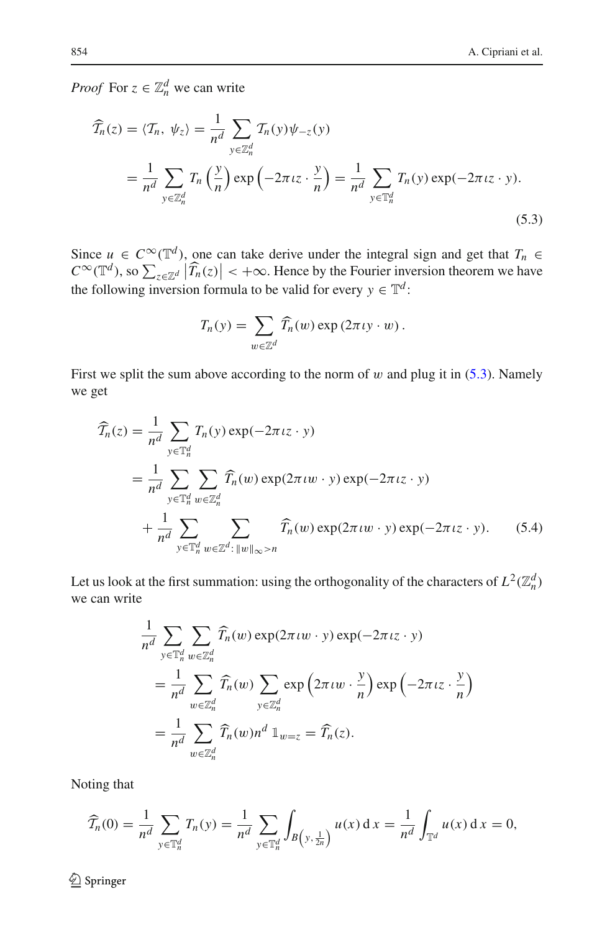*Proof* For  $z \in \mathbb{Z}_n^d$  we can write

$$
\widehat{T}_n(z) = \langle T_n, \psi_z \rangle = \frac{1}{n^d} \sum_{y \in \mathbb{Z}_n^d} T_n(y) \psi_{-z}(y)
$$
  
= 
$$
\frac{1}{n^d} \sum_{y \in \mathbb{Z}_n^d} T_n\left(\frac{y}{n}\right) \exp\left(-2\pi i z \cdot \frac{y}{n}\right) = \frac{1}{n^d} \sum_{y \in \mathbb{T}_n^d} T_n(y) \exp(-2\pi i z \cdot y).
$$
\n(5.3)

Since  $u \in C^{\infty}(\mathbb{T}^d)$ , one can take derive under the integral sign and get that  $T_n \in$  $C^{\infty}(\mathbb{T}^d)$ , so  $\sum_{z \in \mathbb{Z}^d} |\widehat{T}_n(z)| < +\infty$ . Hence by the Fourier inversion theorem we have the following inversion formula to be valid for every  $y \in \mathbb{T}^d$ :

<span id="page-25-1"></span><span id="page-25-0"></span>
$$
T_n(y) = \sum_{w \in \mathbb{Z}^d} \widehat{T}_n(w) \exp(2\pi \iota y \cdot w).
$$

First we split the sum above according to the norm of w and plug it in  $(5.3)$ . Namely we get

$$
\widehat{T}_n(z) = \frac{1}{n^d} \sum_{y \in \mathbb{T}_n^d} T_n(y) \exp(-2\pi i z \cdot y)
$$
\n
$$
= \frac{1}{n^d} \sum_{y \in \mathbb{T}_n^d} \sum_{w \in \mathbb{Z}_n^d} \widehat{T}_n(w) \exp(2\pi i w \cdot y) \exp(-2\pi i z \cdot y)
$$
\n
$$
+ \frac{1}{n^d} \sum_{y \in \mathbb{T}_n^d} \sum_{w \in \mathbb{Z}^d : ||w||_{\infty} > n} \widehat{T}_n(w) \exp(2\pi i w \cdot y) \exp(-2\pi i z \cdot y).
$$
\n(5.4)

Let us look at the first summation: using the orthogonality of the characters of  $L^2(\mathbb{Z}_n^d)$ we can write

$$
\frac{1}{n^d} \sum_{y \in \mathbb{T}_n^d} \sum_{w \in \mathbb{Z}_n^d} \widehat{T}_n(w) \exp(2\pi \iota w \cdot y) \exp(-2\pi \iota z \cdot y)
$$
  
\n
$$
= \frac{1}{n^d} \sum_{w \in \mathbb{Z}_n^d} \widehat{T}_n(w) \sum_{y \in \mathbb{Z}_n^d} \exp\left(2\pi \iota w \cdot \frac{y}{n}\right) \exp\left(-2\pi \iota z \cdot \frac{y}{n}\right)
$$
  
\n
$$
= \frac{1}{n^d} \sum_{w \in \mathbb{Z}_n^d} \widehat{T}_n(w) n^d \mathbb{1}_{w=z} = \widehat{T}_n(z).
$$

Noting that

$$
\widehat{T}_n(0) = \frac{1}{n^d} \sum_{y \in \mathbb{T}_n^d} T_n(y) = \frac{1}{n^d} \sum_{y \in \mathbb{T}_n^d} \int_{B\left(y, \frac{1}{2n}\right)} u(x) \, dx = \frac{1}{n^d} \int_{\mathbb{T}^d} u(x) \, dx = 0,
$$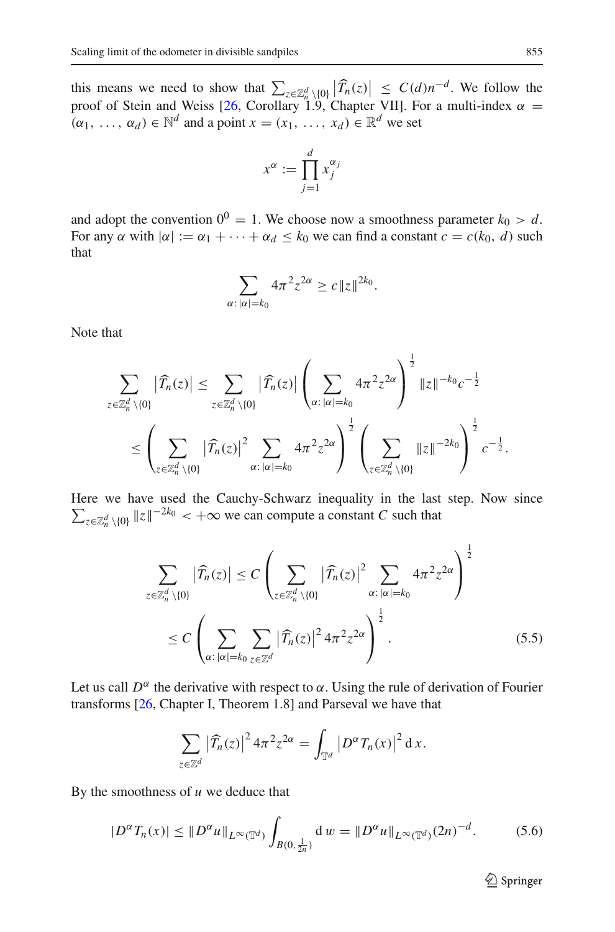this means we need to show that  $\sum_{z \in \mathbb{Z}_n^d \setminus \{0\}} |\widehat{T}_n(z)| \leq C(d)n^{-d}$ . We follow the proof of Stein and Weiss [\[26](#page-39-2), Corollary 1.9, Chapter VII]. For a multi-index  $\alpha =$  $(\alpha_1, \ldots, \alpha_d) \in \mathbb{N}^d$  and a point  $x = (x_1, \ldots, x_d) \in \mathbb{R}^d$  we set

$$
x^{\alpha} := \prod_{j=1}^{d} x_j^{\alpha_j}
$$

and adopt the convention  $0^0 = 1$ . We choose now a smoothness parameter  $k_0 > d$ . For any  $\alpha$  with  $|\alpha| := \alpha_1 + \cdots + \alpha_d < k_0$  we can find a constant  $c = c(k_0, d)$  such that

$$
\sum_{\alpha: |\alpha|=k_0} 4\pi^2 z^{2\alpha} \ge c \|z\|^{2k_0}.
$$

Note that

$$
\sum_{z \in \mathbb{Z}_n^d \setminus \{0\}} |\widehat{T}_n(z)| \leq \sum_{z \in \mathbb{Z}_n^d \setminus \{0\}} |\widehat{T}_n(z)| \left(\sum_{\alpha : |\alpha| = k_0} 4\pi^2 z^{2\alpha}\right)^{\frac{1}{2}} \|z\|^{-k_0} c^{-\frac{1}{2}}
$$
  

$$
\leq \left(\sum_{z \in \mathbb{Z}_n^d \setminus \{0\}} |\widehat{T}_n(z)|^2 \sum_{\alpha : |\alpha| = k_0} 4\pi^2 z^{2\alpha}\right)^{\frac{1}{2}} \left(\sum_{z \in \mathbb{Z}_n^d \setminus \{0\}} \|z\|^{-2k_0}\right)^{\frac{1}{2}} c^{-\frac{1}{2}}.
$$

1

Here we have used the Cauchy-Schwarz inequality in the last step. Now since  $\sum_{z \in \mathbb{Z}_n^d \setminus \{0\}} \|z\|^{-2k_0} < +\infty$  we can compute a constant *C* such that

<span id="page-26-0"></span>
$$
\sum_{z \in \mathbb{Z}_n^d \setminus \{0\}} |\widehat{T}_n(z)| \le C \left( \sum_{z \in \mathbb{Z}_n^d \setminus \{0\}} |\widehat{T}_n(z)|^2 \sum_{\alpha : |\alpha| = k_0} 4\pi^2 z^{2\alpha} \right)^{\frac{1}{2}}
$$
  

$$
\le C \left( \sum_{\alpha : |\alpha| = k_0} \sum_{z \in \mathbb{Z}^d} |\widehat{T}_n(z)|^2 4\pi^2 z^{2\alpha} \right)^{\frac{1}{2}}.
$$
 (5.5)

Let us call  $D^{\alpha}$  the derivative with respect to  $\alpha$ . Using the rule of derivation of Fourier transforms [\[26](#page-39-2), Chapter I, Theorem 1.8] and Parseval we have that

$$
\sum_{z \in \mathbb{Z}^d} \left| \widehat{T}_n(z) \right|^2 4\pi^2 z^{2\alpha} = \int_{\mathbb{T}^d} \left| D^{\alpha} T_n(x) \right|^2 dx.
$$

By the smoothness of *u* we deduce that

<span id="page-26-1"></span>
$$
|D^{\alpha}T_n(x)| \leq \|D^{\alpha}u\|_{L^{\infty}(\mathbb{T}^d)} \int_{B(0,\frac{1}{2n})} \mathrm{d} \, w = \|D^{\alpha}u\|_{L^{\infty}(\mathbb{T}^d)} (2n)^{-d}.
$$
 (5.6)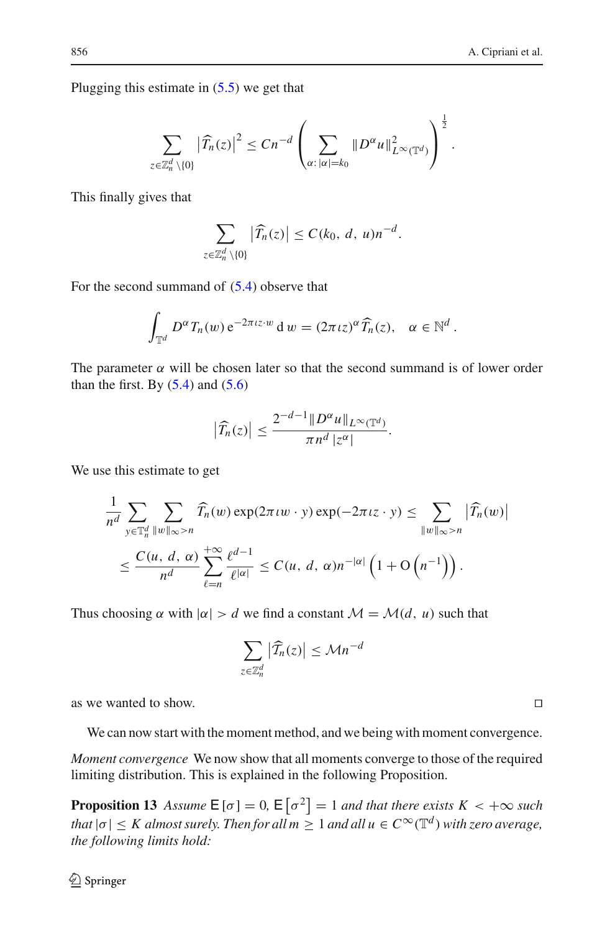Plugging this estimate in [\(5.5\)](#page-26-0) we get that

$$
\sum_{z\in\mathbb{Z}_n^d\setminus\{0\}}\left|\widehat{T}_n(z)\right|^2\leq Cn^{-d}\left(\sum_{\alpha:\,|\alpha|=k_0}\|D^{\alpha}u\|_{L^{\infty}(\mathbb{T}^d)}^2\right)^{\frac{1}{2}}.
$$

This finally gives that

$$
\sum_{z\in\mathbb{Z}_n^d\setminus\{0\}}\left|\widehat{T}_n(z)\right|\leq C(k_0, d, u)n^{-d}.
$$

For the second summand of  $(5.4)$  observe that

$$
\int_{\mathbb{T}^d} D^{\alpha} T_n(w) e^{-2\pi i z \cdot w} dw = (2\pi i z)^{\alpha} \widehat{T}_n(z), \quad \alpha \in \mathbb{N}^d.
$$

The parameter  $\alpha$  will be chosen later so that the second summand is of lower order than the first. By  $(5.4)$  and  $(5.6)$ 

$$
\left|\widehat{T}_n(z)\right| \leq \frac{2^{-d-1} \|D^{\alpha} u\|_{L^{\infty}(\mathbb{T}^d)}}{\pi n^d |z^{\alpha}|}.
$$

We use this estimate to get

$$
\frac{1}{n^d} \sum_{y \in \mathbb{T}_n^d} \sum_{\|w\|_{\infty} > n} \widehat{T}_n(w) \exp(2\pi \iota w \cdot y) \exp(-2\pi \iota z \cdot y) \le \sum_{\|w\|_{\infty} > n} |\widehat{T}_n(w)|
$$
  

$$
\le \frac{C(u, d, \alpha)}{n^d} \sum_{\ell=n}^{+\infty} \frac{\ell^{d-1}}{\ell^{|\alpha|}} \le C(u, d, \alpha) n^{-|\alpha|} \left(1 + \mathcal{O}\left(n^{-1}\right)\right).
$$

Thus choosing  $\alpha$  with  $|\alpha| > d$  we find a constant  $\mathcal{M} = \mathcal{M}(d, u)$  such that

$$
\sum_{z\in\mathbb{Z}_n^d} \left|\widehat{\mathcal{T}}_n(z)\right| \leq \mathcal{M} n^{-d}
$$

as we wanted to show.

We can now start with the moment method, and we being with moment convergence.

<span id="page-27-0"></span>*Moment convergence* We now show that all moments converge to those of the required limiting distribution. This is explained in the following Proposition.

**Proposition 13** *Assume*  $E[\sigma] = 0$ ,  $E[\sigma^2] = 1$  *and that there exists*  $K < +\infty$  *such that*  $|\sigma| \leq K$  *almost surely. Then for all*  $m \geq 1$  *and all*  $u \in C^{\infty}(\mathbb{T}^d)$  *with zero average, the following limits hold:*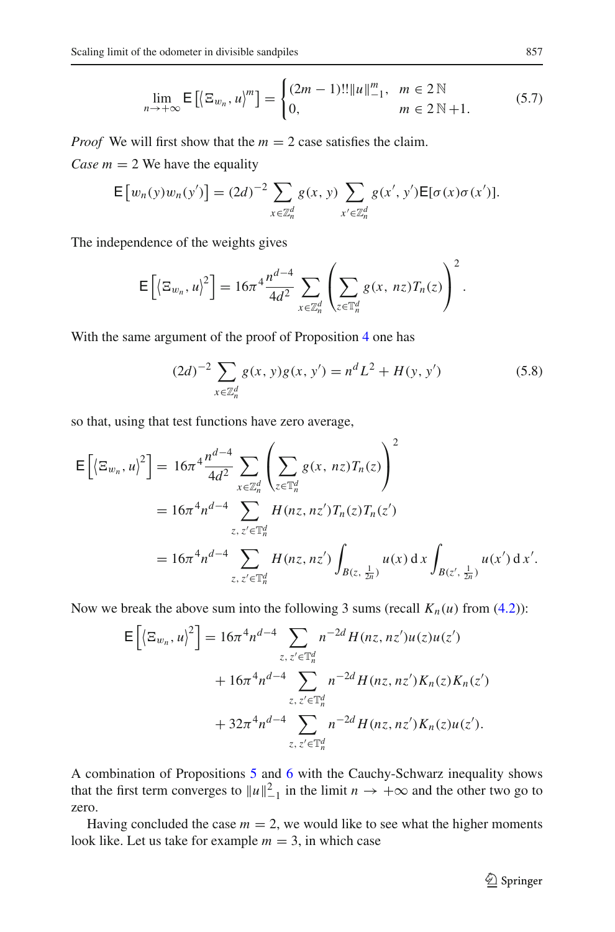$$
\lim_{n \to +\infty} \mathsf{E}\left[ \left\langle \Xi_{w_n}, u \right\rangle^m \right] = \begin{cases} (2m-1)!! \|u\|_{-1}^m, & m \in 2 \mathbb{N} \\ 0, & m \in 2 \mathbb{N} + 1. \end{cases} \tag{5.7}
$$

*Proof* We will first show that the  $m = 2$  case satisfies the claim. *Case m* = 2 We have the equality

 $E[w_n(y)w_n(y')] = (2d)^{-2} \sum$ *<sup>x</sup>*∈Z*<sup>d</sup> n*  $g(x, y)$ *x* <sup>∈</sup>Z*<sup>d</sup> n*  $g(x', y')\mathsf{E}[\sigma(x)\sigma(x')].$ 

The independence of the weights gives

$$
\mathsf{E}\left[\left\langle \Xi_{w_n}, u\right\rangle^2\right] = 16\pi^4 \frac{n^{d-4}}{4d^2} \sum_{x \in \mathbb{Z}_n^d} \left( \sum_{z \in \mathbb{T}_n^d} g(x, nz) T_n(z) \right)^2.
$$

With the same argument of the proof of Proposition [4](#page-8-0) one has

<span id="page-28-0"></span>
$$
(2d)^{-2} \sum_{x \in \mathbb{Z}_n^d} g(x, y)g(x, y') = n^d L^2 + H(y, y')
$$
 (5.8)

 $\overline{2}$ 

so that, using that test functions have zero average,

$$
\mathsf{E}\left[\left\langle \Xi_{w_n}, u\right\rangle^2\right] = 16\pi^4 \frac{n^{d-4}}{4d^2} \sum_{x \in \mathbb{Z}_n^d} \left( \sum_{z \in \mathbb{T}_n^d} g(x, nz) T_n(z) \right)^2
$$
  
=  $16\pi^4 n^{d-4} \sum_{z, z' \in \mathbb{T}_n^d} H(nz, nz') T_n(z) T_n(z')$   
=  $16\pi^4 n^{d-4} \sum_{z, z' \in \mathbb{T}_n^d} H(nz, nz') \int_{B(z, \frac{1}{2n})} u(x) dx \int_{B(z', \frac{1}{2n})} u(x') dx'.$ 

Now we break the above sum into the following 3 sums (recall  $K_n(u)$  from [\(4.2\)](#page-12-3)):

$$
\mathsf{E}\left[\left\langle \Xi_{w_n}, u\right\rangle^2\right] = 16\pi^4 n^{d-4} \sum_{z, z' \in \mathbb{T}_n^d} n^{-2d} H(nz, nz')u(z)u(z')
$$
  
+  $16\pi^4 n^{d-4} \sum_{z, z' \in \mathbb{T}_n^d} n^{-2d} H(nz, nz')K_n(z)K_n(z')$   
+  $32\pi^4 n^{d-4} \sum_{z, z' \in \mathbb{T}_n^d} n^{-2d} H(nz, nz')K_n(z)u(z').$ 

A combination of Propositions [5](#page-12-0) and [6](#page-12-1) with the Cauchy-Schwarz inequality shows that the first term converges to  $||u||_{-1}^2$  in the limit  $n \to +\infty$  and the other two go to zero.

Having concluded the case  $m = 2$ , we would like to see what the higher moments look like. Let us take for example  $m = 3$ , in which case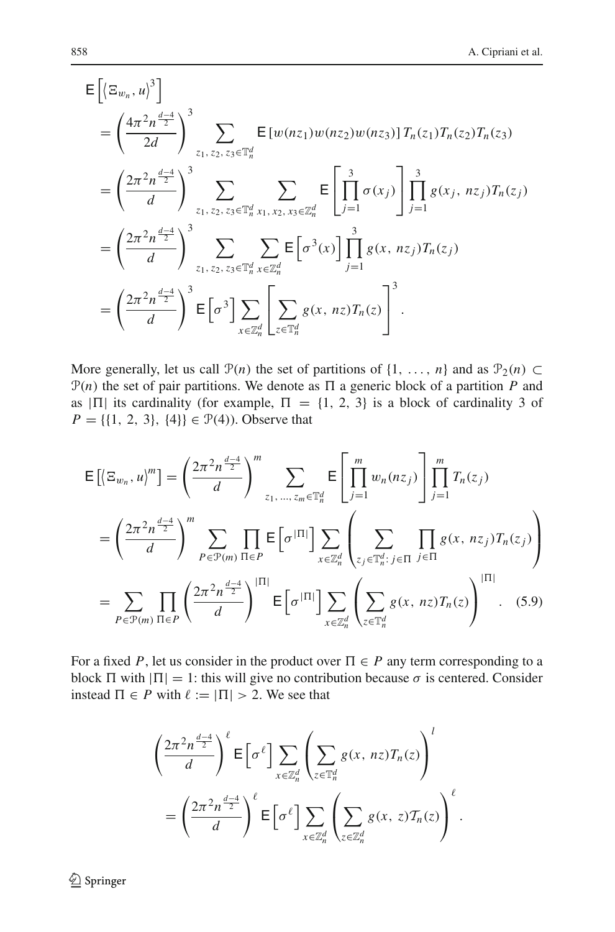$$
\begin{split}\n& \mathsf{E}\left[\left\langle \Xi_{w_{n}}, u\right\rangle^{3}\right] \\
& = \left(\frac{4\pi^{2}n^{\frac{d-4}{2}}}{2d}\right)^{3} \sum_{z_{1}, z_{2}, z_{3} \in \mathbb{T}_{n}^{d}} \mathsf{E}\left[w(nz_{1})w(nz_{2})w(nz_{3})\right] T_{n}(z_{1}) T_{n}(z_{2}) T_{n}(z_{3}) \\
& = \left(\frac{2\pi^{2}n^{\frac{d-4}{2}}}{d}\right)^{3} \sum_{z_{1}, z_{2}, z_{3} \in \mathbb{T}_{n}^{d}} \sum_{x_{1}, x_{2}, x_{3} \in \mathbb{Z}_{n}^{d}} \mathsf{E}\left[\prod_{j=1}^{3} \sigma(x_{j})\right] \prod_{j=1}^{3} g(x_{j}, nz_{j}) T_{n}(z_{j}) \\
& = \left(\frac{2\pi^{2}n^{\frac{d-4}{2}}}{d}\right)^{3} \sum_{z_{1}, z_{2}, z_{3} \in \mathbb{T}_{n}^{d}} \sum_{x \in \mathbb{Z}_{n}^{d}} \mathsf{E}\left[\sigma^{3}(x)\right] \prod_{j=1}^{3} g(x, nz_{j}) T_{n}(z_{j}) \\
& = \left(\frac{2\pi^{2}n^{\frac{d-4}{2}}}{d}\right)^{3} \mathsf{E}\left[\sigma^{3}\right] \sum_{x \in \mathbb{Z}_{n}^{d}} \left[\sum_{z \in \mathbb{T}_{n}^{d}} g(x, nz) T_{n}(z)\right]^{3}.\n\end{split}
$$

More generally, let us call  $\mathcal{P}(n)$  the set of partitions of  $\{1, \ldots, n\}$  and as  $\mathcal{P}_2(n) \subset$  $P(n)$  the set of pair partitions. We denote as  $\Pi$  a generic block of a partition *P* and as  $|\Pi|$  its cardinality (for example,  $\Pi = \{1, 2, 3\}$  is a block of cardinality 3 of  $P = \{\{1, 2, 3\}, \{4\}\}\in \mathcal{P}(4)$ ). Observe that

$$
\mathsf{E}\left[\left\langle \Xi_{w_n}, u\right\rangle^m\right] = \left(\frac{2\pi^2 n^{\frac{d-4}{2}}}{d}\right)^m \sum_{z_1, \dots, z_m \in \mathbb{T}_n^d} \mathsf{E}\left[\prod_{j=1}^m w_n(nz_j)\right] \prod_{j=1}^m T_n(z_j)
$$
\n
$$
= \left(\frac{2\pi^2 n^{\frac{d-4}{2}}}{d}\right)^m \sum_{P \in \mathcal{P}(m)} \prod_{\Pi \in P} \mathsf{E}\left[\sigma^{|\Pi|}\right] \sum_{x \in \mathbb{Z}_n^d} \left(\sum_{z_j \in \mathbb{T}_n^d : j \in \Pi} \prod_{j \in \Pi} g(x, nz_j) T_n(z_j)\right)
$$
\n
$$
= \sum_{P \in \mathcal{P}(m)} \prod_{\Pi \in P} \left(\frac{2\pi^2 n^{\frac{d-4}{2}}}{d}\right)^{|\Pi|} \mathsf{E}\left[\sigma^{|\Pi|}\right] \sum_{x \in \mathbb{Z}_n^d} \left(\sum_{z \in \mathbb{T}_n^d} g(x, nz) T_n(z)\right)^{|\Pi|}.
$$
\n(5.9)

For a fixed P, let us consider in the product over  $\Pi \in P$  any term corresponding to a block  $\Pi$  with  $|\Pi| = 1$ : this will give no contribution because  $\sigma$  is centered. Consider instead  $\Pi \in P$  with  $\ell := |\Pi| > 2$ . We see that

<span id="page-29-0"></span>
$$
\left(\frac{2\pi^2 n^{\frac{d-4}{2}}}{d}\right)^{\ell} \mathsf{E}\left[\sigma^{\ell}\right] \sum_{x \in \mathbb{Z}_n^d} \left(\sum_{z \in \mathbb{T}_n^d} g(x, nz) T_n(z)\right)^l
$$

$$
= \left(\frac{2\pi^2 n^{\frac{d-4}{2}}}{d}\right)^{\ell} \mathsf{E}\left[\sigma^{\ell}\right] \sum_{x \in \mathbb{Z}_n^d} \left(\sum_{z \in \mathbb{Z}_n^d} g(x, z) T_n(z)\right)^{\ell}.
$$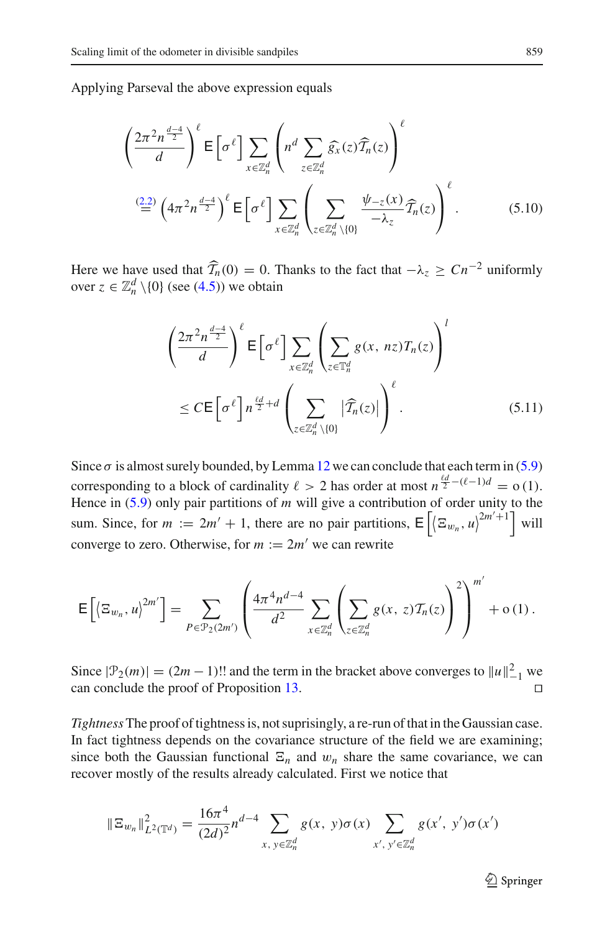Applying Parseval the above expression equals

$$
\left(\frac{2\pi^2 n^{\frac{d-4}{2}}}{d}\right)^{\ell} \mathsf{E}\left[\sigma^{\ell}\right] \sum_{x \in \mathbb{Z}_n^d} \left(n^d \sum_{z \in \mathbb{Z}_n^d} \widehat{g}_x(z) \widehat{T}_n(z)\right)^{\ell}
$$
\n
$$
\stackrel{(2.2)}{=} \left(4\pi^2 n^{\frac{d-4}{2}}\right)^{\ell} \mathsf{E}\left[\sigma^{\ell}\right] \sum_{x \in \mathbb{Z}_n^d} \left(\sum_{z \in \mathbb{Z}_n^d \setminus\{0\}} \frac{\psi_{-z}(x)}{-\lambda_z} \widehat{T}_n(z)\right)^{\ell}.
$$
\n(5.10)

Here we have used that  $\widehat{T}_n(0) = 0$ . Thanks to the fact that  $-\lambda_z \ge Cn^{-2}$  uniformly over  $z \in \mathbb{Z}_n^d \setminus \{0\}$  (see [\(4.5\)](#page-13-3)) we obtain

$$
\left(\frac{2\pi^2 n^{\frac{d-4}{2}}}{d}\right)^{\ell} \mathsf{E}\left[\sigma^{\ell}\right] \sum_{x \in \mathbb{Z}_n^d} \left(\sum_{z \in \mathbb{T}_n^d} g(x, n z) T_n(z)\right)^l
$$
\n
$$
\leq C \mathsf{E}\left[\sigma^{\ell}\right] n^{\frac{\ell d}{2} + d} \left(\sum_{z \in \mathbb{Z}_n^d \setminus \{0\}} |\widehat{T}_n(z)|\right)^{\ell} . \tag{5.11}
$$

Since  $\sigma$  is almost surely bounded, by Lemma [12](#page-24-1) we can conclude that each term in [\(5.9\)](#page-29-0) corresponding to a block of cardinality  $\ell > 2$  has order at most  $n^{\frac{\ell d}{2} - (\ell - 1)d} = o(1)$ . Hence in [\(5.9\)](#page-29-0) only pair partitions of *m* will give a contribution of order unity to the sum. Since, for  $m := 2m' + 1$ , there are no pair partitions,  $E\left[\left\langle \Xi_{w_n}, u\right\rangle^{2m'+1}\right]$  will converge to zero. Otherwise, for  $m := 2m'$  we can rewrite

$$
\mathsf{E}\left[\left\langle \Xi_{w_n},u\right\rangle^{2m'}\right] = \sum_{P \in \mathcal{P}_2(2m')} \left(\frac{4\pi^4 n^{d-4}}{d^2} \sum_{x \in \mathbb{Z}_n^d} \left(\sum_{z \in \mathbb{Z}_n^d} g(x,z) \mathcal{T}_n(z)\right)^2\right)^{m'} + o\left(1\right).
$$

Since  $|\mathcal{P}_2(m)| = (2m - 1)!!$  and the term in the bracket above converges to  $||u||_{-1}^2$  we can conclude the proof of Proposition [13.](#page-27-0)

*Tightness* The proof of tightness is, not suprisingly, a re-run of that in the Gaussian case. In fact tightness depends on the covariance structure of the field we are examining; since both the Gaussian functional  $E_n$  and  $w_n$  share the same covariance, we can recover mostly of the results already calculated. First we notice that

$$
\|\Xi_{w_n}\|_{L^2(\mathbb{T}^d)}^2 = \frac{16\pi^4}{(2d)^2} n^{d-4} \sum_{x, y \in \mathbb{Z}_n^d} g(x, y) \sigma(x) \sum_{x', y' \in \mathbb{Z}_n^d} g(x', y') \sigma(x')
$$

 $\mathcal{D}$  Springer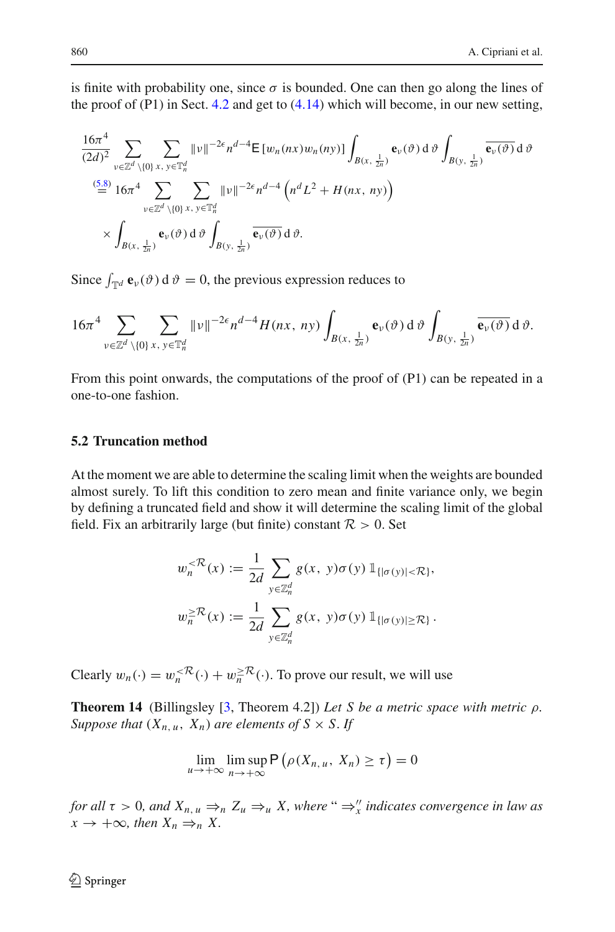is finite with probability one, since  $\sigma$  is bounded. One can then go along the lines of the proof of  $(P1)$  in Sect. [4.2](#page-18-0) and get to  $(4.14)$  which will become, in our new setting,

$$
\frac{16\pi^4}{(2d)^2} \sum_{\substack{\nu \in \mathbb{Z}^d \setminus \{0\} \, x, \, \nu \in \mathbb{T}_n^d}} \|\nu\|^{-2\epsilon} n^{d-4} \mathsf{E} \left[ w_n(nx) w_n(n\mathbf{y}) \right] \int_{B(x, \frac{1}{2n})} \mathbf{e}_{\nu}(\vartheta) \, d\vartheta \int_{B(y, \frac{1}{2n})} \overline{\mathbf{e}_{\nu}(\vartheta)} \, d\vartheta
$$
  

$$
\stackrel{(5.8)}{=} 16\pi^4 \sum_{\substack{\nu \in \mathbb{Z}^d \setminus \{0\} \, x, \, \nu \in \mathbb{T}_n^d}} \sum_{\substack{\nu \in \mathbb{Z}^d}} \|\nu\|^{-2\epsilon} n^{d-4} \left( n^d L^2 + H(nx, \, ny) \right)
$$
  

$$
\times \int_{B(x, \frac{1}{2n})} \mathbf{e}_{\nu}(\vartheta) \, d\vartheta \int_{B(y, \frac{1}{2n})} \overline{\mathbf{e}_{\nu}(\vartheta)} \, d\vartheta.
$$

Since  $\int_{\mathbb{T}^d} \mathbf{e}_v(\vartheta) d\vartheta = 0$ , the previous expression reduces to

$$
16\pi^4 \sum_{v \in \mathbb{Z}^d \setminus \{0\}} \sum_{x, y \in \mathbb{T}_n^d} \|v\|^{-2\epsilon} n^{d-4} H(nx, ny) \int_{B(x, \frac{1}{2n})} \mathbf{e}_v(\vartheta) d\vartheta \int_{B(y, \frac{1}{2n})} \overline{\mathbf{e}_v(\vartheta)} d\vartheta.
$$

From this point onwards, the computations of the proof of (P1) can be repeated in a one-to-one fashion.

## **5.2 Truncation method**

At the moment we are able to determine the scaling limit when the weights are bounded almost surely. To lift this condition to zero mean and finite variance only, we begin by defining a truncated field and show it will determine the scaling limit of the global field. Fix an arbitrarily large (but finite) constant  $\mathcal{R} > 0$ . Set

$$
w_n^{< \mathcal{R}}(x) := \frac{1}{2d} \sum_{y \in \mathbb{Z}_n^d} g(x, y) \sigma(y) \mathbb{1}_{\{|\sigma(y)| < \mathcal{R}\}},
$$
  

$$
w_n^{\geq \mathcal{R}}(x) := \frac{1}{2d} \sum_{y \in \mathbb{Z}_n^d} g(x, y) \sigma(y) \mathbb{1}_{\{|\sigma(y)| \geq \mathcal{R}\}}.
$$

<span id="page-31-0"></span>Clearly  $w_n(\cdot) = w_n^{<\mathcal{R}}(\cdot) + w_n^{ \geq \mathcal{R}}(\cdot)$ . To prove our result, we will use

**Theorem 14** (Billingsley [\[3,](#page-38-20) Theorem 4.2]) *Let S be a metric space with metric* ρ*. Suppose that*  $(X_{n,u}, X_n)$  *are elements of*  $S \times S$ . *If* 

$$
\lim_{u \to +\infty} \limsup_{n \to +\infty} \mathsf{P}\left(\rho(X_{n,u}, X_n) \ge \tau\right) = 0
$$

*for all*  $\tau > 0$ *, and*  $X_{n, u} \Rightarrow_n Z_u \Rightarrow_u X$ *, where* " $\Rightarrow''_x$  *indicates convergence in law as*  $x \to +\infty$ *, then*  $X_n \Rightarrow_n X$ .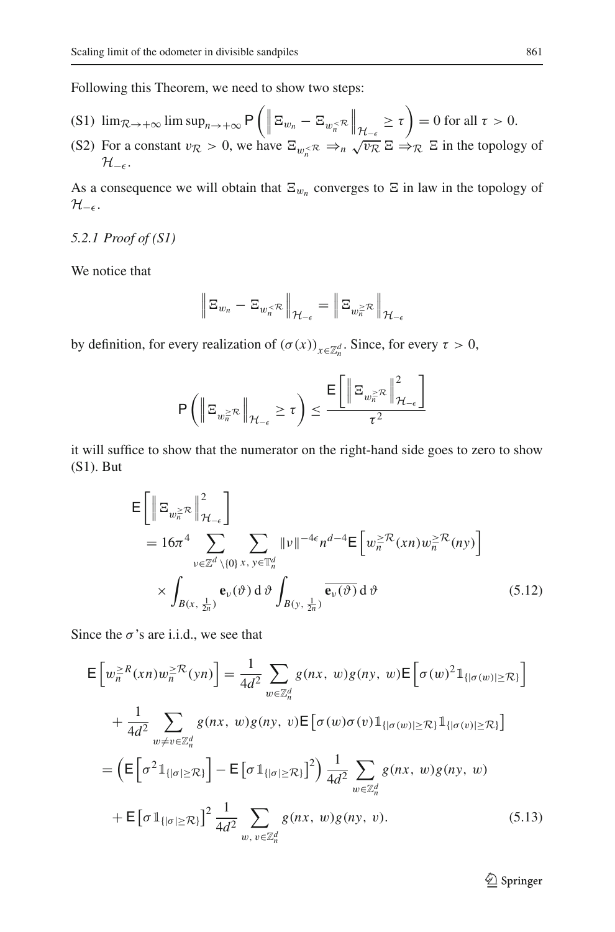Following this Theorem, we need to show two steps:

- (S1)  $\lim_{R \to +\infty} \limsup_{n \to +\infty} P\left(\left\|\Xi_{w_n} \Xi_{w_n^{-R}}\right\|_{\mathcal{H}_{-\epsilon}} \geq \tau\right) = 0$  for all  $\tau > 0$ .
- (S2) For a constant  $v_R > 0$ , we have  $\Xi_{w_n \ltimes R} \Rightarrow_n \sqrt{v_R} \Xi \Rightarrow_R \Xi$  in the topology of  $\mathcal{H}_{-\epsilon}$ .

As a consequence we will obtain that  $\Xi_{w_n}$  converges to  $\Xi$  in law in the topology of  $H$ <sup>- $\epsilon$ </sup>·

# *5.2.1 Proof of (S1)*

We notice that

$$
\left\|\Xi_{w_n}-\Xi_{w_n^{<\mathcal{R}}}\right\|_{\mathcal{H}_{-\epsilon}}=\left\|\Xi_{w_n^{> \mathcal{R}}}\right\|_{\mathcal{H}_{-\epsilon}}
$$

by definition, for every realization of  $(\sigma(x))_{x \in \mathbb{Z}_n^d}$ . Since, for every  $\tau > 0$ ,

$$
\mathsf{P}\left(\left\|\Xi_{w_n^{\geq\mathcal{R}}}\right\|_{\mathcal{H}_{-\epsilon}}\geq\tau\right)\leq\frac{\mathsf{E}\bigg[\left\|\Xi_{w_n^{\geq\mathcal{R}}}\right\|^2_{\mathcal{H}_{-\epsilon}}\bigg]}{\tau^2}
$$

it will suffice to show that the numerator on the right-hand side goes to zero to show (S1). But

<span id="page-32-0"></span>
$$
\mathsf{E}\left[\left\|\Xi_{w_n^{\geq R}}\right\|_{\mathcal{H}_{-\epsilon}}^2\right]
$$
\n
$$
= 16\pi^4 \sum_{v \in \mathbb{Z}^d \setminus\{0\}} \sum_{x, y \in \mathbb{T}_n^d} \|\nu\|^{-4\epsilon} n^{d-4} \mathsf{E}\left[w_n^{\geq R}(xn)w_n^{\geq R}(ny)\right]
$$
\n
$$
\times \int_{B(x, \frac{1}{2n})} \mathbf{e}_v(\vartheta) d\vartheta \int_{B(y, \frac{1}{2n})} \overline{\mathbf{e}_v(\vartheta)} d\vartheta \qquad (5.12)
$$

Since the  $\sigma$ 's are i.i.d., we see that

<span id="page-32-1"></span>
$$
\mathsf{E}\left[w_n^{\geq R}(xn)w_n^{\geq R}(yn)\right] = \frac{1}{4d^2} \sum_{w \in \mathbb{Z}_n^d} g(nx, w)g(ny, w) \mathsf{E}\left[\sigma(w)^2 \mathbb{1}_{\{|\sigma(w)| \geq \mathcal{R}\}}\right]
$$
\n
$$
+ \frac{1}{4d^2} \sum_{w \neq v \in \mathbb{Z}_n^d} g(nx, w)g(ny, v) \mathsf{E}\left[\sigma(w)\sigma(v)\mathbb{1}_{\{|\sigma(w)| \geq \mathcal{R}\}}\mathbb{1}_{\{|\sigma(v)| \geq \mathcal{R}\}}\right]
$$
\n
$$
= \left(\mathsf{E}\left[\sigma^2 \mathbb{1}_{\{|\sigma| \geq \mathcal{R}\}}\right] - \mathsf{E}\left[\sigma \mathbb{1}_{\{|\sigma| \geq \mathcal{R}\}}\right]^2\right) \frac{1}{4d^2} \sum_{w \in \mathbb{Z}_n^d} g(nx, w)g(ny, w)
$$
\n
$$
+ \mathsf{E}\left[\sigma \mathbb{1}_{\{|\sigma| \geq \mathcal{R}\}}\right]^2 \frac{1}{4d^2} \sum_{w, v \in \mathbb{Z}_n^d} g(nx, w)g(ny, v). \tag{5.13}
$$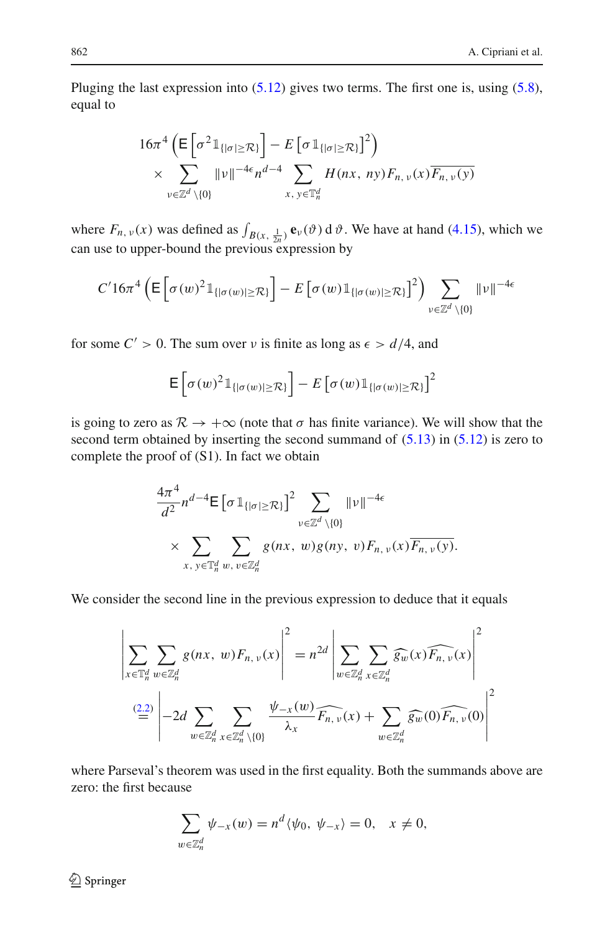Pluging the last expression into  $(5.12)$  gives two terms. The first one is, using  $(5.8)$ , equal to

$$
16\pi^4 \left( \mathsf{E} \left[ \sigma^2 \mathbb{1}_{\{|\sigma| \geq \mathcal{R}\}} \right] - E \left[ \sigma \mathbb{1}_{\{|\sigma| \geq \mathcal{R}\}} \right]^2 \right) \times \sum_{v \in \mathbb{Z}^d \setminus \{0\}} \|\nu\|^{-4\epsilon} n^{d-4} \sum_{x, y \in \mathbb{T}^d_n} H(nx, ny) F_{n, v}(x) \overline{F_{n, v}(y)}
$$

where  $F_{n, \nu}(x)$  was defined as  $\int_{B(x, \frac{1}{2n})} \mathbf{e}_{\nu}(\vartheta) d\vartheta$ . We have at hand [\(4.15\)](#page-20-2), which we can use to upper-bound the previous expression by

$$
C' 16\pi^4 \left( \mathsf{E}\left[\sigma(w)^2 \mathbb{1}_{\{|\sigma(w)| \geq \mathcal{R}\}}\right] - E\left[\sigma(w) \mathbb{1}_{\{|\sigma(w)| \geq \mathcal{R}\}}\right]^2 \right) \sum_{v \in \mathbb{Z}^d \setminus \{0\}} \|v\|^{-4\epsilon}
$$

for some  $C' > 0$ . The sum over v is finite as long as  $\epsilon > d/4$ , and

$$
\mathsf{E}\left[\sigma(w)^2\mathbb{1}_{\{|\sigma(w)|\geq \mathcal{R}\}}\right] - E\left[\sigma(w)\mathbb{1}_{\{|\sigma(w)|\geq \mathcal{R}\}}\right]^2
$$

is going to zero as  $\mathcal{R} \to +\infty$  (note that  $\sigma$  has finite variance). We will show that the second term obtained by inserting the second summand of [\(5.13\)](#page-32-1) in [\(5.12\)](#page-32-0) is zero to complete the proof of (S1). In fact we obtain

$$
\frac{4\pi^4}{d^2} n^{d-4} \mathsf{E} \left[ \sigma \mathbb{1}_{\{|\sigma| \geq \mathcal{R}\}} \right]^2 \sum_{v \in \mathbb{Z}^d \setminus \{0\}} \|\nu\|^{-4\epsilon} \times \sum_{x, y \in \mathbb{T}_n^d} \sum_{w, v \in \mathbb{Z}_n^d} g(nx, w) g(ny, v) F_{n, v}(x) \overline{F_{n, v}(y)}.
$$

We consider the second line in the previous expression to deduce that it equals

$$
\left| \sum_{x \in \mathbb{T}_n^d} \sum_{w \in \mathbb{Z}_n^d} g(nx, w) F_{n, v}(x) \right|^2 = n^{2d} \left| \sum_{w \in \mathbb{Z}_n^d} \sum_{x \in \mathbb{Z}_n^d} \widehat{g_w}(x) \widehat{F_{n, v}}(x) \right|^2
$$
  

$$
\stackrel{(2.2)}{=} \left| -2d \sum_{w \in \mathbb{Z}_n^d} \sum_{x \in \mathbb{Z}_n^d \setminus \{0\}} \frac{\psi_{-x}(w)}{\lambda_x} \widehat{F_{n, v}}(x) + \sum_{w \in \mathbb{Z}_n^d} \widehat{g_w}(0) \widehat{F_{n, v}}(0) \right|^2
$$

where Parseval's theorem was used in the first equality. Both the summands above are zero: the first because

$$
\sum_{w \in \mathbb{Z}_n^d} \psi_{-x}(w) = n^d \langle \psi_0, \psi_{-x} \rangle = 0, \quad x \neq 0,
$$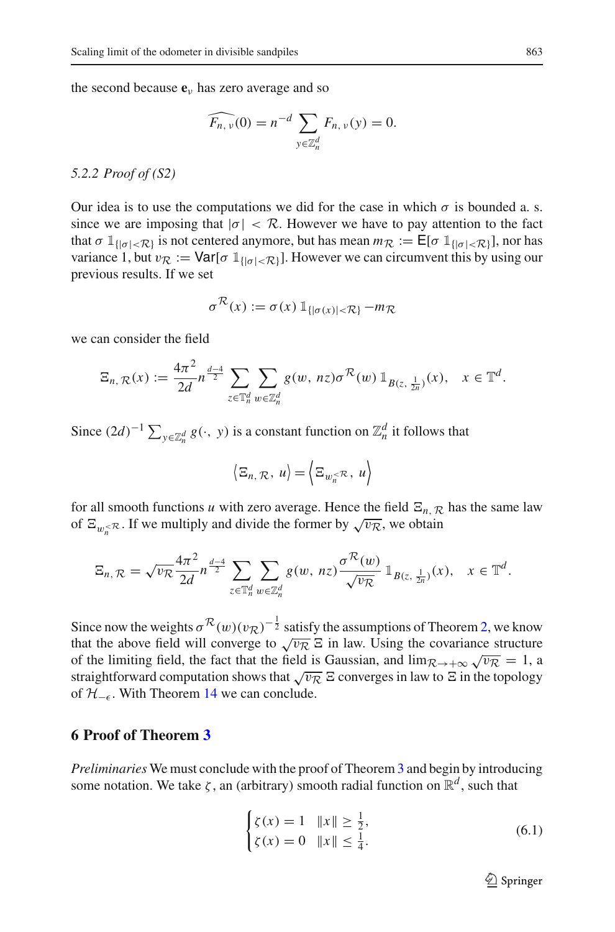the second because  $\mathbf{e}_v$  has zero average and so

$$
\widehat{F_{n,\nu}}(0) = n^{-d} \sum_{y \in \mathbb{Z}_n^d} F_{n,\nu}(y) = 0.
$$

#### *5.2.2 Proof of (S2)*

Our idea is to use the computations we did for the case in which  $\sigma$  is bounded a. s. since we are imposing that  $|\sigma| < \mathcal{R}$ . However we have to pay attention to the fact that  $\sigma \mathbb{1}_{\{|\sigma| < \mathcal{R}\}}$  is not centered anymore, but has mean  $m_{\mathcal{R}} := \mathsf{E}[\sigma \mathbb{1}_{\{|\sigma| < \mathcal{R}\}}]$ , nor has variance 1, but  $v_R := \text{Var}[\sigma \mathbb{1}_{\{| \sigma | < R \}}]$ . However we can circumvent this by using our previous results. If we set

$$
\sigma^{\mathcal{R}}(x) := \sigma(x) \, \mathbb{1}_{\{|\sigma(x)| < \mathcal{R}\}} - m_{\mathcal{R}}
$$

we can consider the field

$$
\Xi_{n,\,\mathcal{R}}(x) := \frac{4\pi^2}{2d} n^{\frac{d-4}{2}} \sum_{z \in \mathbb{T}_n^d} \sum_{w \in \mathbb{Z}_n^d} g(w,\,n z) \sigma^{\mathcal{R}}(w) \, \mathbb{1}_{B(z,\,\frac{1}{2n})}(x), \quad x \in \mathbb{T}^d.
$$

Since  $(2d)^{-1} \sum_{y \in \mathbb{Z}_n^d} g(\cdot, y)$  is a constant function on  $\mathbb{Z}_n^d$  it follows that

$$
\langle \Xi_n, \mathcal{R}, u \rangle = \langle \Xi_{w_n^{\langle\mathcal{R}, u \rangle}}
$$

for all smooth functions *u* with zero average. Hence the field  $E_{n, R}$  has the same law of  $\Xi_{w \leq \mathcal{R}}$ . If we multiply and divide the former by  $\sqrt{v_{\mathcal{R}}}$ , we obtain

$$
\Xi_{n,\mathcal{R}}=\sqrt{\nu_{\mathcal{R}}}\frac{4\pi^{2}}{2d}n^{\frac{d-4}{2}}\sum_{z\in\mathbb{T}_{n}^{d}}\sum_{w\in\mathbb{Z}_{n}^{d}}g(w,nz)\frac{\sigma^{\mathcal{R}}(w)}{\sqrt{\nu_{\mathcal{R}}}}\mathbb{1}_{B(z,\frac{1}{2n})}(x),\quad x\in\mathbb{T}^{d}.
$$

Since now the weights  $\sigma^{\mathcal{R}}(w)(v_{\mathcal{R}})^{-\frac{1}{2}}$  satisfy the assumptions of Theorem [2,](#page-4-1) we know that the above field will converge to  $\sqrt{v_R} \, \Xi$  in law. Using the covariance structure of the limiting field, the fact that the field is Gaussian, and  $\lim_{R\to+\infty}\sqrt{v_R} = 1$ , a straightforward computation shows that  $\sqrt{vR}$   $\Xi$  converges in law to  $\Xi$  in the topology of  $H_{-\epsilon}$ . With Theorem [14](#page-31-0) we can conclude.

# <span id="page-34-0"></span>**6 Proof of Theorem [3](#page-4-3)**

*Preliminaries* We must conclude with the proof of Theorem [3](#page-4-3) and begin by introducing some notation. We take  $\zeta$ , an (arbitrary) smooth radial function on  $\mathbb{R}^d$ , such that

<span id="page-34-1"></span>
$$
\begin{cases} \zeta(x) = 1 & \|x\| \ge \frac{1}{2}, \\ \zeta(x) = 0 & \|x\| \le \frac{1}{4}. \end{cases}
$$
\n(6.1)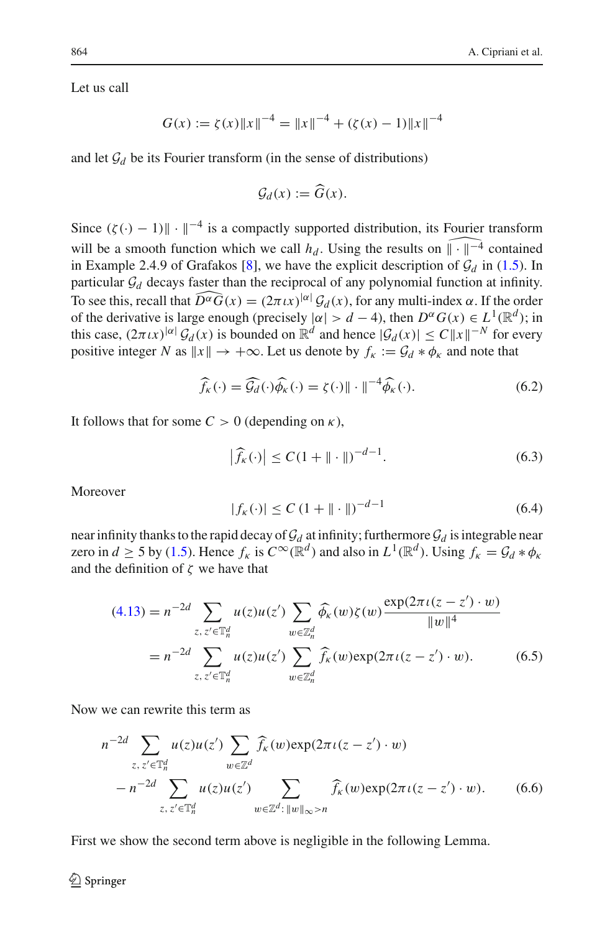Let us call

$$
G(x) := \zeta(x) \|x\|^{-4} = \|x\|^{-4} + (\zeta(x) - 1) \|x\|^{-4}
$$

and let  $\mathcal{G}_d$  be its Fourier transform (in the sense of distributions)

$$
\mathcal{G}_d(x) := \widehat{G}(x).
$$

Since  $(\zeta(\cdot) - 1)$   $\|\cdot\|^{-4}$  is a compactly supported distribution, its Fourier transform will be a smooth function which we call  $h_d$ . Using the results on  $\widehat{||\cdot||}^{-4}$  contained in Example 2.4.9 of Grafakos [\[8\]](#page-38-21), we have the explicit description of  $\mathcal{G}_d$  in [\(1.5\)](#page-5-1). In particular  $\mathcal{G}_d$  decays faster than the reciprocal of any polynomial function at infinity. To see this, recall that  $\widehat{D^{\alpha}G}(x) = (2\pi \iota x)^{|\alpha|} \mathcal{G}_d(x)$ , for any multi-index  $\alpha$ . If the order of the derivative is large enough (precisely  $|\alpha| > d - 4$ ), then  $D^{\alpha}G(x) \in L^{1}(\mathbb{R}^{d})$ ; in this case,  $(2\pi \iota x)^{|\alpha|} \mathcal{G}_d(x)$  is bounded on  $\mathbb{R}^d$  and hence  $|\mathcal{G}_d(x)| \le C ||x||^{-N}$  for every positive integer *N* as  $||x|| \rightarrow +\infty$ . Let us denote by  $f_k := \mathcal{G}_d * \phi_k$  and note that

$$
\widehat{f}_{\kappa}(\cdot) = \widehat{\mathcal{G}_{d}}(\cdot)\widehat{\phi_{\kappa}}(\cdot) = \zeta(\cdot)\|\cdot\|^{-4}\widehat{\phi_{\kappa}}(\cdot). \tag{6.2}
$$

It follows that for some  $C > 0$  (depending on  $\kappa$ ),

<span id="page-35-0"></span>
$$
\left|\widehat{f}_{\kappa}(\cdot)\right| \le C(1 + \|\cdot\|)^{-d-1}.\tag{6.3}
$$

Moreover

<span id="page-35-4"></span><span id="page-35-3"></span><span id="page-35-2"></span>
$$
|f_{\kappa}(\cdot)| \le C (1 + \| \cdot \|)^{-d-1}
$$
 (6.4)

near infinity thanks to the rapid decay of  $\mathcal{G}_d$  at infinity; furthermore  $\mathcal{G}_d$  is integrable near zero in  $d \ge 5$  by [\(1.5\)](#page-5-1). Hence  $f_k$  is  $C^\infty(\mathbb{R}^d)$  and also in  $L^1(\mathbb{R}^d)$ . Using  $f_k = \mathcal{G}_d * \phi_k$ and the definition of  $\zeta$  we have that

$$
(4.13) = n^{-2d} \sum_{z, z' \in \mathbb{T}_n^d} u(z)u(z') \sum_{w \in \mathbb{Z}_n^d} \widehat{\phi_{\kappa}}(w) \zeta(w) \frac{\exp(2\pi \iota(z - z') \cdot w)}{\|w\|^4}
$$
  
=  $n^{-2d} \sum_{z, z' \in \mathbb{T}_n^d} u(z)u(z') \sum_{w \in \mathbb{Z}_n^d} \widehat{f_{\kappa}}(w) \exp(2\pi \iota(z - z') \cdot w).$  (6.5)

Now we can rewrite this term as

$$
n^{-2d} \sum_{z, z' \in \mathbb{T}_n^d} u(z)u(z') \sum_{w \in \mathbb{Z}^d} \widehat{f_k}(w) \exp(2\pi \iota(z - z') \cdot w)
$$
  
- 
$$
n^{-2d} \sum_{z, z' \in \mathbb{T}_n^d} u(z)u(z') \sum_{w \in \mathbb{Z}^d : ||w||_{\infty} > n} \widehat{f_k}(w) \exp(2\pi \iota(z - z') \cdot w).
$$
 (6.6)

<span id="page-35-1"></span>First we show the second term above is negligible in the following Lemma.

## $\circled{2}$  Springer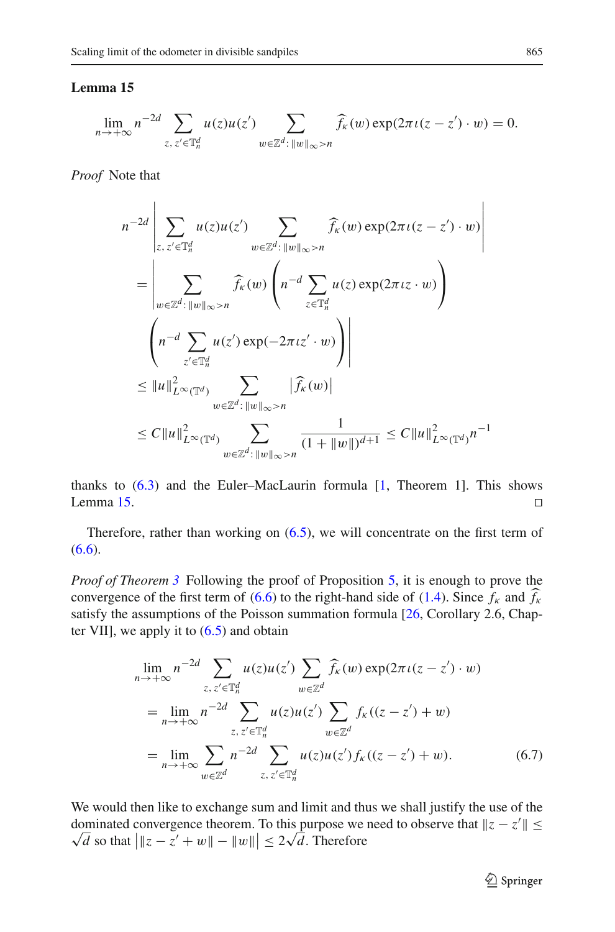### **Lemma 15**

$$
\lim_{n\to+\infty} n^{-2d} \sum_{z,\,z'\in\mathbb{T}_n^d} u(z)u(z') \sum_{w\in\mathbb{Z}^d:\,||w||_{\infty}>n} \widehat{f}_{\kappa}(w) \exp(2\pi \iota(z-z')\cdot w) = 0.
$$

*Proof* Note that

$$
n^{-2d} \left| \sum_{z, z' \in \mathbb{T}_n^d} u(z) u(z') \sum_{w \in \mathbb{Z}^d : \|w\|_{\infty} > n} \widehat{f}_{\kappa}(w) \exp(2\pi \iota(z - z') \cdot w) \right|
$$
  
\n
$$
= \left| \sum_{w \in \mathbb{Z}^d : \|w\|_{\infty} > n} \widehat{f}_{\kappa}(w) \left( n^{-d} \sum_{z \in \mathbb{T}_n^d} u(z) \exp(2\pi \iota z \cdot w) \right) \right|
$$
  
\n
$$
\left( n^{-d} \sum_{z' \in \mathbb{T}_n^d} u(z') \exp(-2\pi \iota z' \cdot w) \right) \right|
$$
  
\n
$$
\leq \|u\|_{L^{\infty}(\mathbb{T}^d)}^2 \sum_{w \in \mathbb{Z}^d : \|w\|_{\infty} > n} |\widehat{f}_{\kappa}(w)|
$$
  
\n
$$
\leq C \|u\|_{L^{\infty}(\mathbb{T}^d)}^2 \sum_{w \in \mathbb{Z}^d : \|w\|_{\infty} > n} \frac{1}{(1 + \|w\|)^{d+1}} \leq C \|u\|_{L^{\infty}(\mathbb{T}^d)}^2 n^{-1}
$$

thanks to  $(6.3)$  and the Euler–MacLaurin formula  $[1,$  $[1,$  Theorem 1]. This shows Lemma [15.](#page-35-1)  $\Box$ 

Therefore, rather than working on [\(6.5\)](#page-35-2), we will concentrate on the first term of  $(6.6).$  $(6.6).$ 

*Proof of Theorem* [3](#page-4-3) Following the proof of Proposition [5,](#page-12-0) it is enough to prove the convergence of the first term of [\(6.6\)](#page-35-3) to the right-hand side of [\(1.4\)](#page-5-2). Since  $f_k$  and  $\hat{f}_k$ satisfy the assumptions of the Poisson summation formula [\[26](#page-39-2), Corollary 2.6, Chapter VII], we apply it to  $(6.5)$  and obtain

<span id="page-36-0"></span>
$$
\lim_{n \to +\infty} n^{-2d} \sum_{z, z' \in \mathbb{T}_n^d} u(z) u(z') \sum_{w \in \mathbb{Z}^d} \widehat{f}_{\kappa}(w) \exp(2\pi \iota(z - z') \cdot w)
$$
\n
$$
= \lim_{n \to +\infty} n^{-2d} \sum_{z, z' \in \mathbb{T}_n^d} u(z) u(z') \sum_{w \in \mathbb{Z}^d} f_{\kappa}((z - z') + w)
$$
\n
$$
= \lim_{n \to +\infty} \sum_{w \in \mathbb{Z}^d} n^{-2d} \sum_{z, z' \in \mathbb{T}_n^d} u(z) u(z') f_{\kappa}((z - z') + w).
$$
\n(6.7)

We would then like to exchange sum and limit and thus we shall justify the use of the dominated convergence theorem. To this purpose we need to observe that  $\|z - z'\|$  ≤  $\frac{d}{d}$  so that  $\left| \|z - z' + w\| - \|w\| \right| \leq 2\sqrt{d}$ . Therefore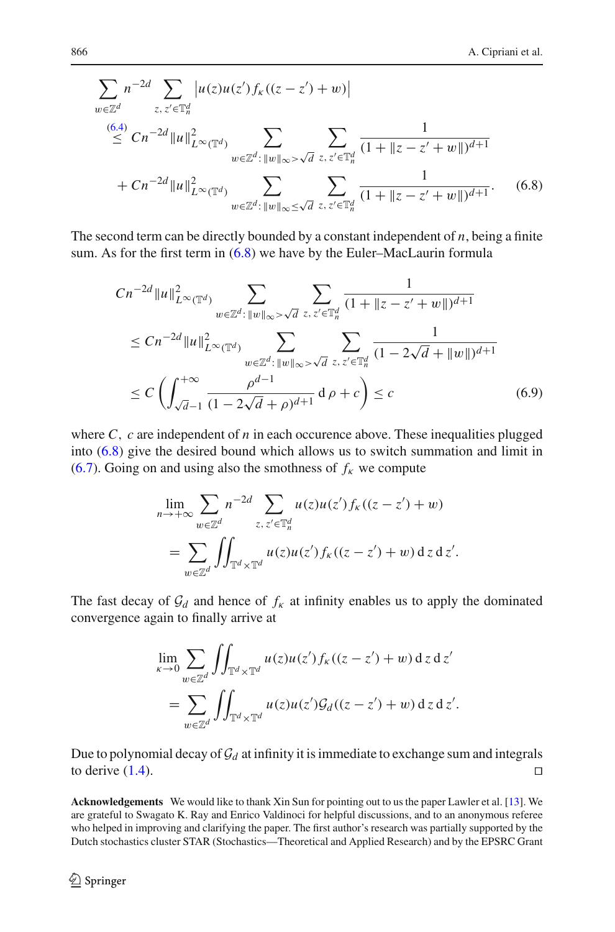$$
\sum_{w \in \mathbb{Z}^d} n^{-2d} \sum_{z, z' \in \mathbb{T}_n^d} |u(z)u(z')f_k((z - z') + w)|
$$
  
\n
$$
\leq Cn^{-2d} \|u\|_{L^{\infty}(\mathbb{T}^d)}^2 \sum_{w \in \mathbb{Z}^d : \|w\|_{\infty} > \sqrt{d}} \sum_{z, z' \in \mathbb{T}_n^d} \frac{1}{(1 + \|z - z' + w\|)^{d+1}}
$$
  
\n
$$
+ Cn^{-2d} \|u\|_{L^{\infty}(\mathbb{T}^d)}^2 \sum_{w \in \mathbb{Z}^d : \|w\|_{\infty} \leq \sqrt{d}} \sum_{z, z' \in \mathbb{T}_n^d} \frac{1}{(1 + \|z - z' + w\|)^{d+1}}.
$$
 (6.8)

The second term can be directly bounded by a constant independent of *n*, being a finite sum. As for the first term in  $(6.8)$  we have by the Euler–MacLaurin formula

<span id="page-37-0"></span>
$$
Cn^{-2d} \|u\|_{L^{\infty}(\mathbb{T}^d)}^2 \sum_{w \in \mathbb{Z}^d : \|w\|_{\infty} > \sqrt{d}} \sum_{z, z' \in \mathbb{T}_n^d} \frac{1}{(1 + \|z - z' + w\|)^{d+1}}
$$
  
\n
$$
\le Cn^{-2d} \|u\|_{L^{\infty}(\mathbb{T}^d)}^2 \sum_{w \in \mathbb{Z}^d : \|w\|_{\infty} > \sqrt{d}} \sum_{z, z' \in \mathbb{T}_n^d} \frac{1}{(1 - 2\sqrt{d} + \|w\|)^{d+1}}
$$
  
\n
$$
\le C \left( \int_{\sqrt{d}-1}^{+\infty} \frac{\rho^{d-1}}{(1 - 2\sqrt{d} + \rho)^{d+1}} d\rho + c \right) \le c
$$
 (6.9)

where  $C$ ,  $c$  are independent of  $n$  in each occurence above. These inequalities plugged into [\(6.8\)](#page-37-0) give the desired bound which allows us to switch summation and limit in [\(6.7\)](#page-36-0). Going on and using also the smothness of  $f_k$  we compute

$$
\lim_{n \to +\infty} \sum_{w \in \mathbb{Z}^d} n^{-2d} \sum_{z, z' \in \mathbb{T}_n^d} u(z) u(z') f_k((z - z') + w)
$$
  
= 
$$
\sum_{w \in \mathbb{Z}^d} \iint_{\mathbb{T}^d \times \mathbb{T}^d} u(z) u(z') f_k((z - z') + w) dz dz'.
$$

The fast decay of  $\mathcal{G}_d$  and hence of  $f_k$  at infinity enables us to apply the dominated convergence again to finally arrive at

$$
\lim_{\kappa \to 0} \sum_{w \in \mathbb{Z}^d} \iint_{\mathbb{T}^d \times \mathbb{T}^d} u(z) u(z') f_{\kappa}((z - z') + w) dz dz'
$$
  
= 
$$
\sum_{w \in \mathbb{Z}^d} \iint_{\mathbb{T}^d \times \mathbb{T}^d} u(z) u(z') \mathcal{G}_d((z - z') + w) dz dz'.
$$

Due to polynomial decay of  $\mathcal{G}_d$  at infinity it is immediate to exchange sum and integrals to derive (1.4). to derive  $(1.4)$ .

**Acknowledgements** We would like to thank Xin Sun for pointing out to us the paper Lawler et al. [\[13](#page-38-14)]. We are grateful to Swagato K. Ray and Enrico Valdinoci for helpful discussions, and to an anonymous referee who helped in improving and clarifying the paper. The first author's research was partially supported by the Dutch stochastics cluster STAR (Stochastics—Theoretical and Applied Research) and by the EPSRC Grant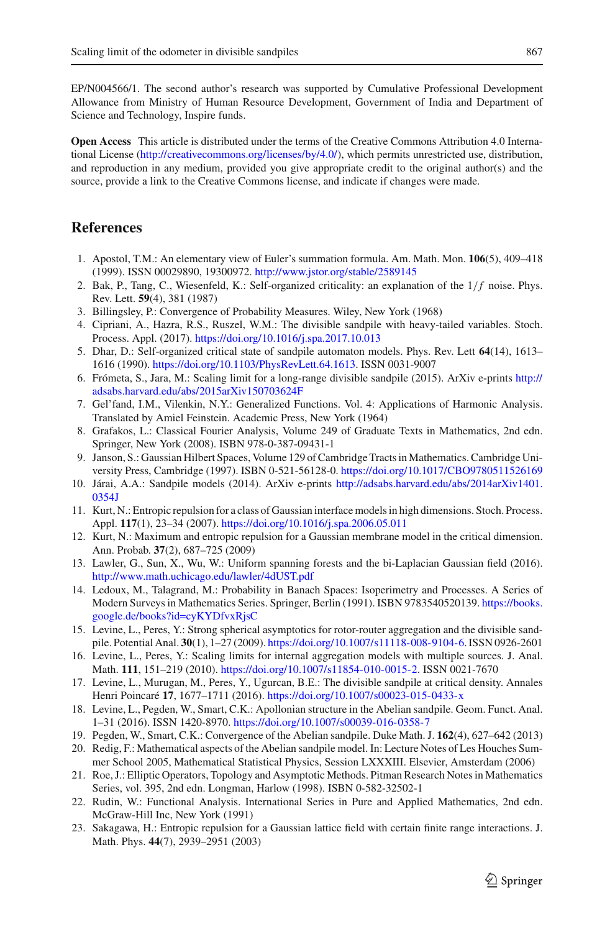EP/N004566/1. The second author's research was supported by Cumulative Professional Development Allowance from Ministry of Human Resource Development, Government of India and Department of Science and Technology, Inspire funds.

**Open Access** This article is distributed under the terms of the Creative Commons Attribution 4.0 International License [\(http://creativecommons.org/licenses/by/4.0/\)](http://creativecommons.org/licenses/by/4.0/), which permits unrestricted use, distribution, and reproduction in any medium, provided you give appropriate credit to the original author(s) and the source, provide a link to the Creative Commons license, and indicate if changes were made.

# **References**

- <span id="page-38-22"></span>1. Apostol, T.M.: An elementary view of Euler's summation formula. Am. Math. Mon. **106**(5), 409–418 (1999). ISSN 00029890, 19300972. <http://www.jstor.org/stable/2589145>
- <span id="page-38-1"></span>2. Bak, P., Tang, C., Wiesenfeld, K.: Self-organized criticality: an explanation of the  $1/f$  noise. Phys. Rev. Lett. **59**(4), 381 (1987)
- <span id="page-38-20"></span>3. Billingsley, P.: Convergence of Probability Measures. Wiley, New York (1968)
- <span id="page-38-10"></span>4. Cipriani, A., Hazra, R.S., Ruszel, W.M.: The divisible sandpile with heavy-tailed variables. Stoch. Process. Appl. (2017). <https://doi.org/10.1016/j.spa.2017.10.013>
- <span id="page-38-2"></span>5. Dhar, D.: Self-organized critical state of sandpile automaton models. Phys. Rev. Lett **64**(14), 1613– 1616 (1990). [https://doi.org/10.1103/PhysRevLett.64.1613.](https://doi.org/10.1103/PhysRevLett.64.1613) ISSN 0031-9007
- <span id="page-38-9"></span>6. Frómeta, S., Jara, M.: Scaling limit for a long-range divisible sandpile (2015). ArXiv e-prints [http://](http://adsabs.harvard.edu/abs/2015arXiv150703624F) [adsabs.harvard.edu/abs/2015arXiv150703624F](http://adsabs.harvard.edu/abs/2015arXiv150703624F)
- <span id="page-38-15"></span>7. Gel'fand, I.M., Vilenkin, N.Y.: Generalized Functions. Vol. 4: Applications of Harmonic Analysis. Translated by Amiel Feinstein. Academic Press, New York (1964)
- <span id="page-38-21"></span>8. Grafakos, L.: Classical Fourier Analysis, Volume 249 of Graduate Texts in Mathematics, 2nd edn. Springer, New York (2008). ISBN 978-0-387-09431-1
- <span id="page-38-16"></span>9. Janson, S.: Gaussian Hilbert Spaces, Volume 129 of Cambridge Tracts in Mathematics. Cambridge University Press, Cambridge (1997). ISBN 0-521-56128-0. <https://doi.org/10.1017/CBO9780511526169>
- <span id="page-38-3"></span>10. Járai, A.A.: Sandpile models (2014). ArXiv e-prints [http://adsabs.harvard.edu/abs/2014arXiv1401.](http://adsabs.harvard.edu/abs/2014arXiv1401.0354J) [0354J](http://adsabs.harvard.edu/abs/2014arXiv1401.0354J)
- <span id="page-38-12"></span>11. Kurt, N.: Entropic repulsion for a class of Gaussian interface models in high dimensions. Stoch. Process. Appl. **117**(1), 23–34 (2007). <https://doi.org/10.1016/j.spa.2006.05.011>
- <span id="page-38-13"></span>12. Kurt, N.: Maximum and entropic repulsion for a Gaussian membrane model in the critical dimension. Ann. Probab. **37**(2), 687–725 (2009)
- <span id="page-38-14"></span>13. Lawler, G., Sun, X., Wu, W.: Uniform spanning forests and the bi-Laplacian Gaussian field (2016). [http://www.math.uchicago.edu/lawler/4dUST.pdf](http://www.math.uchicago.edu/ lawler/4dUST.pdf)
- <span id="page-38-17"></span>14. Ledoux, M., Talagrand, M.: Probability in Banach Spaces: Isoperimetry and Processes. A Series of Modern Surveys in Mathematics Series. Springer, Berlin (1991). ISBN 9783540520139. [https://books.](https://books.google.de/books?id=cyKYDfvxRjsC) [google.de/books?id=cyKYDfvxRjsC](https://books.google.de/books?id=cyKYDfvxRjsC)
- <span id="page-38-5"></span>15. Levine, L., Peres, Y.: Strong spherical asymptotics for rotor-router aggregation and the divisible sandpile. Potential Anal. **30**(1), 1–27 (2009). [https://doi.org/10.1007/s11118-008-9104-6.](https://doi.org/10.1007/s11118-008-9104-6) ISSN 0926-2601
- <span id="page-38-6"></span>16. Levine, L., Peres, Y.: Scaling limits for internal aggregation models with multiple sources. J. Anal. Math. **111**, 151–219 (2010). [https://doi.org/10.1007/s11854-010-0015-2.](https://doi.org/10.1007/s11854-010-0015-2) ISSN 0021-7670
- <span id="page-38-0"></span>17. Levine, L., Murugan, M., Peres, Y., Ugurcan, B.E.: The divisible sandpile at critical density. Annales Henri Poincaré **17**, 1677–1711 (2016). <https://doi.org/10.1007/s00023-015-0433-x>
- <span id="page-38-7"></span>18. Levine, L., Pegden, W., Smart, C.K.: Apollonian structure in the Abelian sandpile. Geom. Funct. Anal. 1–31 (2016). ISSN 1420-8970. <https://doi.org/10.1007/s00039-016-0358-7>
- <span id="page-38-8"></span>19. Pegden, W., Smart, C.K.: Convergence of the Abelian sandpile. Duke Math. J. **162**(4), 627–642 (2013)
- <span id="page-38-4"></span>20. Redig, F.: Mathematical aspects of the Abelian sandpile model. In: Lecture Notes of Les Houches Summer School 2005, Mathematical Statistical Physics, Session LXXXIII. Elsevier, Amsterdam (2006)
- <span id="page-38-19"></span>21. Roe, J.: Elliptic Operators, Topology and Asymptotic Methods. Pitman Research Notes in Mathematics Series, vol. 395, 2nd edn. Longman, Harlow (1998). ISBN 0-582-32502-1
- <span id="page-38-18"></span>22. Rudin, W.: Functional Analysis. International Series in Pure and Applied Mathematics, 2nd edn. McGraw-Hill Inc, New York (1991)
- <span id="page-38-11"></span>23. Sakagawa, H.: Entropic repulsion for a Gaussian lattice field with certain finite range interactions. J. Math. Phys. **44**(7), 2939–2951 (2003)